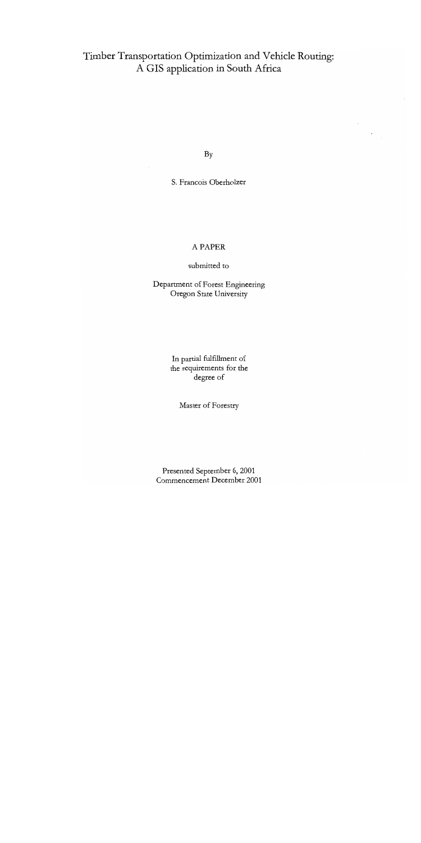# Timber Transportation Optimization and Vehicle Routing: A GIS application in South Africa

By

S. Francois Oberhoizer

# A PAPER

submitted to

Department of Forest Engineering Oregon State University

> In partial fulfillment of the requirements for the degree of

> > Master of Forestry

Presented September 6, 2001 Commencement December 2001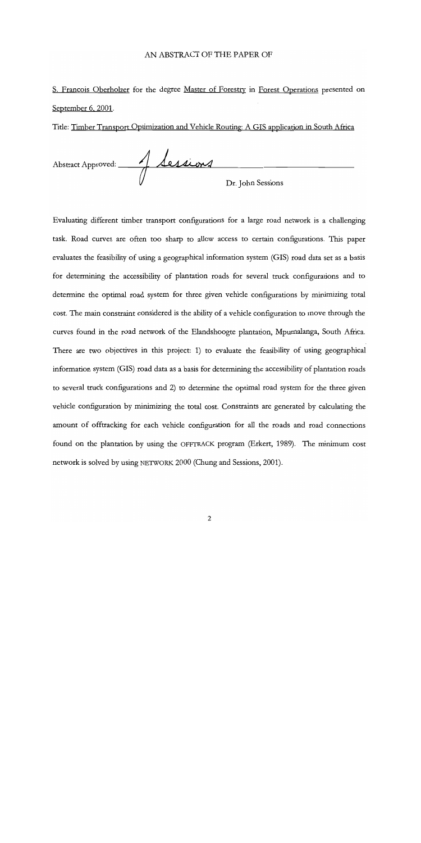### AN ABSTRACT OF THE PAPER OF

S. Francois Oberholzer for the degree Master of Forestry in Forest Operations presented on September 6, 2001.

Title: Timber Transport Optimization and Vehicle Routing: A GIS application in South Africa

Abstract Approved: 1 Sessions Dr. John Sessions

Evaluating different timber transport configurations for a large road network is a challenging task. Road curves are often too sharp to allow access to certain configurations. This paper evaluates the feasibility of using a geographical information system (GIS) road data set as a basis for determining the accessibility of plantation roads for several truck configurations and to determine the optimal road system for three given vehicle configurations by minimizing total cost. The main constraint considered is the ability of a vehicle configuration to move through the curves found in the road network of the Elandshoogte plantation, Mpumalanga, South Africa. There are two objectives in this project: 1) to evaluate the feasibility of using geographical information system (GIS) road data as a basis for determining the accessibility of plantation roads to several truck configurations and 2) to determine the optimal road system for the three given vehicle configuration by minimizing the total cost. Constraints are generated by calculating the amount of offtracking for each vehicle configuration for all the roads and road connections found on the plantation by using the OFFTRACK program (Erkert, 1989). The minimum cost network is solved by using NETWORK 2000 (Chung and Sessions, 2001).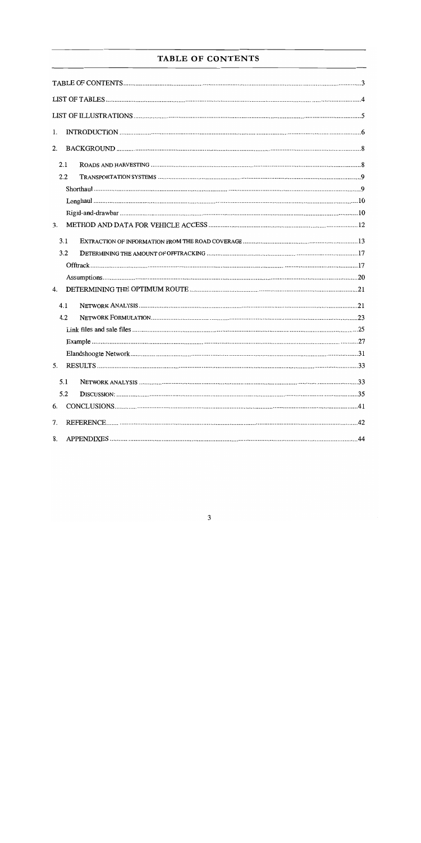# TABLE OF CONTENTS

| 1. |     |  |
|----|-----|--|
| 2. |     |  |
|    | 2.1 |  |
|    | 2.2 |  |
|    |     |  |
|    |     |  |
|    |     |  |
| 3. |     |  |
|    | 3.1 |  |
|    | 3.2 |  |
|    |     |  |
|    |     |  |
| 4. |     |  |
|    | 4.1 |  |
|    | 4.2 |  |
|    |     |  |
|    |     |  |
|    |     |  |
| 5. |     |  |
|    | 5.1 |  |
|    | 5.2 |  |
| 6. |     |  |
| 7. |     |  |
| 8. |     |  |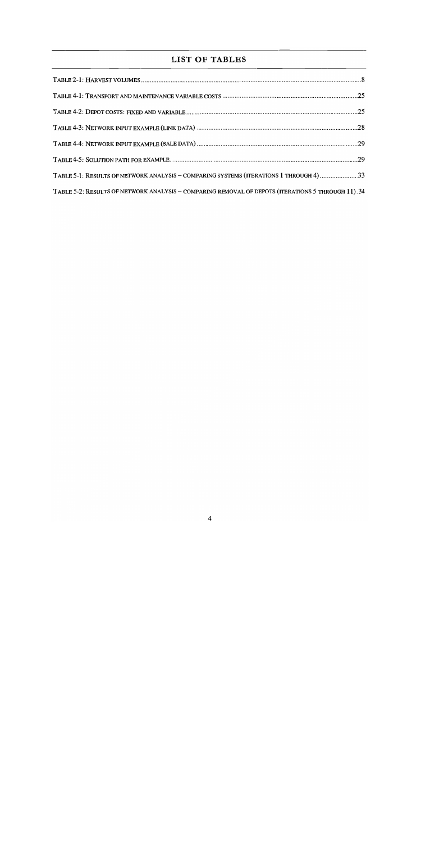# LIST OF TABLES

| TABLE 5-1: RESULTS OF NETWORK ANALYSIS - COMPARING SYSTEMS (ITERATIONS 1 THROUGH 4) 33            |  |
|---------------------------------------------------------------------------------------------------|--|
| TABLE 5-2: RESULTS OF NETWORK ANALYSIS - COMPARING REMOVAL OF DEPOTS (ITERATIONS 5 THROUGH 11).34 |  |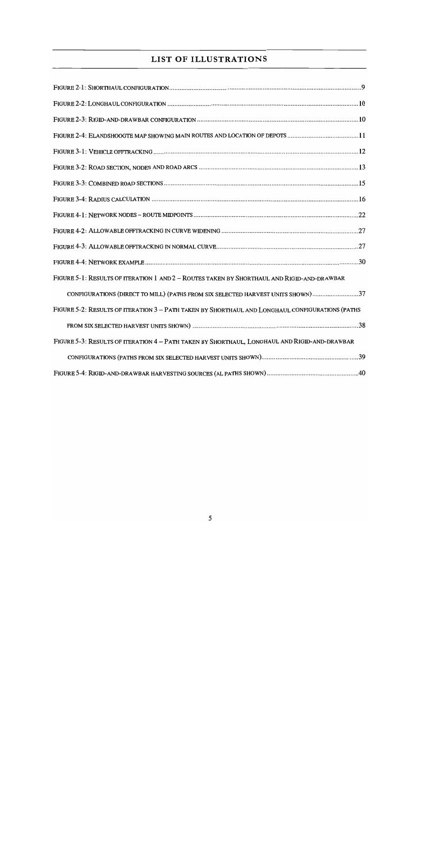# LIST OF ILLUSTRATIONS

| FIGURE 2-4: ELANDSHOOGTE MAP SHOWING MAIN ROUTES AND LOCATION OF DEPOTS 11                      |  |
|-------------------------------------------------------------------------------------------------|--|
|                                                                                                 |  |
|                                                                                                 |  |
|                                                                                                 |  |
|                                                                                                 |  |
|                                                                                                 |  |
|                                                                                                 |  |
|                                                                                                 |  |
|                                                                                                 |  |
| FIGURE 5-1: RESULTS OF ITERATION 1 AND 2 - ROUTES TAKEN BY SHORTHAUL AND RIGID-AND-DRAWBAR      |  |
| CONFIGURATIONS (DIRECT TO MILL) (PATHS FROM SIX SELECTED HARVEST UNITS SHOWN)37                 |  |
| FIGURE 5-2: RESULTS OF ITERATION 3 - PATH TAKEN BY SHORTHAUL AND LONGHAUL CONFIGURATIONS (PATHS |  |
|                                                                                                 |  |
| FIGURE 5-3: RESULTS OF ITERATION 4 - PATH TAKEN BY SHORTHAUL, LONGHAUL AND RIGID-AND-DRAWBAR    |  |
|                                                                                                 |  |
|                                                                                                 |  |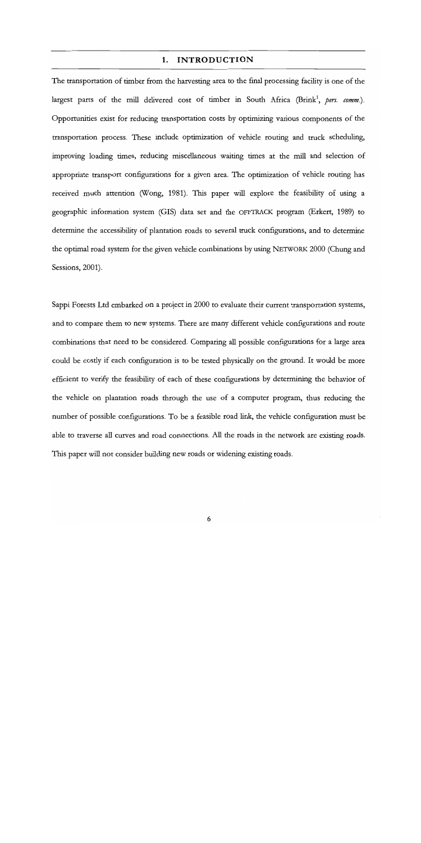### 1. INTRODUCTION

The transportation of timber from the harvesting area to the final processing facility is one of the largest parts of the mill delivered cost of timber in South Africa (Brink<sup>1</sup>, pers. comm.). Opportunities exist for reducing transportation costs by optimizing various components of the transportation process. These include optimization of vehicle routing and truck scheduling, improving loading times, reducing miscellaneous waiting times at the mill and selection of appropriate transport configurations for a given area. The optimization of vehicle routing has received much attention (Wong, 1981). This paper will explore the feasibility of using a geographic information system (GIS) data set and the OFFTRACK program (Erkert, 1989) to determine the accessibility of plantation roads to several truck configurations, and to determine the optimal road system for the given vehicle combinations by using NETWoRK 2000 (Chung and Sessions, 2001).

Sappi Forests Ltd embarked on a project in 2000 to evaluate their current transportation systems, and to compare them to new systems. There are many different vehicle configurations and route combinations that need to be considered. Comparing all possible configurations for a large area could be costly if each configuration is to be tested physically on the ground. It would be more efficient to verify the feasibility of each of these configurations by determining the behavior of the vehicle on plantation roads through the use of a computer program, thus reducing the number of possible configurations. To be a feasible road link, the vehicle configuration must be able to traverse all curves and road connections. All the roads in the network are existing roads. This paper will not consider building new roads or widening existing roads.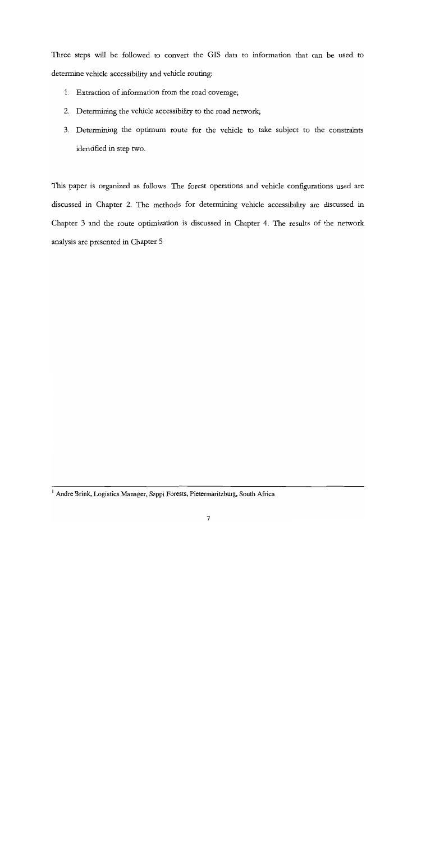Three steps will be followed to convert the GIS data to information that can be used to determine vehicle accessibility and vehicle routing:

- Extraction of information from the road coverage;
- Determining the vehicle accessibility to the road network;
- Determining the optimum route for the vehicle to take subject to the constraints identified in step two.

This paper is organized as follows. The forest operations and vehicle configurations used are discussed in Chapter 2. The methods for determining vehicle accessibility are discussed in Chapter 3 and the route optimization is discussed in Chapter 4. The results of the network analysis are presented in Chapter 5

<sup>&#</sup>x27;Andre Brink, Logistics Manager, Sappi Forests, Pietermaritzburg, South Africa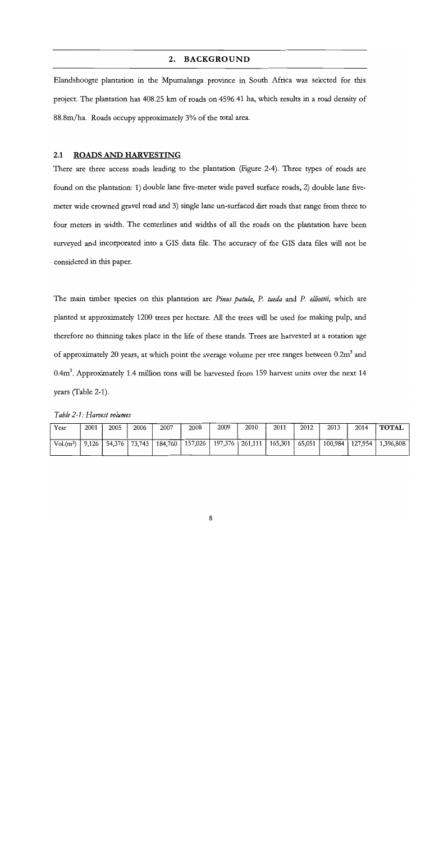## 2. BACKGROUND

Elandshoogte plantation in the Mpumalanga province in South Africa was selected for this project. The plantation has 408.25 km of roads on 4596.41 ha, which results in a road density of 88.8m/ha. Roads occupy approximately 3% of the total area.

### 2.1 ROADS AND HARVESTING

There are three access roads leading to the plantation (Figure 2-4). Three types of roads are found on the plantation: 1) double lane five-meter wide paved surface roads, 2) double lane fivemeter wide crowned gravel road and 3) single lane un-surfaced dirt roads that range from three to four meters in width. The centerlines and widths of all the roads on the plantation have been surveyed and incorporated into a GIS data file. The accuracy of the GIS data files will not be considered in this paper.

The main timber species on this plantation are Pinus patula, P. taeda and P. elliottii, which are planted at approximately 1200 trees per hectare. All the trees will be used for making pulp, and therefore no thinning takes place in the life of these stands. Trees are harvested at a rotation age of approximately 20 years, at which point the average volume per tree ranges between  $0.2m<sup>3</sup>$  and 0.4m<sup>3</sup>. Approximately 1.4 million tons will be harvested from 159 harvest units over the next 14 years (Table 2-1).

| Table 2-1: Harvest volumes |  |
|----------------------------|--|
|----------------------------|--|

| Year       | 2001                  | 2005   | 2006   | 2007    | 2008    | 2009    | 2010    | 2011    | 2012   | 2013    | 2014    | <b>TOTAL</b> |
|------------|-----------------------|--------|--------|---------|---------|---------|---------|---------|--------|---------|---------|--------------|
| $Vol(m^3)$ | $\vert$ 9.126 $\vert$ | 54,376 | 73,743 | 184,760 | 157,026 | 197,376 | 261,111 | 165,301 | 65,051 | 100,984 | 127.954 | 1.396.808    |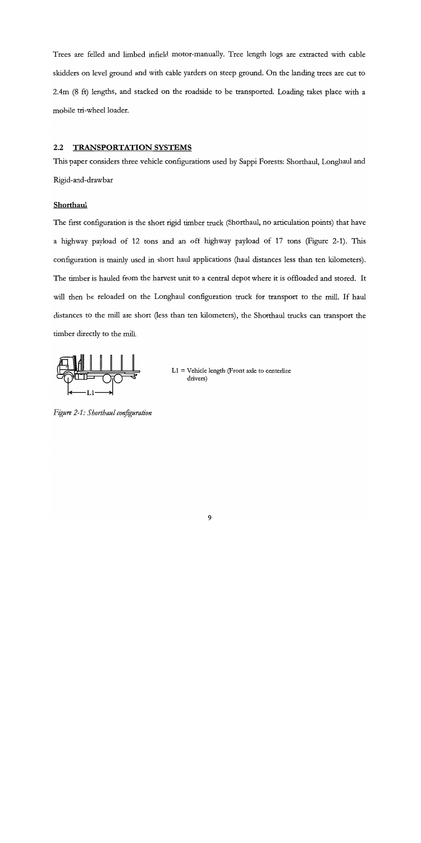Trees are felled and limbed infield motor-manually. Tree length logs are extracted with cable skidders on level ground and with cable yarders on steep ground. On the landing trees are cut to 2.4m (8 ft) lengths, and stacked on the roadside to be transported. Loading takes place with a mobile tri-wheel loader.

# 2.2 TRANSPORTATION SYSTEMS

This paper considers three vehicle configurations used by Sappi Forests: Shorthaul, Longhaul and Rigid-and-drawbar

### **Shorthaul**

The first configuration is the short rigid timber truck (Shorthaul, no articulation points) that have a highway payload of 12 tons and an off highway payload of 17 tons (Figure 2-1). This configuration is mainly used in short haul applications (haul distances less than ten kilometers). The timber is hauled from the harvest unit to a central depot where it is offloaded and stored. It will then be reloaded on the Longhaul configuration truck for transport to the mill. If haul distances to the mill are short (less than ten kilometers), the Shorthaul trucks can transport the timber directly to the mill.



 $L1 =$  Vehicle length (Front axle to centerline drivers)

Figure 2-1: Shorthaul configuration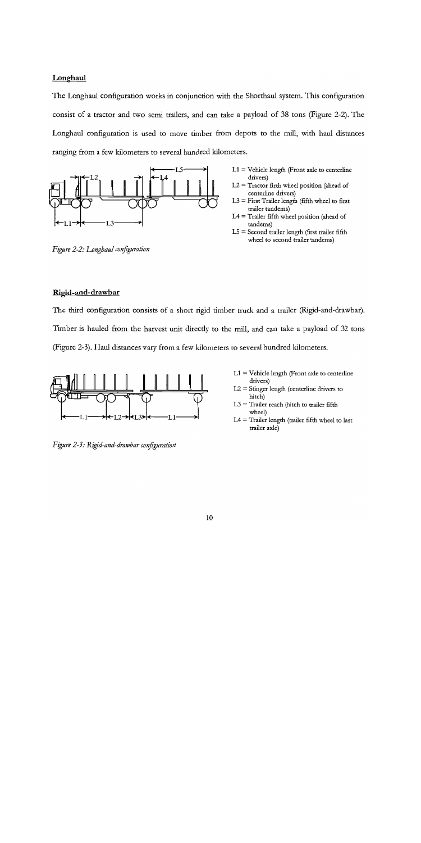# **Longhaul**

The Longhaul configuration works in conjunction with the Shorthaul system. This configuration consist of a tractor and two semi trailers, and can take a payload of 38 tons (Figure 2-2). The Longhaul configuration is used to move timber from depots to the mill, with haul distances ranging from a few kilometers to several hundred kilometers.



Figure 2-2: Longhaul configuration

- $L1 =$  Vehicle length (Front axle to centerline drivers)
- $L2 =$  Tractor firth wheel position (ahead of centerline drivers)
- $L3 =$  First Trailer length (fifth wheel to first trailer tandems)
- $LA =$  Trailer fifth wheel position (ahead of tandems)
- $L5 =$  Second trailer length (first trailer fifth wheel to second trailer tandems)

# Rigid-and-drawbar

The third configuration consists of a short rigid timber truck and a trailer (Rigid-and-drawbar). Timber is hauled from the harvest unit directly to the mill, and can take a payload of 32 tons (Figure 2-3). Haul distances vary from a few kilometers to several hundred kilometers.



Figure 2-3: Rigid-and-drawbar configuration

- $L1 =$  Vehicle length (Front axle to centerline drivers)
- L2 = Stinger length (centerline drivers to hitch)
- $L3 =$  Trailer reach (hitch to trailer fifth wheel)
- $L4 =$  Trailer length (trailer fifth wheel to last trailer axle)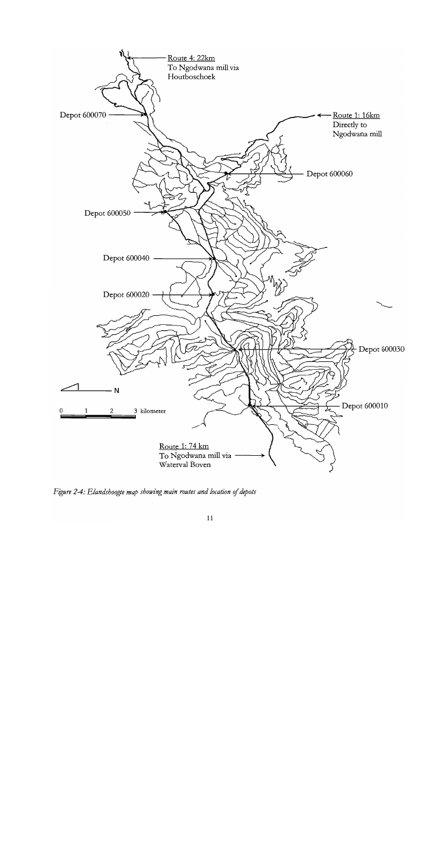

Figure 24: Elandshoogte map showing main routes and location of depots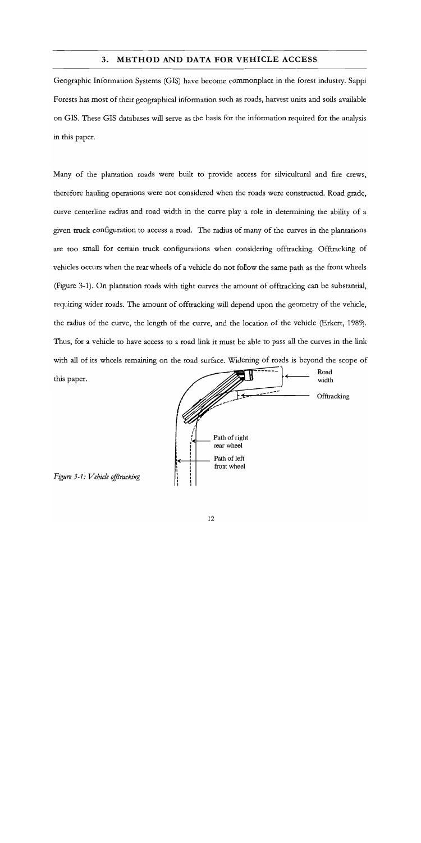### 3. METHOD AND DATA FOR VEHICLE ACCESS

Geographic Information Systems (GIS) have become commonplace in the forest industry. Sappi Forests has most of their geographical information such as roads, harvest units and soils available on GIS. These GIS databases will serve as the basis for the information required for the analysis in this paper.

Many of the plantation roads were built to provide access for silvicultural and fire crews, therefore hauling operations were not considered when the roads were constructed. Road grade, curve centerline radius and road width in the curve play a role in determining the ability of a given truck configuration to access a road. The radius of many of the curves in the plantations are too small for certain truck configurations when considering offtracking. Offtracking of vehicles occurs when the rear wheels of a vehicle do not follow the same path as the front wheels (Figure 3-1). On plantation roads with tight curves the amount of offtracking can be substantial, requiring wider roads. The amount of offtracking will depend upon the geometry of the vehicle, the radius of the curve, the length of the curve, and the location of the vehicle (Erkert, 1989). Thus, for a vehicle to have access to a road link it must be able to pass all the curves in the link with all of its wheels remaining on the road surface. Widening of roads is beyond the scope of Road<br>width this paper.  $\sqrt{1 + \frac{1}{\sqrt{1 + \frac{1}{n}}} \sqrt{1 + \frac{1}{n}}}$  width



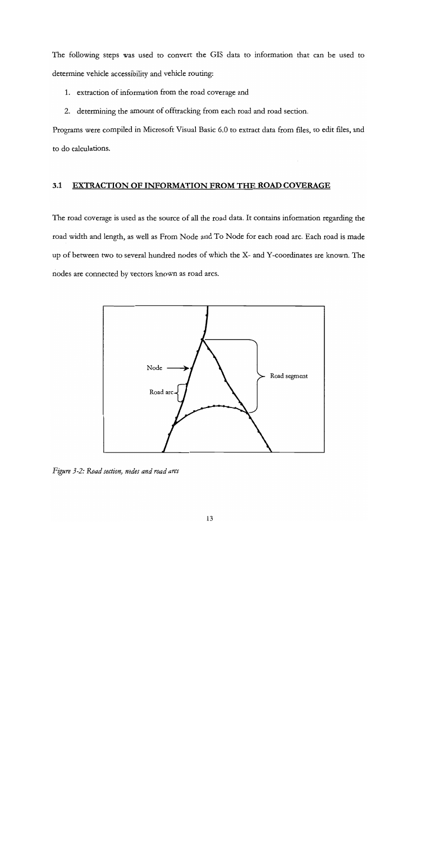The following steps was used to convert the GIS data to information that can be used to determine vehicle accessibility and vehicle routing:

- 1. extraction of information from the road coverage and
- 2. determining the amount of offtracking from each road and road section.

Programs were compiled in Microsoft Visual Basic 6.0 to extract data from files, to edit files, and to do calculations.

### 3i EXTRACTION OF INFORMATION FROM THE ROAD COVERAGE

The road coverage is used as the source of all the road data. It contains information regarding the road width and length, as well as From Node and To Node for each road arc. Each road is made up of between two to several hundred nodes of which the X- and Y-coordinates are known. The nodes are connected by vectors known as road arcs.



Figure 3-2: Road section, nodes and road arcs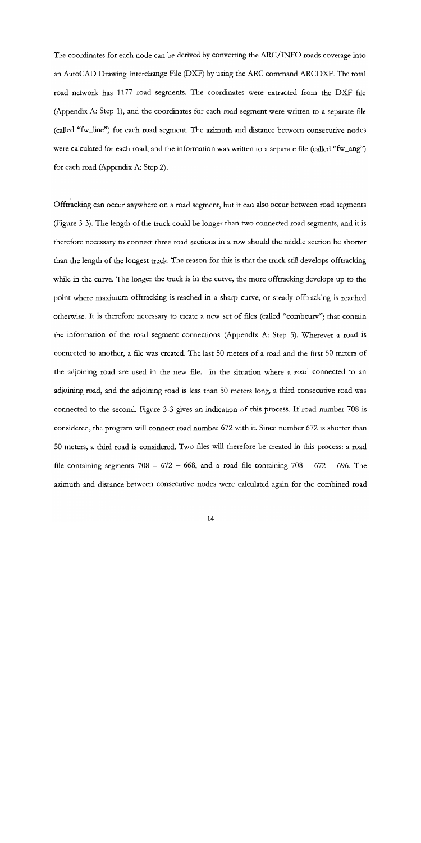The coordinates for each node can be derived by converting the ARC/INFO roads coverage into an AutoCAD Drawing Interchange File (IDXF) by using the ARC command ARCDXF. The total road network has 1177 road segments. The coordinates were extracted from the DXF file (Appendix A: Step 1), and the coordinates for each road segment were written to a separate file (called "fw\_line") for each road segment. The azimuth and distance between consecutive nodes were calculated for each road, and the information was written to a separate file (called "fw\_ang") for each road (Appendix A: Step 2).

Offtracking can occur anywhere on a road segment, but it can also occur between road segments (Figure 3-3). The length of the truck could be longer than two connected road segments, and it is therefore necessary to connect three road sections in a row should the middle section be shorter than the length of the longest truck. The reason for this is that the truck still develops offtracking while in the curve. The longer the truck is in the curve, the more offtracking develops up to the point where maximum offtracking is reached in a sharp curve, or steady offtracking is reached otherwise. It is therefore necessary to create a new set of files (called "combcurv") that contain the information of the road segment connections (Appendix A: Step 5). Wherever a road is connected to another, a file was created. The last 50 meters of a road and the first 50 meters of the adjoining road are used in the new file. In the situation where a road connected to an adjoining road, and the adjoining road is less than 50 meters long, a third consecutive road was connected to the second. Figure 3-3 gives an indication of this process. If road number 708 is considered, the program will connect road number 672 with it. Since number 672 is shorter than 50 meters, a third road is considered. Two files will therefore be created in this process: a road file containing segments  $708 - 672 - 668$ , and a road file containing  $708 - 672 - 696$ . The azimuth and distance between consecutive nodes were calculated again for the combined road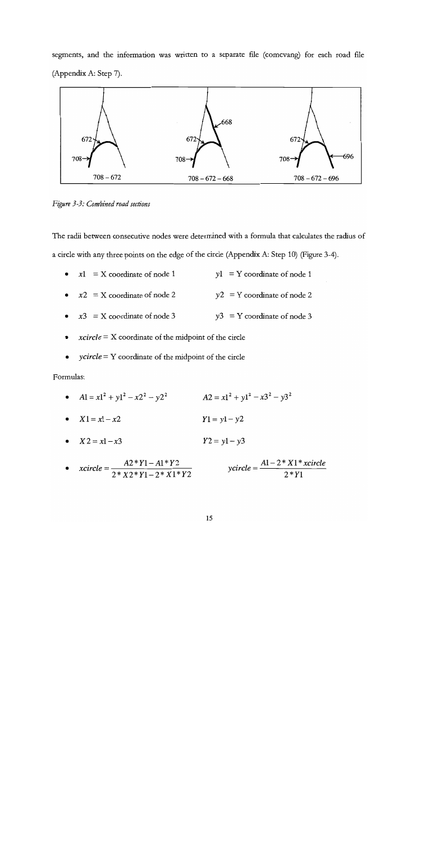segments, and the information was written to a separate file (comcvang) for each road file (Appendix A: Step 7).



Figure 3-3: Combined road sections

The radii between consecutive nodes were determined with a formala that calculates the radius of a circle with any three points on the edge of the circle (Appendix A: Step 10) (Figure 3-4).

- $x1 = X$  coordinate of node 1  $y1 = Y$  coordinate of node 1  $\bullet$
- $x2 = X$  coordinate of node 2  $y2 = Y$  coordinate of node 2  $\bullet$
- $x3 = X$  coordinate of node 3  $y3 = Y$  coordinate of node 3
- $xcircle = X$  coordinate of the midpoint of the circle
- $ycircle = Y$  coordinate of the midpoint of the circle

Formalas:

- $A1 = x1^2 + y1^2 x2^2 y2^2$   $A2 = x1^2 + y1^2 x3^2 y3^2$
- $X1 = x1 x2$   $Y1 = y1 y2$
- $X2 = x1 x3$   $Y2 = y1 y3$

• 
$$
xcircle = \frac{A2*Y1 - A1*Y2}{2*X2*Y1 - 2*X1*Y2}
$$
  $ycircle = \frac{A1 - 2*X1*{xcircle}}{2*Y1}$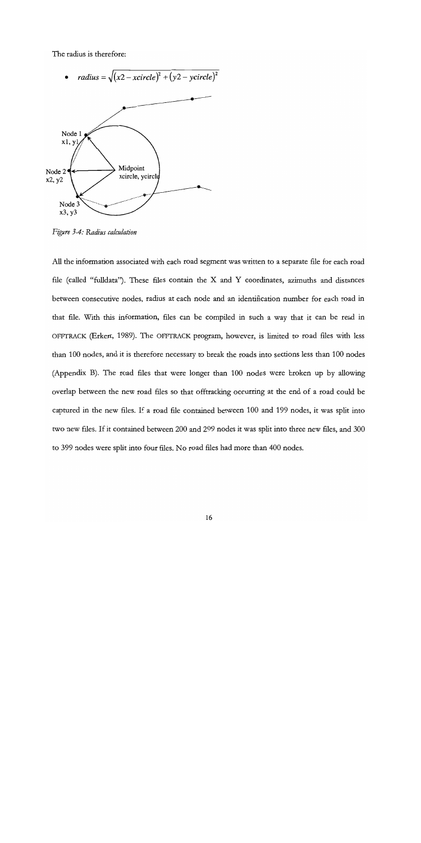The radius is therefore:



Figure 3-4: Radius calculation

All the information associated with each road segment was written to a separate file for each road file (called "fulldata"). These files contain the  $X$  and  $Y$  coordinates, azimuths and distances between consecutive nodes, radius at each node and an identification number for each road in that file. With this information, files can be compiled in such a way that it can be read in OFFTRACK (Erkert, 1989). The OFFTRACK program, however, is limited to road files with less than 100 nodes, and it is therefore necessary to break the roads into sections less than 100 nodes (Appendix B). The road files that were longer than 100 nodes were broken up by allowing overlap between the new road files so that offtracking occurring at the end of a road could be captured in the new files. If a road file contained between 100 and 199 nodes, it was split into two new files. If it contained between 200 and 299 nodes it was split into three new files, and 300 to 399 nodes were split into four files. No road files had more than 400 nodes.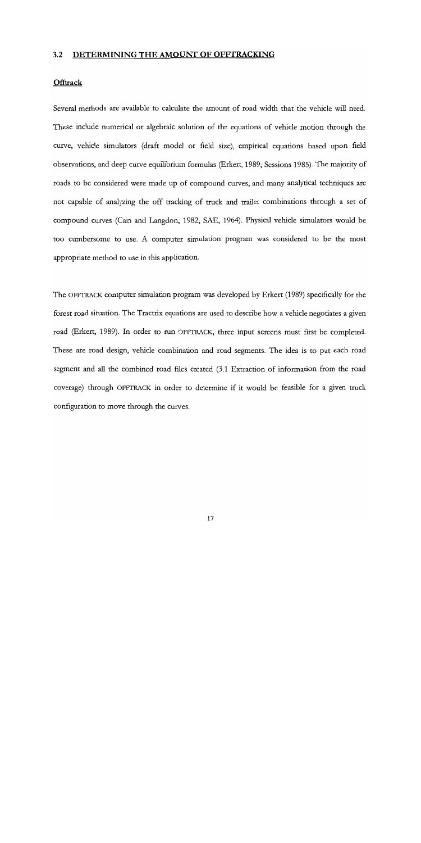### 3.2 DETERMINING THE AMOUNT OF OFFTRACKING

### **Offtrack**

Several methods are available to calculate the amount of road width that the vehicle will need. These include numerical or algebraic solution of the equations of vehicle motion through the curve, vehicle simulators (draft model or field size), empirical equations based upon field observations, and deep curve equilibrium formulas (Erkert, 1989; Sessions 1985). The majority of roads to be considered were made up of compound curves, and many analytical techniques are not capable of analyzing the off tracking of truck and trailer combinations through a set of compound curves (Cain and Langdon, 1982; SAE, 1964). Physical vehicle simulators would be too cumbersome to use. A computer simulation program was considered to be the most appropriate method to use in this application.

The OFFTRACK computer simulation program was developed by Erkert (1989) specifically for the forest road situation. The Tractrix equations are used to describe how a vehicle negotiates a given road (Erkert, 1989). In order to run OFFTRACK, three input screens must first be completed. These are road design, vehicle combination and road segments. The idea is to put each road segment and all the combined road files created (3.1 Extraction of information from the road coverage) through OFFTRACK in order to determine if it would be feasible for a given truck configuration to move through the curves.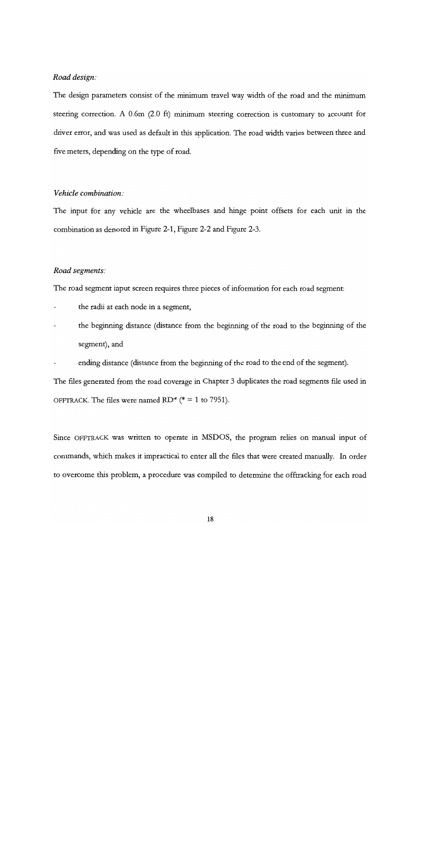#### Road design:

The design parameters consist of the minimum travel way width of the road and the minimum steering correction. A 0.6m (2.0 ft) minimum steering correction is customary to account for driver error, and was used as default in this application. The road width varies between three and five meters, depending on the type of road.

### Vehicle combination:

The input for any vehicle are the wheelbases and hinge point offsets for each unit in the combination as denoted in Figure 2-1, Figure 2-2 and Figure 2-3.

#### Road segments:

The road segment input screen requires three pieces of information for each road segment:

- the radii at each node in a segment,
- the beginning distance (distance from the beginning of the road to the beginning of the segment), and
- ending distance (distance from the beginning of the road to the end of the segment).

The files generated from the road coverage in Chapter 3 duplicates the road segments file used in OFFTRACK. The files were named RD\* ( $* = 1$  to 7951).

Since OFFTRACK was written to operate in MSDOS, the program relies on manual input of commands, which makes it impractical to enter all the files that were created manually. In order to overcome this problem, a procedure was compiled to determine the offtracking for each road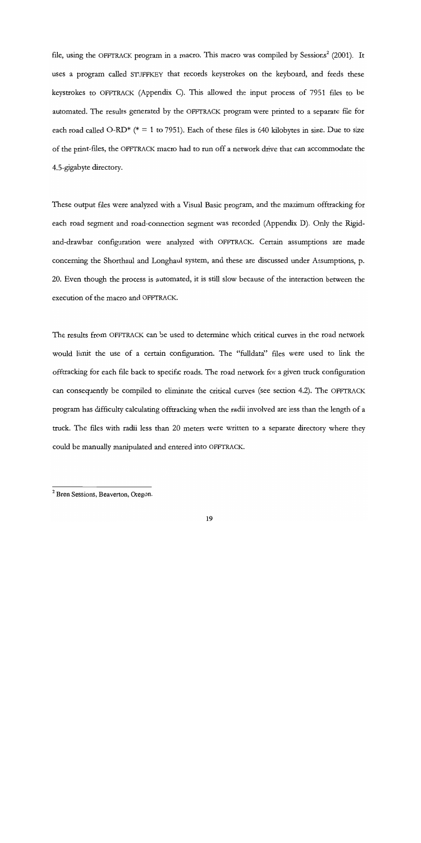file, using the OFFTRACK program in a macro. This macro was compiled by Sessions<sup>2</sup> (2001). It uses a program called STUFFKEY that records keystrokes on the keyboard, and feeds these keystrokes to OFFTRACK (Appendix C). This allowed the input process of 7951 files to be automated. The results generated by the OFFTRACK program were printed to a separate file for each road called O-RD<sup>\*</sup> ( $* = 1$  to 7951). Each of these files is 640 kilobytes in size. Due to size of the print-files, the OFFTRACK macro had to run off a network drive that can accommodate the 4.5-gigabyte directory.

These output files were analyzed with a Visual Basic program, and the maximum offtracking for each road segment and road-connection segment was recorded (Appendix D). Only the Rigidand-drawbar configuration were analyzed with OFFTRACK. Certain assumptions are made concerning the Shorthaul and Longhaul system, and these are discussed under Assumptions, p. 20. Even though the process is automated, it is still slow because of the interaction between the execution of the macro and OFFTRACK.

The results from OFFTRACK can be used to determine which critical curves in the road network would limit the use of a certain configuration. The "fulldata" files were used to link the offtracking for each file back to specific roads. The road network for a given truck configuration can consequently be compiled to eliminate the critical curves (see section 4.2). The OFFTRACK program has difficulty calculating offtracking when the radii involved are less than the length of a truck. The files with radii less than 20 meters were written to a separate directory where they could be manually manipulated and entered into OFFTRACK.

<sup>&</sup>lt;sup>2</sup> Bren Sessions, Beaverton, Oregon.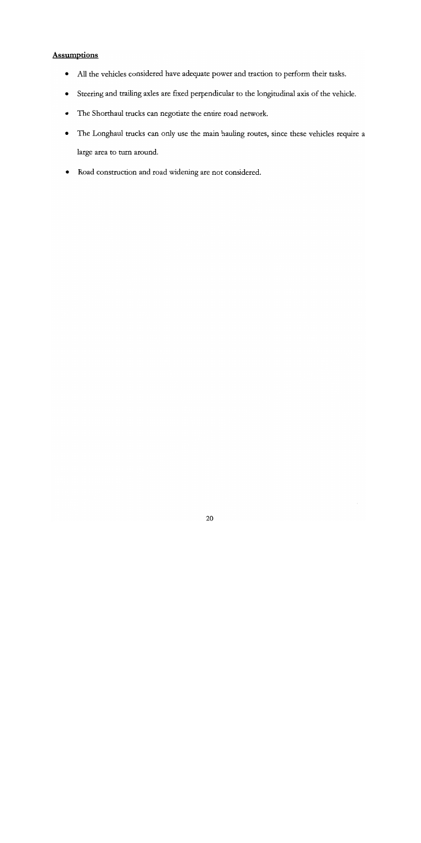# **Assumptions**

- All the vehicles considered have adequate power and traction to perform their tasks.  $\bullet$
- $\bullet$ Steering and trailing axles are fixed perpendicular to the longitudinal axis of the vehicle.
- $\bullet$ The Shorthaul trucks can negotiate the entire road network.
- The Longhaul trucks can only use the main hauling routes, since these vehicles require a  $\bullet$ large area to turn around.
- Road construction and road widening are not considered.  $\bullet$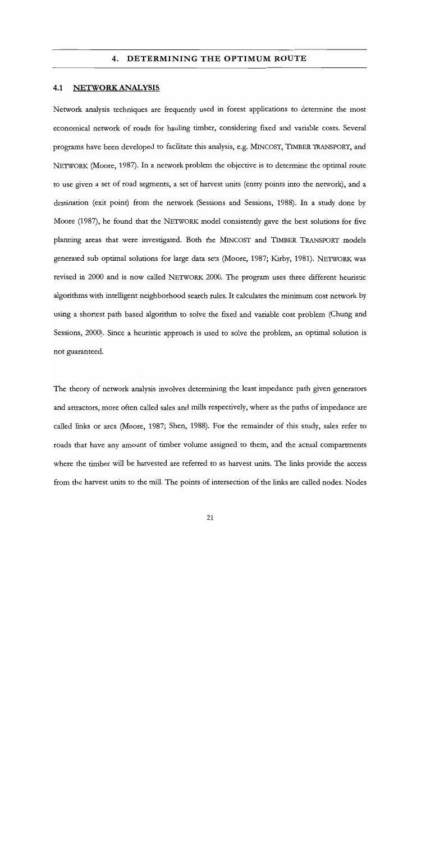### 4. DETERMINING THE OPTIMUM ROUTE

#### 4.1 NETWORK ANALYSIS

Network analysis techniques are frequently used in forest applications to determine the most economical network of roads for hauling timber, considering fixed and variable costs. Several programs have been developed to facilitate this analysis, e.g. MINCOST, TIMBER TRANSPORT, and NETWORK (Moore, 1987). In a network problem the objective is to determine the optimal route to use given a set of road segments, a set of harvest units (entry points into the network), and a destination (exit point) from the network (Sessions and Sessions, 1988). In a study done by Moore (1987), he found that the NETWORK model consistently gave the best solutions for five planning areas that were investigated. Both the MINc0ST and TIMBER TRANSPORT models generated sub optimal solutions for large data sets (Moore, 1987; Kirby, 1981). NETWORK was revised in 2000 and is now called NETWoRK 2000. The program uses three different heuristic algorithms with intelligent neighborhood search rules. It calculates the minimum cost network by using a shortest path based algorithm to solve the fixed and variable cost problem (Chung and Sessions, 2000). Since a heuristic approach is used to solve the problem, an optimal solution is not guaranteed.

The theory of network analysis involves determining the least impedance path given generators and attractors, more often called sales and mills respectively, where as the paths of impedance are called links or arcs (Moore, 1987; Shen, 1988). For the remainder of this study, sales refer to roads that have any amount of timber volume assigned to them, and the actual compartments where the timber will be harvested are referred to as harvest units. The links provide the access from the harvest units to the mill. The points of intersection of the links are called nodes. Nodes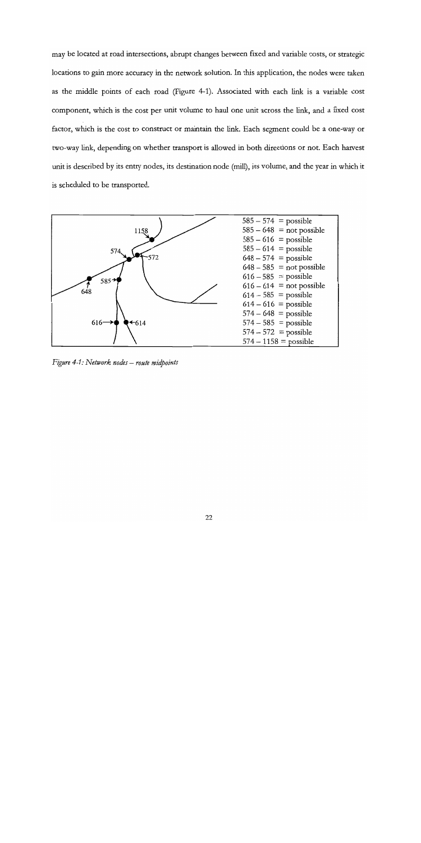may be located at road intersections, abrupt changes between fixed and variable costs, or strategic locations to gain more accuracy in the network solution. In this application, the nodes were taken as the middle points of each road (Figure 4-1). Associated with each link is a variable cost component, which is the cost per unit volume to haul one unit across the link, and a fixed cost factor, which is the cost to construct or maintain the link. Each segment could be a one-way or two-way link, depending on whether transport is allowed in both directions or not. Each harvest unit is described by its entry nodes, its destination node (mill), its volume, and the year in which it is scheduled to be transported.



Figure  $4-1$ : Network nodes – route midpoints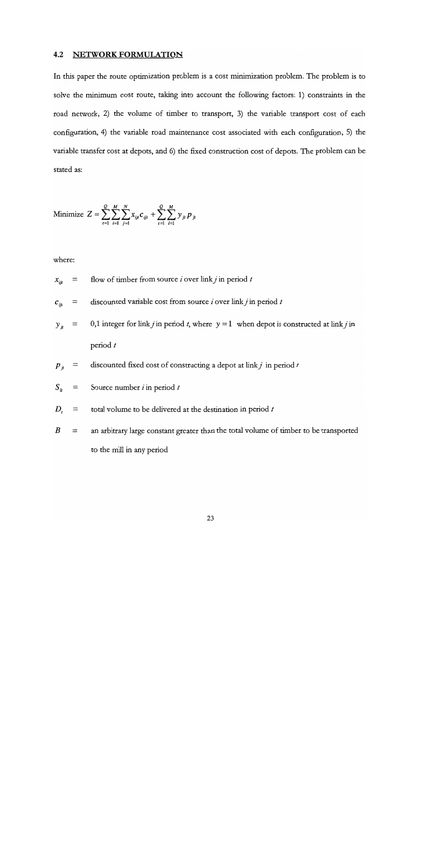### 4.2 NETWORK FORMULATION

In this paper the route optimization problem is a cost minimization problem. The problem is to solve the minimum cost route, taking into account the following factors: 1) constraints in the road network, 2) the volume of timber to transport, 3) the variable transport cost of each configuration, 4) the variable road maintenance cost associated with each configuration, 5) the variable transfer cost at depots, and 6) the fixed construction cost of depots. The problem can be stated as:

Minimize 
$$
Z = \sum_{i=1}^{Q} \sum_{i=1}^{M} \sum_{j=1}^{N} x_{iji} c_{iji} + \sum_{i=1}^{Q} \sum_{i=1}^{M} y_{ji} p_{ji}
$$

where:

$$
x_{ijt}
$$
 = flow of time from source *i* over link *j* in period *t*

$$
c_{ijt}
$$
 = discounted variable cost from source *i* over link *j* in period *t*

- $=$  0,1 integer for link *j* in period *t*, where  $y = 1$  when depot is constructed at link *j* in  $y_{i}$ period t
- $\equiv$  discounted fixed cost of constructing a depot at link j in period t  $p_{ji}$

$$
S_{it} =
$$
 Source number *i* in period *t*

- $D_{t}$  $\equiv$  total volume to be delivered at the destination in period t
- $B =$  an arbitrary large constant greater than the total volume of timber to be transported to the mill in any period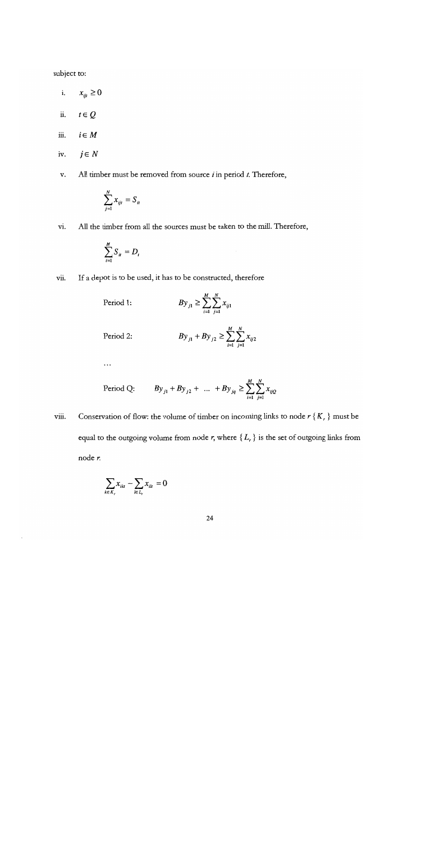subject to:

- $x_{ijt} \geq 0$ i.
- $t \in Q$ ii.
- iii.  $i \in M$
- $j \in N$ iv.
- All timber must be removed from source  $i$  in period  $t$ . Therefore,  $\mathbf{v}.$

$$
\sum_{j=1}^N x_{ijt} = S_{it}
$$

All the timber from all the sources must be taken to the mill. Therefore, vi.

$$
\sum_{i=1}^M S_{ii} = D_i
$$

 $\ddotsc$ 

If a depot is to be used, it has to be constructed, therefore vii.

Period 1: 
$$
By_{j1} \ge \sum_{i=1}^{M} \sum_{j=1}^{N} x_{ij1}
$$

Period 2: 
$$
By_{j1} + By_{j2} \ge \sum_{i=1}^{M} \sum_{j=1}^{N} x_{ij2}
$$

Period Q: 
$$
By_{j1} + By_{j2} + ... + By_{jq} \geq \sum_{i=1}^{M} \sum_{j=1}^{N} x_{ijQ}
$$

Conservation of flow: the volume of timber on incoming links to node  $r\{K_r\}$  must be viii. equal to the outgoing volume from node r, where  $\{L_r\}$  is the set of outgoing links from node r.

$$
\sum_{k \in K_r} x_{ikl} - \sum_{l \in L_r} x_{ill} = 0
$$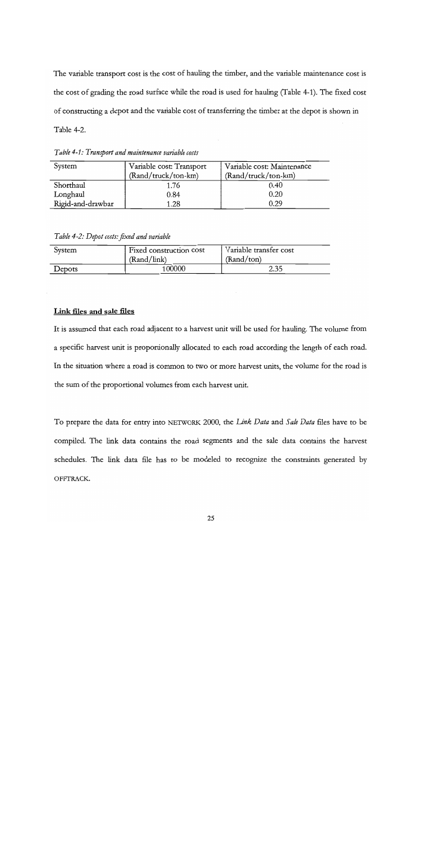The variable transport cost is the cost of hauling the timber, and the variable maintenance cost is the cost of grading the road surface while the road is used for hauling (Table 4-1). The fixed cost of constructing a depot and the variable cost of transferring the timber at the depot is shown in Table 4-2.

| Table 4-1: Transport and maintenance variable costs |  |
|-----------------------------------------------------|--|
|-----------------------------------------------------|--|

| System            | Variable cost: Transport | Variable cost: Maintenance |  |
|-------------------|--------------------------|----------------------------|--|
|                   | (Rand/truck/ton-km)      | (Rand/truck/ton-km)        |  |
| Shorthaul         | 1.76                     | 0.40                       |  |
| Longhaul          | 0.84                     | 0.20                       |  |
| Rigid-and-drawbar | 1.28                     | 0.29                       |  |

Table 4-2: Depot costs: fixed and variable

| System | Fixed construction cost | Variable transfer cost |
|--------|-------------------------|------------------------|
|        | (Rand/link)             | (Rand/ton)             |
| Depots | 100000                  | 2.35                   |

# Link files and sale files

It is assumed that each road adjacent to a harvest unit will be used for hauling. The volume from a specific harvest unit is proportionally allocated to each road according the length of each road. In the situation where a road is common to two or more harvest units, the volume for the road is the sum of the proportional volumes from each harvest unit.

To prepare the data for entry into NETWORK 2000, the Link Data and Sale Data files have to be compiled. The link data contains the road segments and the sale data contains the harvest schedules. The link data file has to be modeled to recognize the constraints generated by OFFTRACK.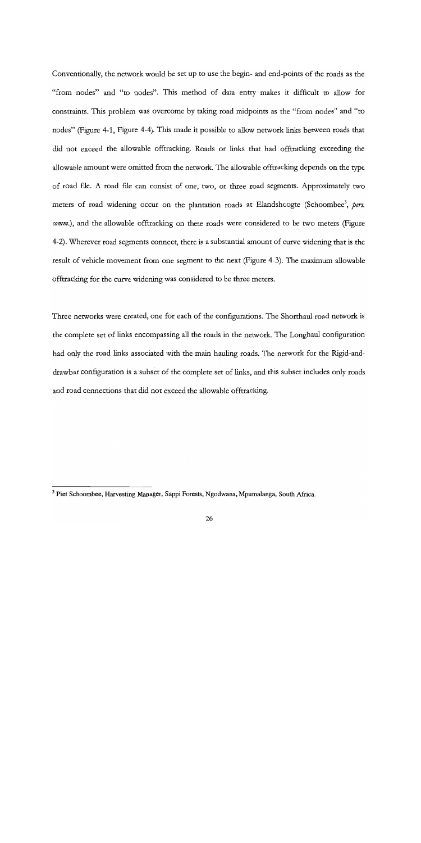Conventionally, the network would be set up to use the begin- and end-points of the roads as the "from nodes" and "to nodes". This method of data entry makes it difficult to allow for constraints. This problem was overcome by taking road midpoints as the "from nodes" and "to nodes" (Figure 4-1, Figure 4-4). This made it possible to allow network links between roads that did not exceed the allowable offtracking. Roads or links that had offtracking exceeding the allowable amount were omitted from the network. The allowable offtracking depends on the type of road file. A road file can consist of one, two, or three road segments. Approximately two meters of road widening occur on the plantation roads at Elandshoogte (Schoombee<sup>3</sup>, pers. comm.), and the allowable offtracking on these roads were considered to be two meters (Figure 4-2). Wherever road segments connect, there is a substantial amount of curve widening that is the result of vehicle movement from one segment to the next (Figure 4-3). The maximum allowable offtracking for the curve widening was considered to be three meters.

Three networks were created, one for each of the configurations. The Shorthaul road network is the complete set of links encompassing all the roads in the network. The Longhaul configuration had only the road links associated with the main hauling roads. The network for the Rigid-anddrawbar configuration is a subset of the complete set of links, and this subset includes only roads and road connections that did not exceed the allowable offtracking.

 $3$  Piet Schoombee, Harvesting Manager, Sappi Forests, Ngodwana, Mpumalanga, South Africa.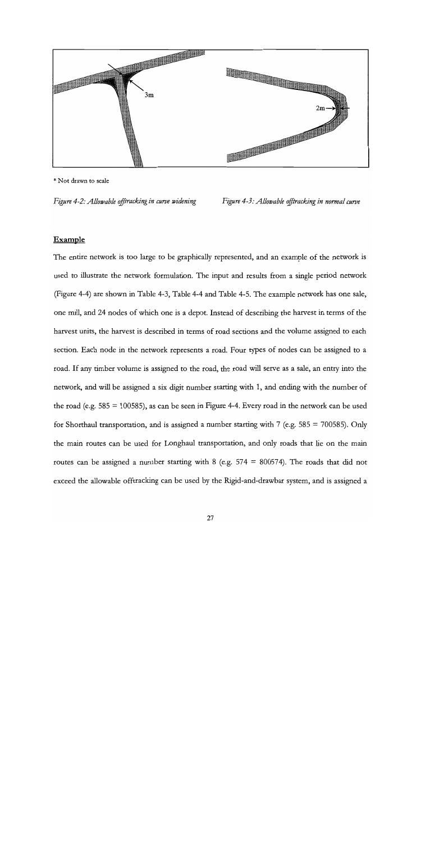

\* Not drawn to scale

Figure 4-2: Allowable offtracking in curve widening Figure 4-3: Allowable offtracking in normal curve

### Example

The entire network is too large to be graphically represented, and an example of the network is used to illustrate the network formulation. The input and results from a single period network (Figure 4-4) are shown in Table 4-3, Table 4-4 and Table 4-5. The example network has one sale, one mill, and 24 nodes of which one is a depot. Instead of describing the harvest in terms of the harvest units, the harvest is described in terms of road sections and the volume assigned to each section. Each node in the network represents a road. Four types of nodes can be assigned to a road. If any timber volume is assigned to the road, the road will serve as a sale, an entry into the network, and will be assigned a six digit number starting with 1, and ending with the number of the road (e.g.  $585 = 100585$ ), as can be seen in Figure 4-4. Every road in the network can be used for Shorthaul transportation, and is assigned a number starting with 7 (e.g. 585 = 700585). Only the main routes can be used for Longhaul transportation, and only roads that lie on the main routes can be assigned a number starting with 8 (e.g.  $574 = 800574$ ). The roads that did not exceed the allowable offtracking can be used by the Rigid-and-drawbar system, and is assigned a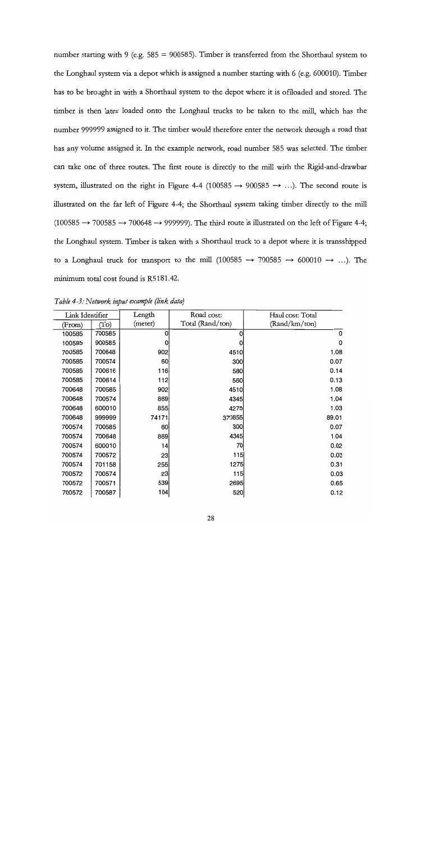number starting with 9 (e.g.  $585 = 900585$ ). Timber is transferred from the Shorthaul system to the Longhaul system via a depot which is assigned a number starting with 6 (e.g. 600010). Timber has to be brought in with a Shorthaul system to the depot where it is offloaded and stored. The timber is then later loaded onto the Longhaul trucks to be taken to the mill, which has the number 999999 assigned to it. The timber would therefore enter the network through a road that has any volume assigned it. In the example network, road number 585 was selected. The timber can take one of three routes. The first route is directly to the mill with the Rigid-and-drawbar system, illustrated on the right in Figure 4-4 (100585  $\rightarrow$  900585  $\rightarrow$  ...). The second route is illustrated on the far left of Figure 4-4; the Shorthaul system taking timber directly to the mill (100585  $\rightarrow$  700585  $\rightarrow$  700648  $\rightarrow$  999999). The third route is illustrated on the left of Figure 4-4; the Longhaul system. Timber is taken with a Shorthaul truck to a depot where it is transshipped to a Longhaul truck for transport to the mill (100585  $\rightarrow$  700585  $\rightarrow$  600010  $\rightarrow$  ...). The minimum total cost found is R5181.42.

| Link Identifier |        | Length  | Road cost:       | Haul cost: Total |
|-----------------|--------|---------|------------------|------------------|
| (From)          | (To)   | (meter) | Total (Rand/ton) | (Rand/km/ton)    |
| 100585          | 700585 | 0       | 0                | 0                |
| 100585          | 900585 | 0       | 0                | 0                |
| 700585          | 700648 | 902     | 4510             | 1.08             |
| 700585          | 700574 | 60      | 300              | 0.07             |
| 700585          | 700616 | 116     | 580              | 0.14             |
| 700585          | 700614 | 112     | 560              | 0.13             |
| 700648          | 700585 | 902     | 4510             | 1.08             |
| 700648          | 700574 | 869     | 4345             | 1.04             |
| 700648          | 600010 | 855     | 4275             | 1.03             |
| 700648          | 999999 | 74171   | 370855           | 89.01            |
| 700574          | 700585 | 60      | 300              | 0.07             |
| 700574          | 700648 | 869     | 4345             | 1.04             |
| 700574          | 600010 | 14      | 70               | 0.02             |
| 700574          | 700572 | 23      | 115              | 0.03             |
| 700574          | 701158 | 255     | 1275             | 0.31             |
| 700572          | 700574 | 23      | 115              | 0.03             |
| 700572          | 700571 | 539     | 2695             | 0.65             |
| 700572          | 700587 | 104     | 520              | 0.12             |

Table 4-3: Network input example (link data)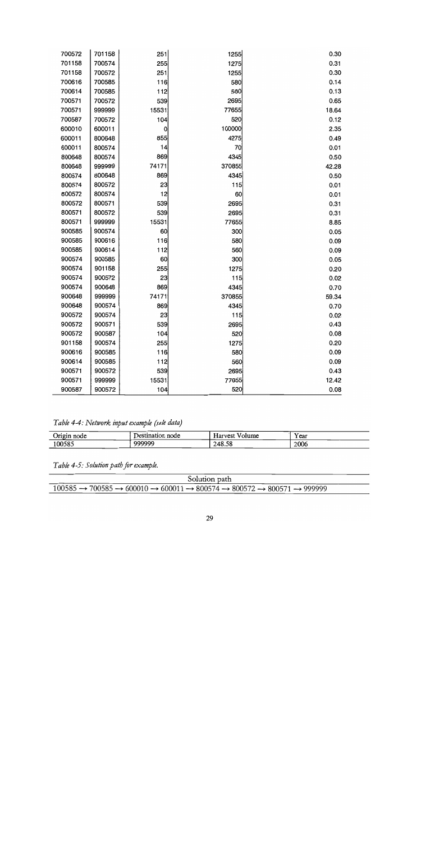| 700572 | 701158 | 251   | 1255   | 0.30  |  |
|--------|--------|-------|--------|-------|--|
| 701158 | 700574 | 255   | 1275   | 0.31  |  |
| 701158 | 700572 | 251   | 1255   | 0.30  |  |
| 700616 | 700585 | 116   | 580    | 0.14  |  |
| 700614 | 700585 | 112   | 560    | 0.13  |  |
| 700571 | 700572 | 539   | 2695   | 0.65  |  |
| 700571 | 999999 | 15531 | 77655  | 18.64 |  |
| 700587 | 700572 | 104   | 520    | 0.12  |  |
| 600010 | 600011 | 0     | 100000 | 2.35  |  |
| 600011 | 800648 | 855   | 4275   | 0.49  |  |
| 600011 | 800574 | 14    | 70     | 0.01  |  |
| 800648 | 800574 | 869   | 4345   | 0.50  |  |
| 800648 | 999999 | 74171 | 370855 | 42.28 |  |
| 800574 | 800648 | 869   | 4345   | 0.50  |  |
| 800574 | 800572 | 23    | 115    | 0.01  |  |
| 800572 | 800574 | 12    | 60     | 0.01  |  |
| 800572 | 800571 | 539   | 2695   | 0.31  |  |
| 800571 | 800572 | 539   | 2695   | 0.31  |  |
| 800571 | 999999 | 15531 | 77655  | 8.85  |  |
| 900585 | 900574 | 60    | 300    | 0.05  |  |
| 900585 | 900616 | 116   | 580    | 0.09  |  |
| 900585 | 900614 | 112   | 560    | 0.09  |  |
| 900574 | 900585 | 60    | 300    | 0.05  |  |
| 900574 | 901158 | 255   | 1275   | 0.20  |  |
| 900574 | 900572 | 23    | 115    | 0.02  |  |
| 900574 | 900648 | 869   | 4345   | 0.70  |  |
| 900648 | 999999 | 74171 | 370855 | 59.34 |  |
| 900648 | 900574 | 869   | 4345   | 0.70  |  |
| 900572 | 900574 | 23    | 115    | 0.02  |  |
| 900572 | 900571 | 539   | 2695   | 0.43  |  |
| 900572 | 900587 | 104   | 520    | 0.08  |  |
| 901158 | 900574 | 255   | 1275   | 0.20  |  |
| 900616 | 900585 | 116   | 580    | 0.09  |  |
| 900614 | 900585 | 112   | 560    | 0.09  |  |
| 900571 | 900572 | 539   | 2695   | 0.43  |  |
| 900571 | 999999 | 15531 | 77655  | 12.42 |  |
| 900587 | 900572 | 104   | 520    | 0.08  |  |

Table 4-4: Network input example (sale data)

| Origin<br>node | $D$ estination $\cdot$<br>node | $-$<br><b>Harvest</b><br>Volume | r ear |
|----------------|--------------------------------|---------------------------------|-------|
| 100585         | 000000                         | 248.58                          | 2006  |

Table 4-5: Solution path for example.

| Solution path                                                                                                                                 |  |  |  |  |  |
|-----------------------------------------------------------------------------------------------------------------------------------------------|--|--|--|--|--|
| $100585 \rightarrow 700585 \rightarrow 600010 \rightarrow 600011 \rightarrow 800574 \rightarrow 800572 \rightarrow 800571 \rightarrow 999999$ |  |  |  |  |  |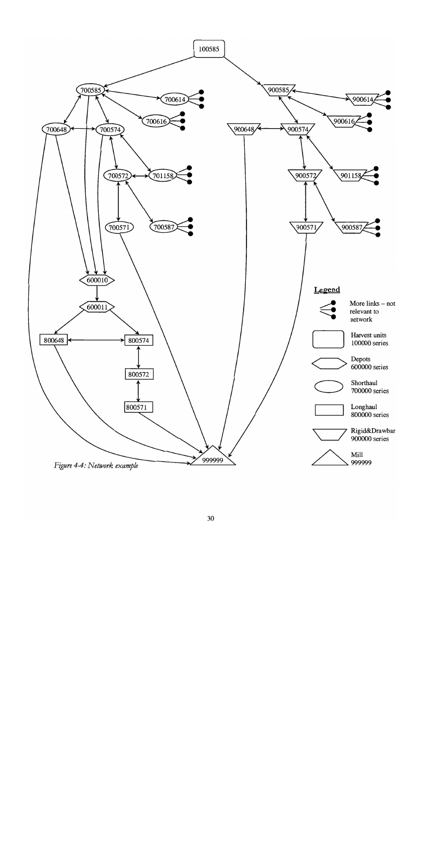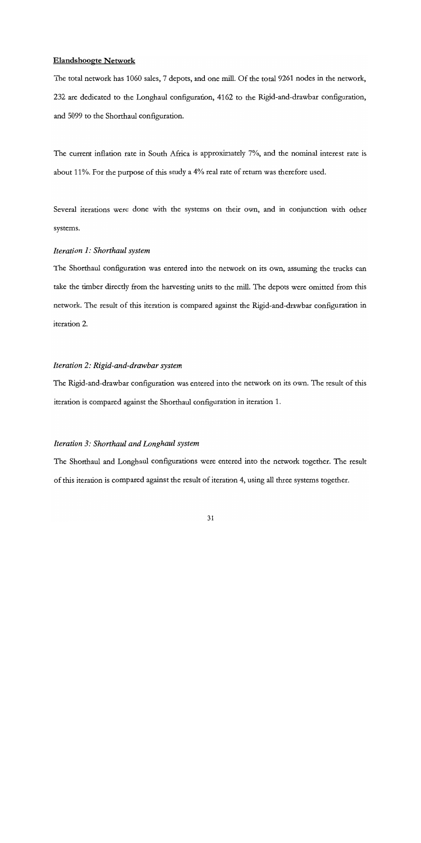### Elandshoogte Network

The total network has 1060 sales, 7 depots, and one mill. Of the total 9261 nodes in the network, 232 are dedicated to the Longhaul configuration, 4162 to the Rigid-and-drawbar configuration, and 5099 to the Shorthaul configuration.

The current inflation rate in South Africa is approximately 7%, and the nominal interest rate is about 11%. For the purpose of this study a 4% real rate of return was therefore used.

Several iterations were done with the systems on their own, and in conjunction with other systems.

# Iteration 1: Shorthaul system

The Shorthaul configuration was entered into the network on its own, assuming the trucks can take the timber directly from the harvesting units to the mill. The depots were omitted from this network. The result of this iteration is compared against the Rigid-and-drawbar configuration in iteration 2.

### Iteration 2: Rigid-and-drawbar system

The Rigid-and-drawbar configuration was entered into the network on its own. The result of this iteration is compared against the Shorthaul configuration in iteration 1.

## Iteration 3: Shorthaul and Longhaul system

The Shorthaul and Longhaul configurations were entered into the network together. The result of this iteration is compared against the result of iteration 4, using all three systems together.

31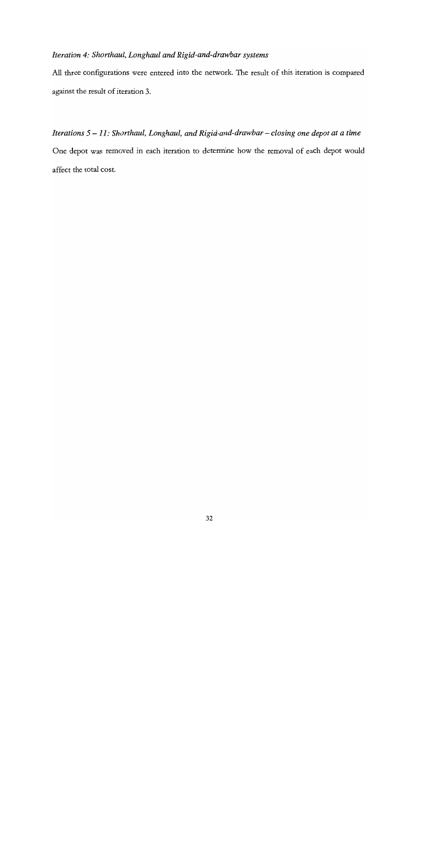# Iteration 4: Shorthaul, Longhaul and Rigid-and-drawbar systems

All three configurations were entered into the network. The result of this iteration is compared against the result of iteration 3.

Iterations  $5 - 11$ : Shorthaul, Longhaul, and Rigid-and-drawbar - closing one depot at a time One depot was removed in each iteration to determine how the removal of each depot would affect the total cost.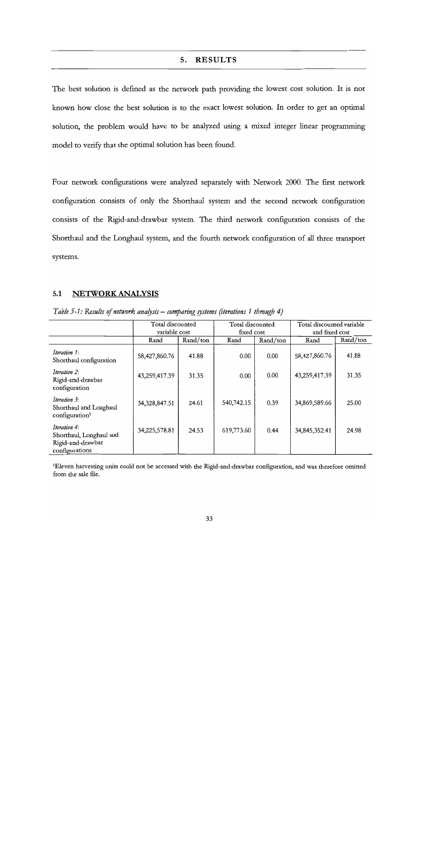### 5. RESULTS

The best solution is defined as the network path providing the lowest cost solution. It is not known how close the best solution is to the exact lowest solution. In order to get an optimal solution, the problem would have to be analyzed using a mixed integer linear programming model to verify that the optimal solution has been found.

Four network configurations were analyzed separately with Network 2000. The first network configuration consists of only the Shorthaul system and the second network configuration consists of the Rigid-and-drawbar system. The third network configuration consists of the Shorthaul and the Longhaul system, and the fourth network configuration of all three transport systems.

### 5.1 NETWORK ANALYSIS

|                                                                                | Total discounted<br>variable cost |          | Total discounted<br>fixed cost |          | Total discounted variable<br>and fixed cost |          |
|--------------------------------------------------------------------------------|-----------------------------------|----------|--------------------------------|----------|---------------------------------------------|----------|
|                                                                                | Rand                              | Rand/ton | Rand                           | Rand/ton | Rand                                        | Rand/ton |
| Iteration 1:<br>Shorthaul configuration                                        | 58,427,860.76                     | 41.88    | 0.00                           | 0.00     | 58,427,860.76                               | 41.88    |
| Iteration 2:<br>Rigid-and-drawbar<br>configuration                             | 43,259,417.39                     | 31.35    | 0.00                           | 0.00     | 43,259,417.39                               | 31.35    |
| Iteration 3:<br>Shorthaul and Longhaul<br>configuration <sup>1</sup>           | 34,328,847.51                     | 24.61    | 540,742.15                     | 0.39     | 34,869,589.66                               | 25.00    |
| Iteration 4:<br>Shorthaul, Longhaul and<br>Rigid-and-drawbar<br>configurations | 34,225,578.81                     | 24.53    | 619,773.60                     | 0.44     | 34,845,352.41                               | 24.98    |

| Table 5-1: Results of network analysis – comparing systems (iterations 1 through 4) |  |  |  |
|-------------------------------------------------------------------------------------|--|--|--|
|                                                                                     |  |  |  |

1Eleven harvesting units could not be accessed with the Rigid-and-drawbar configuration, and was therefore omitted from the sale file.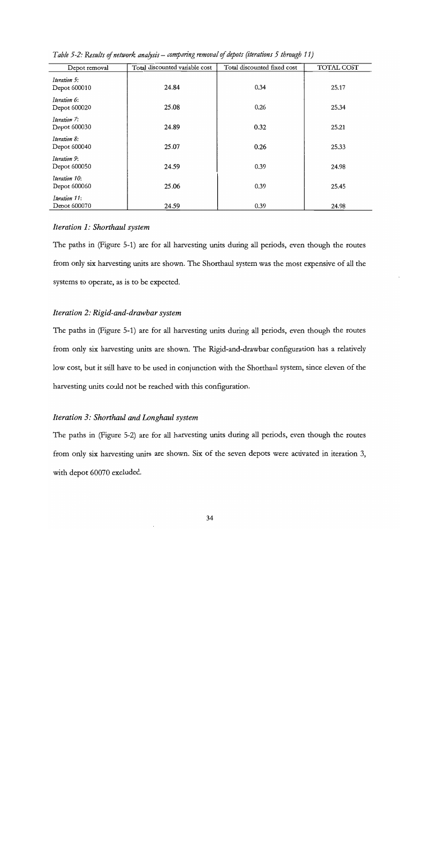| Depot removal                 | Total discounted variable cost | Total discounted fixed cost | TOTAL COST |
|-------------------------------|--------------------------------|-----------------------------|------------|
| Iteration 5:<br>Depot 600010  | 24.84                          | 0.34                        | 25.17      |
| Iteration 6:<br>Depot 600020  | 25.08                          | 0.26                        | 25.34      |
| Iteration 7:<br>Depot 600030  | 24.89                          | 0.32                        | 25.21      |
| Iteration 8:<br>Depot 600040  | 25.07                          | 0.26                        | 25.33      |
| Iteration 9:<br>Depot 600050  | 24.59                          | 0.39                        | 24.98      |
| Iteration 10:<br>Depot 600060 | 25.06                          | 0.39                        | 25.45      |
| Iteration 11:<br>Depot 600070 | 24.59                          | 0.39                        | 24.98      |

Table 5-2: Results of network analysis – comparing removal of depots (iterations 5 through 11)

### Iteration 1: Shorthaul system

The paths in (Figure 5-1) are for all harvesting units during all periods, even though the routes from only six harvesting units are shown. The Shorthaul system was the most expensive of all the systems to operate, as is to be expected.

### Iteration 2: Rigid-and-drawbar system

The paths in (Figure 5-1) are for all harvesting units during all periods, even though the routes from only six harvesting units are shown. The Rigid-and-drawbar configuration has a relatively low cost, but it still have to be used in conjunction with the Shorthaul system, since eleven of the harvesting units could not be reached with this configuration.

## Iteration 3: Shorthaul and Longhaul system

The paths in (Figure 5-2) are for all harvesting units during all periods, even though the routes from only six harvesting units are shown. Six of the seven depots were activated in iteration 3, with depot 60070 excluded.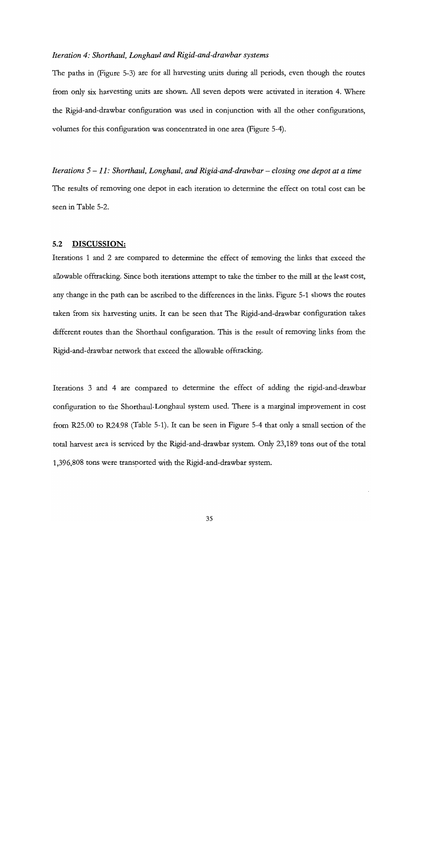#### Iteration 4: Shorthaul, Longhaul and Rigid-and-drawbar systems

The paths in (Figure 5-3) are for all harvesting units during all periods, even though the routes from only six harvesting units are shown. All seven depots were activated in iteration 4. Where the Rigid-and-drawbar configuration was used in conjunction with all the other configurations, volumes for this configuration was concentrated in one area (Figure 5-4).

Iterations  $5-11$ : Shorthaul, Longhaul, and Rigid-and-drawbar – closing one depot at a time The results of removing one depot in each iteration to determine the effect on total cost can be seen in Table 5-2.

#### 5.2 DISCUSSION:

Iterations I and 2 are compared to determine the effect of removing the links that exceed the allowable offtracking. Since both iterations attempt to take the timber to the mill at the least cost, any change in the path can be ascribed to the differences in the links. Figure 5-1 shows the routes taken from six harvesting units. It can be seen that The Rigid-and-drawbar configuration takes different routes than the Shorthaul configuration. This is the result of removing links from the Rigid-and-drawbar network that exceed the allowable offtracking.

Iterations 3 and 4 are compared to determine the effect of adding the rigid-and-drawbar configuration to the Shorthaul-Longhaul system used. There is a marginal improvement in cost from R25.00 to R24.98 (Table 5-I). It can be seen in Figure 5-4 that only a small section of the total harvest area is serviced by the Rigid-and-drawbar system. Only 23,189 tons out of the total 1,396,808 tons were transported with the Rigid-and-drawbar system.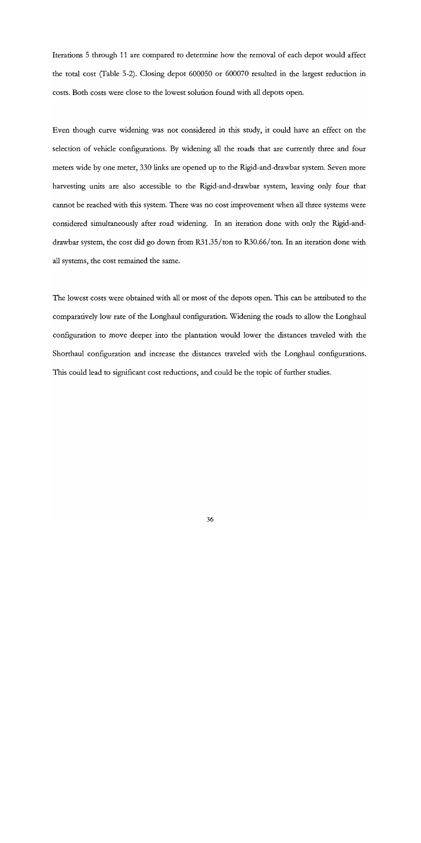Iterations 5 through 11 are compared to determine how the removal of each depot would affect the total cost (Table 5-2). Closing depot 600050 or 600070 resulted in the largest reduction in costs. Both costs were close to the lowest solution found with all depots open.

Even though curve widening was not considered in this study, it could have an effect on the selection of vehicle configurations. By widening all the roads that are currently three and four meters wide by one meter, 330 links are opened up to the Rigid-and-drawbar system. Seven more harvesting units are also accessible to the Rigid-and-drawbar system, leaving only four that cannot be reached with this system. There was no cost improvement when all three systems were considered simultaneously after road widening. In an iteration done with only the Rigid-and- drawbar system, the cost did go down from R31 .35/ton to R30.66/ton. In an iteration done with all systems, the cost remained the same.

The lowest costs were obtained with all or most of the depots open. This can be attributed to the comparatively low rate of the Longhaul configuration. Widening the roads to allow the Longhaul configuration to move deeper into the plantation would lower the distances traveled with the Shorthaul configuration and increase the distances traveled with the Longhaul configurations. This could lead to significant cost reductions, and could be the topic of further studies.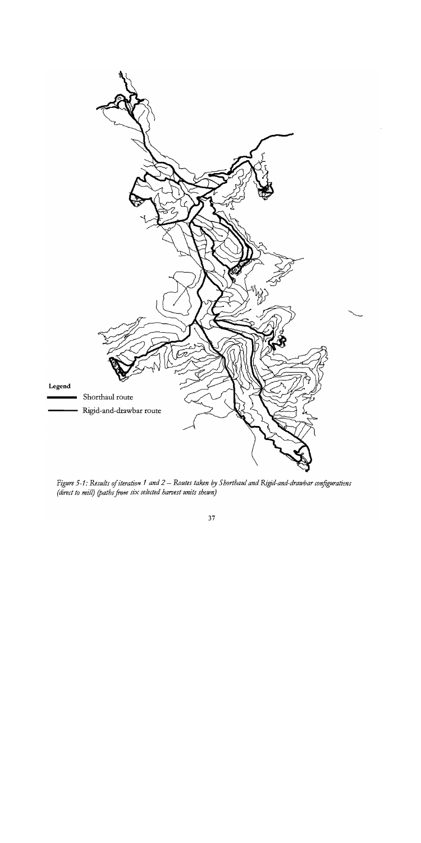

Figure 5-1: Results of iteration 1 and 2 – Routes taken by Shorthaul and Rigid-and-drawbar configurations (direct to mill) (paths from six selected harvest units shown)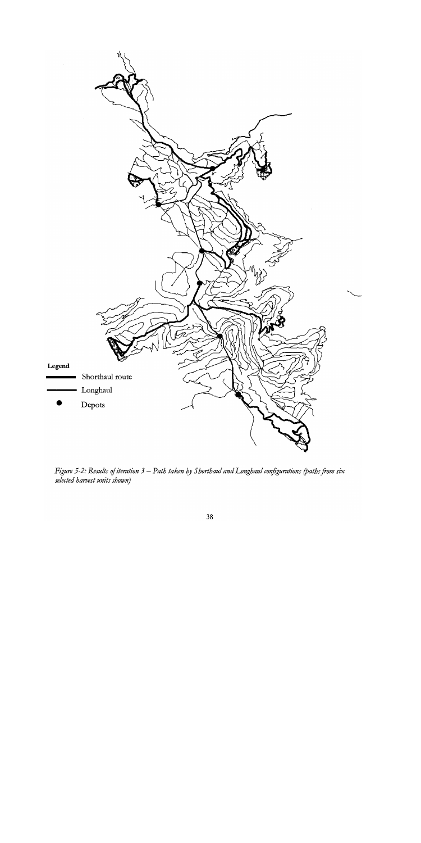

Figure 5-2: Results of iteration  $3$  – Path taken by Shorthaul and Longhaul configurations (paths from six selected harvest units shown)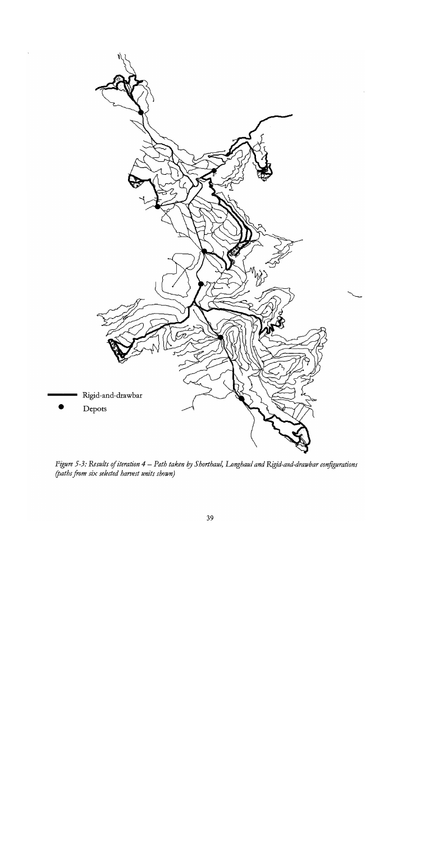

Figure 5-3: Results of iteration 4 – Path taken by Shorthaul, Longhaul and Rigid-and-drawbar configurations (paths from iix selected harvest units shown)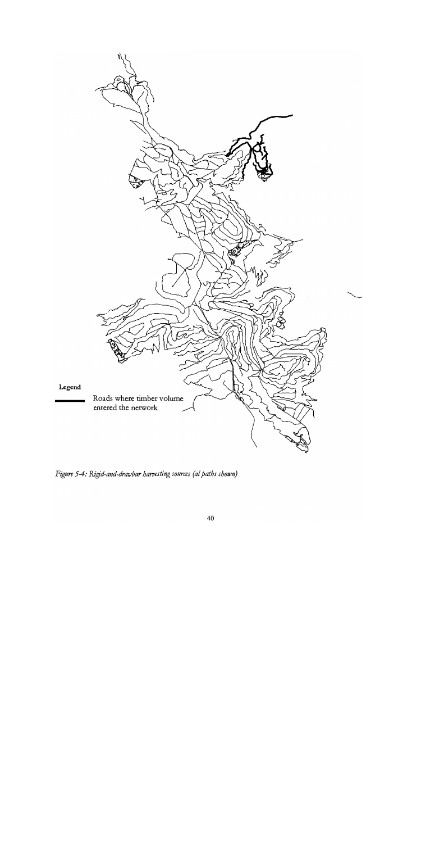

Figure 5-4: Rigid-and-drawbar harvesting sources (al paths shown)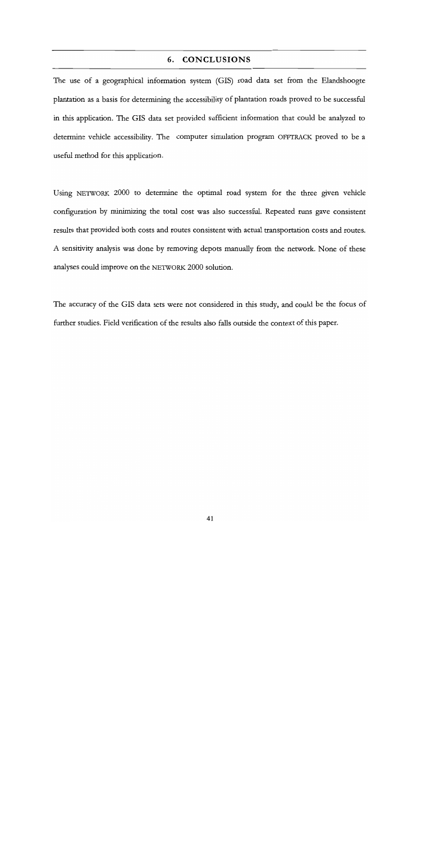## 6. CONCLUSIONS

The use of a geographical information system (GIS) road data set from the Elandshoogte plantation as a basis for determining the accessibility of plantation roads proved to be successful in this application. The GIS data set provided sufficient information that could be analyzed to determine vehicle accessibility. The computer simulation program OFFTRACK proved to be a useful method for this application.

Using NETWORK 2000 to determine the optimal road system for the three given vehicle configuration by minimizing the total cost was also successful. Repeated runs gave consistent results that provided both costs and routes consistent with actual transportation costs and routes. A sensitivity analysis was done by removing depots manually from the network. None of these analyses could improve on the NETWORK 2000 solution.

The accuracy of the GIS data sets were not considered in this study, and could be the focus of further studies. Field verification of the results also falls outside the context of this paper.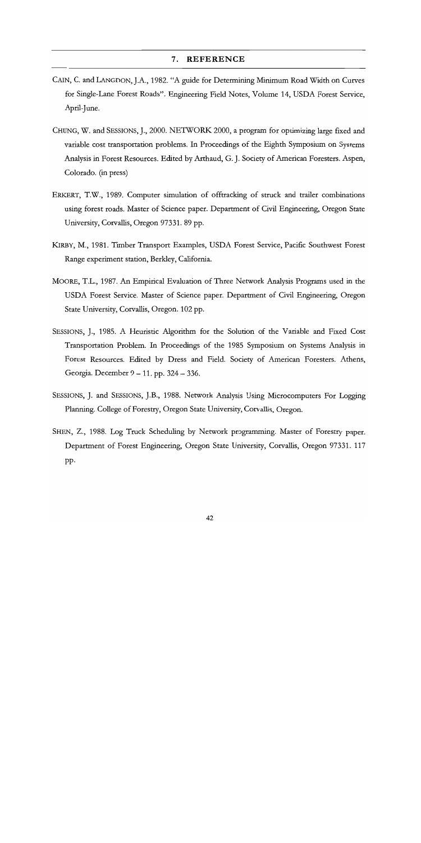#### 7. REFERENCE

- CAIN, C. and LANGDON, J.A., 1982. "A guide for Determining Minimum Road Width on Curves for Single-Lane Forest Roads". Engineering Field Notes, Volume 14, USDA Forest Service, April-June.
- CHUNG, W. and SESSIONS, J., 2000. NETWORK 2000, a program for optimizing large fixed and variable cost transportation problems. In Proceedings of the Eighth Symposium on Systems Analysis in Forest Resources. Edited by Arthaud, G. J. Society of American Foresters. Aspen, Colorado. (in press)
- ERKERT, T.W., 1989. Computer simulation of offtracking of struck and trailer combinations using forest roads. Master of Science paper. Department of Civil Engineering, Oregon State University, Corvallis, Oregon 97331. 89 pp.
- KIRBY, M., 1981. Timber Transport Examples, USDA Forest Service, Pacific Southwest Forest Range experiment station, Berkley, California.
- MOORE, T.L., 1987. An Empirical Evaluation of Three Network Analysis Programs used in the USDA Forest Service. Master of Science paper. Department of Civil Engineering, Oregon State University, Corvallis, Oregon. 102 pp.
- SESSIONS, J., 1985. A Heuristic Algorithm for the Solution of the Variable and Fixed Cost Transportation Problem. In Proceedings of the 1985 Symposium on Systems Analysis in Forest Resources. Edited by Dress and Field. Society of American Foresters. Athens, Georgia. December 9 – 11. pp. 324 – 336.
- SESSIONS, J. and SESSIONS, J.B., 1988. Network Analysis Using Microcomputers For Logging Planning. College of Forestry, Oregon State University, Corvallis, Oregon.
- SHEN, Z., 1988. Log Truck Scheduling by Network programming. Master of Forestry paper. Department of Forest Engineering, Oregon State University, Corvallis, Oregon 97331. 117 pp.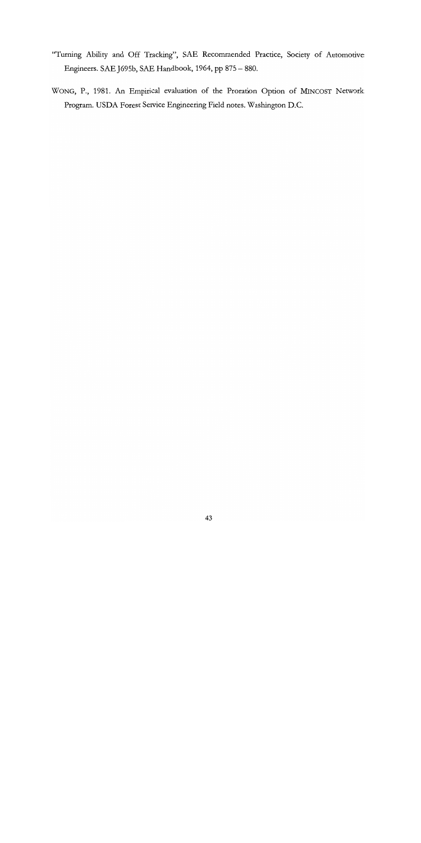- "Turning Ability and Off Tracking", SAE Recommended Practice, Society of Automotive Engineers. SAE J695b, SAE Handbook, 1964, pp 875 - 880.
- WONG, P., 1981. An Empirical evaluation of the Proration Option of MINCOST Network Program. USDA Forest Service Engineering Field notes. Washington D.C.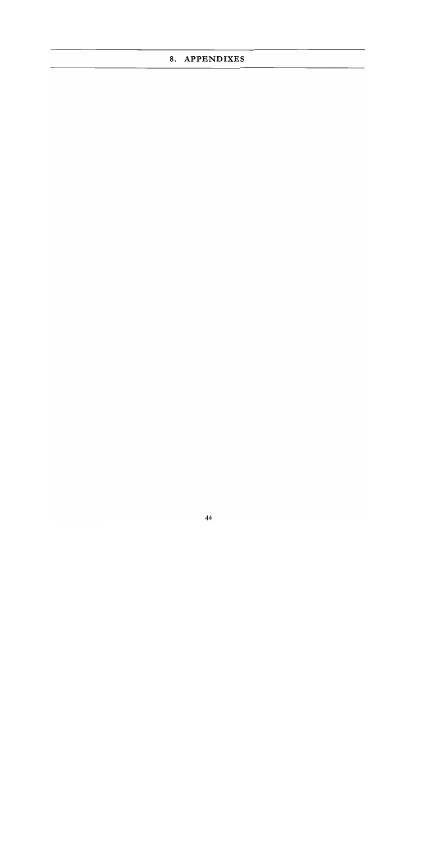# 8. APPENDIXES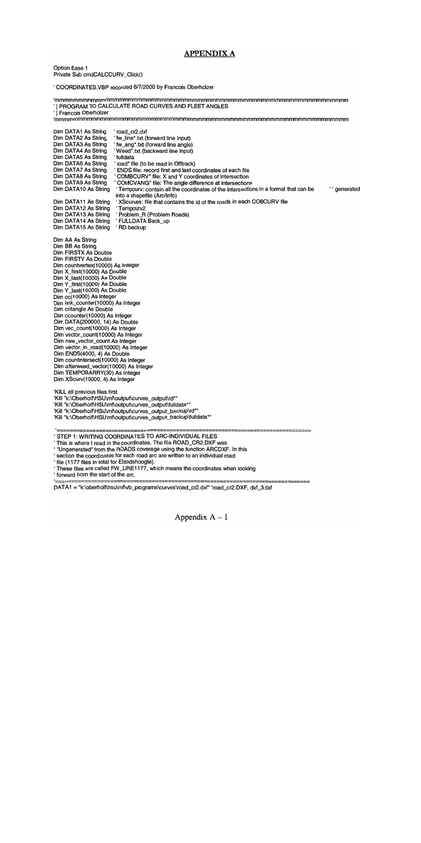### APPENDIX A

Option Base 1 Private Sub cmdCALCCURV\_Click()

COORDINATES.VBP recorded 6/7/2000 by Francois Oberhoizer

mmmmmmmmmmmmmmmmmmmmmmmmmmmmmmmmmmmmmmmmmmmmmmmmmmmmmmmmmmmmmmmm I PROGRAM TO CALCULATE ROAD CURVES AND FLEET ANGLES Francois Oberhoizer mmmmmmmmmmmmmmmmmmmmmmmmmmmmmmmmmmmmmmmmmmmmmmmmmmrnmmmmmmmmmmmmm road\_cr2.dxf Dim DATA1 As String Dim DATA2 As String fw\_line\*.txt (forward line input) Dim DATA3 As String fw\_ang\*.txt (forward line angle) Dim DATA4 As String Weed\*.txt (backward line input) Dim DATA5 As String fulidata road\* file (to be read in Offtrack) Dim DATA6 As String Dim DATA7 As String ENDS file: record first and last coordinates of each file Dim DATA8 As String COMBCURV\* file: X and Y coordinates of intersection Dim DATA9 As String COMCVANG\* file: The angle difference at intersections Dim DATA1O As String Tempcurv: contain all the coordinates of the intersections in a format that can be ''generated into a shapefile (Arc/Info) XScurves: file that contains the id of the roads in each COBCURV file Dim DATA11 As String Dim DATAl2 As String Tempcurv2 Problem\_R (Problem Roads) Dim DATA13 As String Dim DATA14 As String ' FULLDATA Back\_up Dim DATA15 As String 'RD backup Dim AA As String Dim BB As String Dim FIRSTX As Double Dim FIRSTY As Double Dim countvertex(1 0000) As Integer Dim X\_first(10000) As Double Dim X\_last(10000) As Double Dim Y\_first(10000) As Double Dim Y\_last(10000) As Double Dim cc(1 0000) As Integer Dim link\_counter(10000) As Integer Dim critangle As Double Dim ccounter(10000) As Integer Dim DATA(200000, 14) As Double Dim vec\_count(10000) As Integer Dim vector\_count(1 0000) As Integer Dim new\_vector\_count As Integer Dim vector\_in\_road(10000) As Integer Dim ENDS(4000, 4) As Double Dim countintersect(10000) As Integer Dim afterweed\_vector(1 0000) As Integer Dim TEMPORARRY(30) As Integer Dim XScurv(10000, 4) As Integer KILL all previous files first 'Kill "k:\Oberholf\HSU\mf\output\curves\_output\rd\*" 'Kill "k:\Oberholf\HSU\mf\output\curves\_output\fulldata\*" 'Kill "k:\Oberholf\HSU\mf\output\curves\_output\_backup\rd\*" 'Kill "k:\Oberholf\HSU\mf\output\curves\_output\_backup\fulldata\*" ========== STEP 1: WRITING COORDINATES TO ARC-INDIVIDUAL FILES ' This is where I read in the coordinates. The file ROAD\_CR2.DXF was ' "Ungenerated" from the ROADS coverage using the function ARCDXF. In this section the coordinates for each road arc are written to an individual road file (1177 files in total for Elandshoogte). These files are called FW\_LINE1177, which means the coordinates when looking forward from the start of the arc. DATA1 = "k:\oberholf\hsu\mf\vb\_programs\curves\road\_cr2.dxf" 'road\_cr2.DXF, dxf\_3.dxf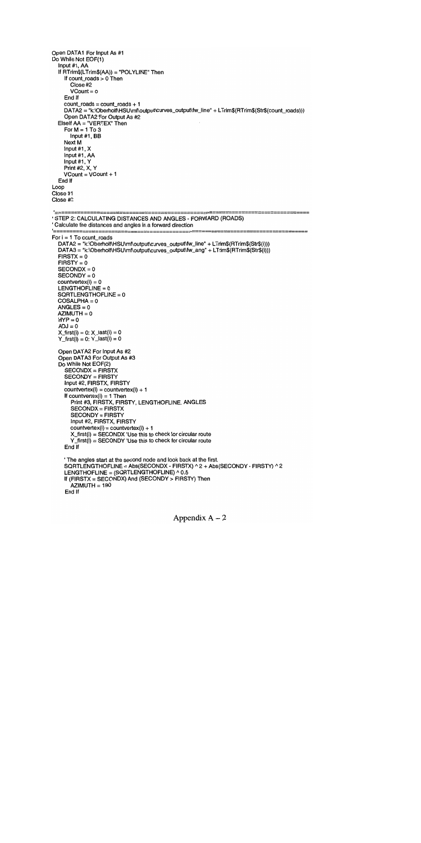Open DATA1 For Input As #1 Do While Not EOF(1) Input #1, AA If RTrim\$(LTrim\$(AA)) = "POLYLINE" Then If count\_roads > 0 Then Close #2  $VCount = 0$ End If count\_roads =  $count$  roads + 1 DATA2 = "k:\Oberholf\HSU\mf\output\curves\_output\fw\_line" + LTrim\$(RTrim\$(Str\$(count\_roads))) Open DATA2 For Output As #2  $E$ lself AA = "VERTEX" Then For  $M = 1$  To 3 Input #1, BB Next M Input #1, X Input #1,AA Input #1, Y Print #2, X, Y  $VCount = VCount + 1$ End If Loop Close #1 Close #2 '========= 'STEP 2: CALCULATING DISTANCES AND ANGLES - FORWARD (ROADS) Calculate the distances and angles in a forward direction For  $i = 1$  To count roads DATA2 = "k:\Oberholf\HSU\mf\output\curves\_output\fw\_line" + LTrim\$(RTrim\$(Str\$(i))) DATA3 = "k:\Oberholf\HSU\rnf\output\curves\_output\fw\_ang" + LTrim\$(RTrim\$(Str\$(i)))  $FIRSTX = 0$  $FIRST = 0$  $SECONDX = 0$  $SECONDY = 0$  $countertext(i) = 0$  $LENGTHOFLINE = 0$ SQRTLENGTHOFLINE = 0 COSALPHA=O  $ANGLES = 0$  $AZIMUTH = 0$  $HYP = 0$  $ADJ = 0$  $X_f$ first(i) = 0:  $X_f$  last(i) = 0  $Y$ \_first(i) = 0:  $Y$ \_last(i) = 0 Open DATA2 For Input As #2 Open DATA3 For Output As #3 Do While Not EOF(2) SECONDX = FIRSTX SECONDY = FIRSTY Input #2, FIRSTX, FIRSTY  $countvertex(i) = countvertex(i) + 1$ If countvertex $(i) = 1$  Then Print #3, FIRSTX, FIRSTY, LENGTHOFLINE, ANGLES SECONDX = FIRSTX SECONDY = FIRSTY Input #2, FIRSTX, FIRSTY  $countvertex(i) = countvertex(i) + 1$  $X_f$ irst(i) = SECONDX 'Use this to check for circular route  $Y$ <sub>\_</sub>first(i) = SECONDY 'Use this to check for circular route End If The angles start at the second node and look back at the first. SQRTLENGTHOFLINE = Abs(SECONDX - FIRSTX) ^ 2 + Abs(SECONDY - FIRSTY) ^ 2 LENGTHOFLINE = (SQRTLENGTHOFLINE) ^ 0.5 If (FIRSTX = SECONDX) And (SECONDY > FIRSTY) Then AZIMUTH = 180 End If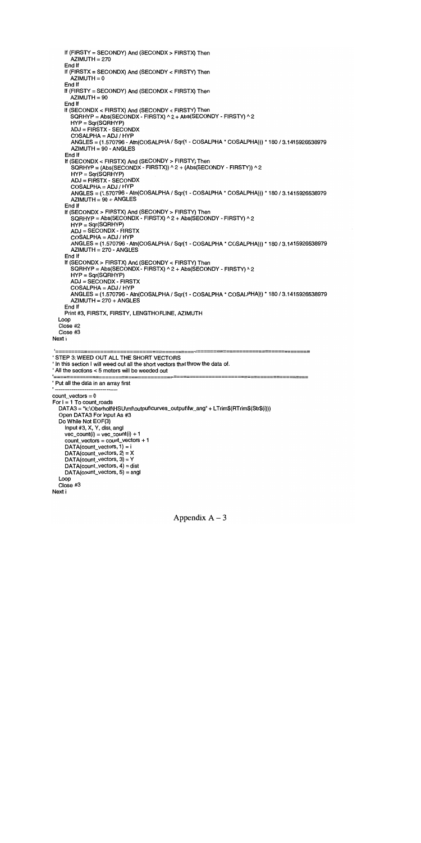```
If (FIRSTY = SECONDY) And (SECONDX> FIRSTX) Then
      AZIMUTH = 270End If
    If (FIRSTX = SECONDX) And (SECONDY < FIRSTY) Then
      AZIMUTH = 0End If
    If (FIRSTY = SECONDY) And (SECONDX < FIRSTX) Then
      AZIMUTH = 90End If
    If (SECONDX < FIRSTX) And (SECONDY < FIRSTY) Then
      SQRHYP = Abs(SECONDX - FIRSTX) \land 2 + Abs(SECONDY - FIRSTY) \land 2HYP = Sqr(SQRHYP)
      ADJ = FIRSTX - SECONDX
      COSALPHA = ADJ / HYP
      ANGLES = (1.570796 - Atn(COSALPHA / Sqr(1 - COSALPHA * COSALPHA))) * 180/3.1415926538979
      AZIMUTH = 90 - ANGLES
    End If
    If (SECONDX < FIRSTX) And (SECONDY> FIRSTY) Then
      SORHYP = (Abs(SECONDX - FIRSTX)) ^ 2 + (Abs(SECONDY - FIRSTY)) ^ 2
      HYP = Sqr(SQRHYP)
      ADJ = FIRSTX - SECONDX
      COSALPHA = ADJ / HYPANGLES = (1.570796 - Atn(COSALPHA / Sqr(1 - COSALPHA * COSALPHA))) * 180 / 3.1415926538979
      AZIMUTH = 90 + ANGLESEnd If
    If (SECONDX> FIRSTX) And (SECONDY> FIRSTY) Then
      SQRHYP = Abs(SECONDX - FIRSTX) <math>2 + Abs(SECONDY - FIRSTY) <math>2</math>HYP = Sqr(SQRHYP)
      ADJ =SECONDX- FIRSTX
      COSALPHA = ADJ / HYP
      ANGLES = (1.570796 - Atn(COSALPHA / Sqr(1 - COSALPHA * COSALPHA))) * 180 / 3.141 5926538979
      AZIMUTH = 270 - ANGLESEnd If
    If (SECONDX> FIRSTX) And (SECONDY < FIRSTY) Then
      SGRHYP = Abs(SECONDX - FIRSTX) \land 2 + Abs(SECONDY - FIRSTY) \land 2HYP = Sqr(SQRHYP)
      ADJ = SECONDX - FIRSTX
      COSALPHA = ADJ / HYP
      ANGLES = (1 .570796 - Atn(COSALPHA/ Sqr(1 - COSALPHA * COSALPHA))) * 180/ 3.1415926538979
      AZIMUTH = 270 + ANGLESEnd If
    Print #3, FIRSTX, FIRSTY, LENGTHOFLINE, AZIMUTH
  Loop
  Close #2
  Close #3
Next i
'=======
                                                                              .<br>.==========
STEP 3: WEED OUT ALL THE SHORT VECTORS
' In this section I will weed out all the short vectors that throw the data of.
All the sections <5 meters will be weeded out
Put all the data in an array first
count_vectors =0
For i = 1 To count_roads
  DATA3 = "k:\Oberholf\HSU\mf\output\curves_output\fw_ang" + LTrim$(RTrim$(Str$(i)))
  Open DATA3 For Input As #3
  Do While Not EOF(3)
    Input #3, X, Y, dist, angi
    vec\_count(i) = vec\_count(i) + 1count_vectors = count_vectors + 1
    DATA(count_vectors, 1) = i
    DATA(count_vectors, 2) = X
    DATA(count_vectors, 3) = Y
    DATA(count_vectors, 4) = dist
    DATA(count_vectors, 5) = angl
  Loop
  Close #3
Next i
```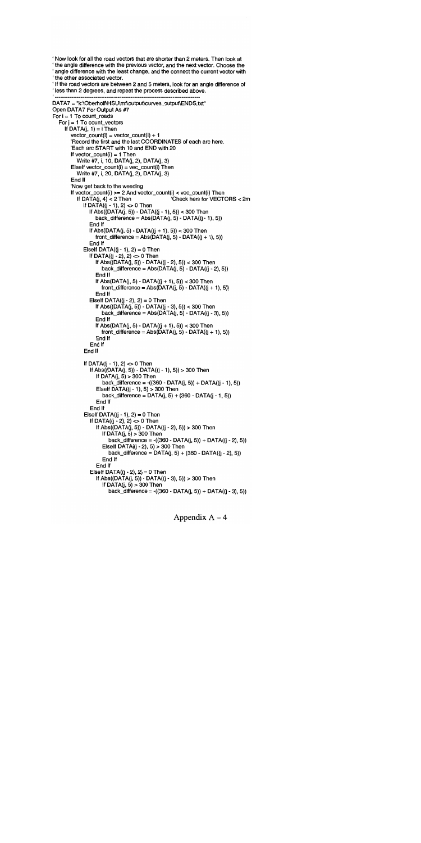Now look for all the road vectors that are shorter than 2 meters. Then look at the angle difference with the previous vector, and the next vector. Choose the angle difference with the least change, and the connect the current vector with the other associated vector. If the road vectors are between 2 and 5 meters, look for an angle difference of ' less than 2 degrees, and repeat the process described above. DATA7 = "k:\Oberholf\HSU\mf\output\curves\_output\ENDS.txt" Open DATA7 For Output As #7 For  $i = 1$  To count\_roads For  $j = 1$  To count\_vectors If  $DATA(j, 1) = i$  Then  $vector\_count(i) = vector\_count(i) + 1$ 'Record the first and the last COORDINATES of each arc here. Each arc START with 10 and END with 20 If vector\_count( $i$ ) = 1 Then Write #7, i, 10, DATA(j, 2), DATA(j, 3)  $E$ lself vector\_count(i) = vec\_count(i) Then Write #7, i, 20, DATA(j, 2), DATA(j, 3) End If Now get back to the weeding If vector\_count(i) >= 2 And vector\_count(i) < vec\_count(i) Then<br>If DATA(j, 4) < 2 Then<br>Check here for VECT 'Check here for VECTORS < 2m If DATA( $(i - 1)$ , 2) <> 0 Then If  $Abs((DATA(j, 5)) - DATA((j - 1), 5)) < 300$  Then back\_difference =  $Abs(DATA(i, 5) - DATA((i - 1), 5))$ End If If Abs(DATA(j, 5) - DATA((j + 1), 5)) < 300 Then front\_difference = Abs(DATA( $j$ , 5) - DATA( $(j + 1)$ , 5)) End If ElseIf DATA $(i - 1)$ , 2) = 0 Then If  $DATA((j - 2), 2) \ll 0$  Then If  $Abs([DATA(j, 5)) - DATA((j - 2), 5)) < 300$  Then back\_difference =  $Abs(DATA(j, 5) - DATA((j - 2), 5))$ End If If Abs(DATA(j, 5) - DATA((j + 1), 5)) < 300 Then front\_difference = Abs( $\overline{DATA}(j, 5)$  - DATA( $(j + 1), 5$ )) End If Elself DATA( $(j - 2)$ , 2) = 0 Then If  $Abs((DATA(j, 5)) - DATA((j - 3), 5)) < 300$  Then  $back\_difference = Abs(DATA(j, 5) - DATA((j - 3), 5))$ End If If Abs(DATA(j, 5) - DATA((j + 1), 5)) < 300 Then front\_difference =  $Abs(DATA(j, 5) - DATA((j + 1), 5))$ End If End If End If If DATA( $(i - 1)$ , 2) <> 0 Then If Abs((DATA(j, 5)) - DATA((J - 1), 5)) > 300 Then If DATA( $j$ , 5) > 300 Then  $back\_difference = ((360 - DATA(j, 5)) + DATA((j - 1), 5))$ Eiself DATA $(i - 1)$ , 5) > 300 Then back\_difference =  $DATA(j, 5) + (360 - DATA(j - 1, 5))$ End If End If Elself DATA( $(j - 1)$ , 2) = 0 Then If DATA(( $j - 2$ ),  $2$ )  $\leq 0$  Then If Abs((DATA(j, 5)) - DATA((J - 2), 5)) > 300 Then If  $DATA(j, 5) > 300$  Then back\_difference = -((360 - DATA(J, 5)) + DATA((J - 2), 5)) Elself DATA $(i - 2)$ , 5) > 300 Then  $back\_difference = DATA(j, 5) + (360 - DATA((j - 2), 5))$ End If End If Elself DATA $((j - 2), 2) = 0$  Then If Abs((DATA( $j$ , 5)) - DATA( $(j - 3)$ , 5)) > 300 Then If DATA $(j, 5) > 300$  Then  $back\_difference = -(360 - DATA(j, 5)) + DATA((j - 3), 5)$ )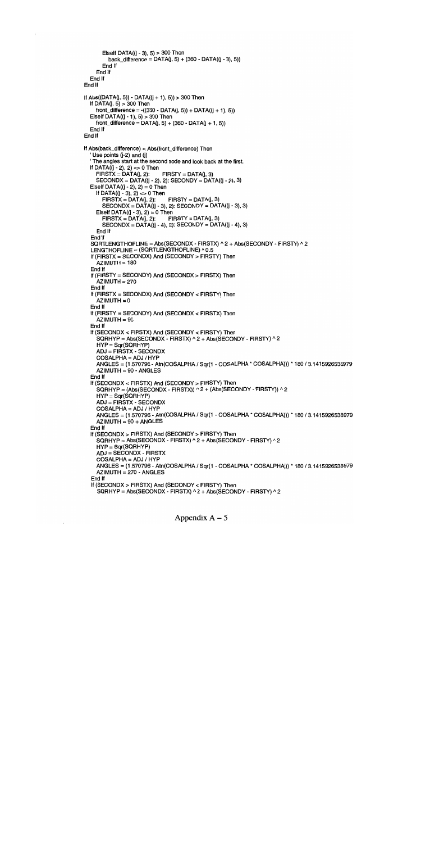```
Elself DATA((j - 3), 5) > 300 Then
        back_difference = DATA(j, 5) + (360 - DATA((j - 3), 5))End If
    End If
  End If
End If
If Abs((DATA(j, 5)) - DATA((j + 1), 5)) > 300 Then
  If DATA(i, 5) > 300 Then
    front\_difference = -(360 - DATA(j, 5)) + DATA((j + 1), 5))Elself DATA((i - 1), 5) > 300 Then
    front\_difference = DATA(j, 5) + (360 - DATA(j + 1, 5))End If
End If
If Abs(back_difference) < Abs(front_difference) Then
  Use points (j-2) and (j)The angles start at the second node and look back at the first.
  If DATA((i - 2), 2) \leq 0 Then<br>FIRSTX = DATA(j, 2): FIRSTY = DATA(j, 3)
    FIRSTX = DATA(j, 2):SECONDX = DATA((j - 2), 2): SECONDY = DATA((j - 2), 3)ElseIf DATA((j - 2), 2) = 0 Then
    If DATA((i - 3), 2) < > 0 Then<br>FIRSTX = DATA(i, 2):
                               FIRSTY = DATA(j, 3)SECONDX = DATA((j - 3), 2): SECONDY = DATA((j - 3), 3)Elself DATA((i - 3), 2) = 0 Then
      FIRSTX = DATA(j, 2): FIRSTY = DATA(j, 3)SECONDX = DATA((j - 4), 2): SECONDY = DATA((j - 4), 3)End If
  End If
  SQRTLENGTHOFLINE = Abs(SECONDX - FIRSTX) ^ 2 + Abs(SECONDY - FIRSTY) ^ 2
  LENGTHOFLINE = (SQRTLENGTHOFLINE) ^ 0.5
  If (FIRSTX = SECONDX) And (SECONDY> FIRSTY) Then
    AZIMUTH = 180End If
  If (FIRSTY = SECONDY) And (SECONDX> FIRSTX) Then
    AZIMUTH = 270End If
  If (FIRSTX = SECONDX) And (SECONDY < FIRSTY) Then
    AZIMUTH = 0End If
  If (FIRSTY = SECONDY) And (SECONDX < FIRSTX) Then
    AZIMUTH = 90End If
  If (SECONDX < FIRSTX) And (SECONDY < FIRSTY) Then
    SQRHYP = Abs(SECONDX - FIRSTX) ^{\wedge} 2 + Abs(SECONDY - FIRSTY) ^{\wedge} 2
    HYP = Sqr(SQRHYP)
    ADJ = FIRSTX - SECONDX
    COSALPHA=ADJ/HYP
    ANGLES = (1.570796 - Atn(COSALPHA / Sqr(1 - COSALPHA * COSALPHA))) * 180/3.1415926538979
    AZIMUTH = 90 - ANGLESEnd If
  If (SECONDX < FIRSTX) And (SECONDY> FIRSTY) Then
     SQRHYP = (Abs(SECONDX - FIRSTX)) ^ 2 + (Abs(SECONDY - FIRSTY)) ^ 2
    HYP = Sqr(SQRHYP)
    ADJ = FIRSTX - SECONDX
    COSALPHA = ADJ / HYP
    ANGLES = (1 .570796 - Atn(COSALPHA/Sqr(1 - COSALPHA * COSALPHA))) * 180/3.1415926538979
    AZIMUTH = 90 + ANGLESEnd If
  If (SECONDX > FIRSTX) And (SECONDY > FIRSTY) Then
     SGRHYP = Abs(SECONDX - FIRSTX) ^2 + Abs(SECONDY - FIRSTY) ^2HYP = Sqr(SQRHYP)
     ADJ = SECONDX - FIRSTX
     COSALPHA = ADJ / HYP
    ANGLES = (1.570796 - Atn(COSALPHA / Sqr(1 - COSALPHA * COSALPHA))) * 180 / 3.1415926538979
     AZIMUTH = 270 - ANGLES
  End If
   If (SECONDX> FIRSTX) And (SECONDY < FIRSTY) Then
     SGRHYP = Abs(SECONDX - FIRSTX) <sub>2</sub> + Abs(SECONDY - FIRSTY) <sub>2</sub>
```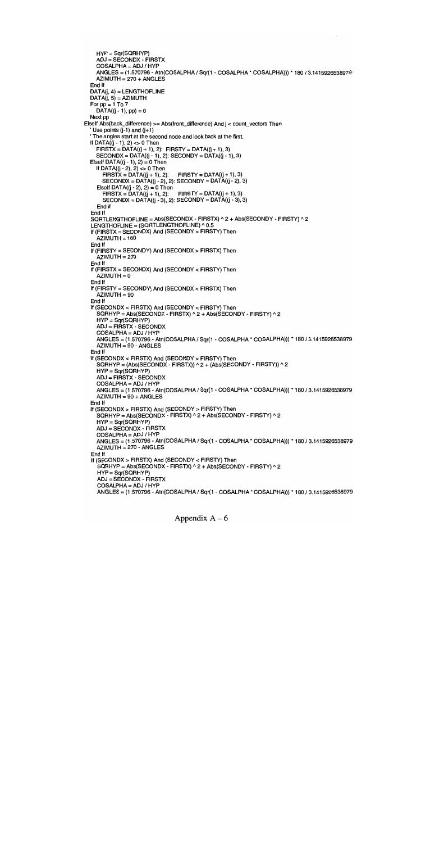```
HYP = Sqr(SQRHYP)
    ADJ = SECONDX - FIRSTX
    COSALPHA = ADJ / HYP
    ANGLES = (1.570796 - Atn(COSALPHA/ Sqr(1 - COSALPHA * COSALPHA))) * 180 / 3.1415926538979
    AZIMUTH = 270 + ANGLESEnd If
  DATA(j, 4) = LENGTHOFLINEDATA(j, 5) = AZIMUTHFor pp = 1 To 7
    DATA((j - 1), pp) = 0Next pp
Elself Abs(back_difference) >= Abs(front_difference) And j < count_vectors Then
  Use points (i-1) and (i+1)The angles start at the second node and look back at the first.
  If DATA(i - 1), 2) <> 0 Then
    FIRSTX = DATA((j + 1), 2): FIRSTY = DATA((j + 1), 3)SECONDX = DATA((j - 1), 2): SECONDY = DATA((j - 1), 3)Elself DATA((j - 1), 2) = 0 Then
    If DATA((j - 2), 2) <> 0 Then<br>
FIRSTX = DATA((j + 1), 2): FIRSTY = DATA((j + 1), 3)
      FIRSTX = DATA((j + 1), 2):
      SECONDX = DATA((j - 2), 2): SECONDY = DATA((j - 2), 3)Elseif DATA((j - 2), 2) = 0 Then<br>FIRSTX = DATA((j + 1), 2): FIRSTY = DATA((j + 1), 3)
      FIRSTX = DATA((j + 1), 2):
      SECONDX = DATA((j - 3), 2): SECONDY = DATA((j - 3), 3)End If
  End If
  SQRTLENGTHOFLINE = Abs(SECONDX - FIRSTX) ^ 2 + Abs(SECONDY - FIRSTY) ^ 2
  LENGTHOFLINE = (SQRTLENGTHOFLINE) ^ 0.5
  If (FIRSTX = SECONDX) And (SECONDY > FIRSTY) Then
    AZIMUTH = 180End If
  If (FIRSTY = SECONDY) And (SECONDX> FIRSTX) Then
    \overline{AZIMUTH} = 270End If
  If (FIRSTX = SECONDX) And (SECONDY < FIRSTY) Then
    AZIMUTH = 0End If
  If (FIRSTY = SECONDY) And (SECONDX < FIRSTX) Then
    AZIMUTH = 90End If
  If (SECONDX < FIRSTX) And (SECONDY < FIRSTY) Then
    SQRHYP = Abs(SECONDX - FIRSTX) A 2 + Abs(SECONDY - FIRSTY) A 2
    HYP = Sqr(SQRHYP)ADJ = FIRSTX - SECONDX
    COSALPHA = ADJ / HYP
    ANGLES = (1.570796 - Atn(COSALPHA / Sqr(1 - COSALPHA * COSALPHA))) * 180 / 3.1415926538979
    AZIMUTH =90-ANGLES
  End If
  If (SECONDX < FIRSTX) And (SECONDY> FIRSTY) Then
    \text{SQRHYP} = \text{(Abs}(\text{SECONDX} - \text{FIRSTX}) \wedge 2 + \text{(Abs}(\text{SECONDY} - \text{FIRSTY})) \wedge 2HYP = Sqr(SQRHYP)
    ADJ = FIRSTX - SECONDX
    COSALPHA = ADJ / HYP
    ANGLES = (1.570796 - Atn(COSALPHA / Sqr(i - COSALPHA * COSALPHA))) * 180 / 3.141 5926538979
    AZIMUTH = 90 + ANGLESEnd If
  If (SECONDX> FIRSTX) And (SECONDY> FIRSTY) Then
    SGRHYP = Abs(SECONDX - FIRSTX) \wedge 2 + Abs(SECONDY - FIRSTY) \wedge 2HYP = Sqr(SQRHYP)
    ADJ = SECONDX - FIRSTX
    COSALPHA = ADJ / HYP
    ANGLES = (1.570796 - Atn(COSALPHA / Sqr(i COSALPHA * COSALPHA))) * 180 / 3.1415926538979
    AZIMUTH = 270 - ANGLES
  End If
  If (SECONDX> FIRSTX) And (SECONDY < FIRSTY) Then
    SQRHYP = Abs(SECONDX - FIRSTX) \land 2 + Abs(SECONDY - FIRSTY) \land 2HYP = Sqr(SQRHYP)
    ADJ = SECONDX - FIRSTX
    COSALPHA = ADJ / HYP
    ANGLES = (1.570796 - Atn(COSALPHA / Sqr(i - COSALPHA * COSALPHA))) * 180 / 3.1415926538979
```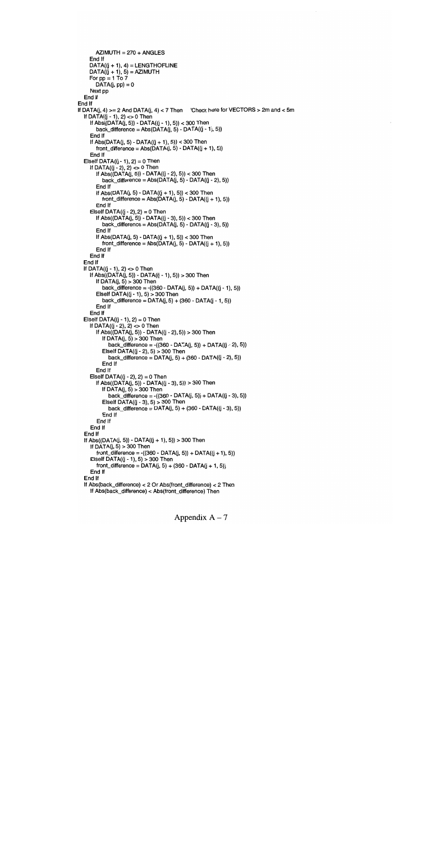```
AZIMUTH = 270 + ANGLES
    End If
    DATA((j + 1), 4) = LENGTHOFLINEDATA(\ddot{y} + 1), 5) = AZIMUTHFor pp = 1 To 7
       DATA(j, pp) = 0Next pp
  End If
End If
If DATA(j, 4) >= 2 And DATA(j, 4) < 7 Then Check here for VECTORS > 2m and < 5m
  If DATA((j - 1), 2) < 0 Then
    If Abs((DATA(j, 5)) - DATA((j - 1), 5)) < 300 Then
       back\_difference = Abs(DATA(j, 5) - DATA((j - 1), 5))End If
    If Abs(DATA(i, 5) - DATA((i + 1), 5)) < 300 Then
       front\_difference = Abs(DATA(j, 5) - DATA((j + 1), 5))End If
  Elself DATA(i - 1), 2) = 0 Then
    If DATA((j - 2), 2) \leq 0 Then
       If Abs((DATA(j, 5)) - DATA((j - 2), 5)) < 300 Then
          back_difference = Abs(DATA(j, 5) - DATA((j - 2), 5))End If
       If Abs(DATA(j, 5) - DATA((j + 1), 5)) < 300 Then
          front\_difference = Abs(DATA(j, 5) - DATA((j + 1), 5))End If
    ElseIf DATA(j - 2), 2) = 0 Then
       If Abs((DATA(i, 5)) - DATA((i - 3), 5)) < 300 Then
         back_difference = Abs(DATA(j, 5) - DATA((j - 3), 5))
       End If
       If Abs(DATA(j, 5) - DATA((j + 1), 5)) < 300 Then
          front_difference = Abs(DATA(i, 5) - DATA((i + 1), 5))End If
    End If
  End If
  If DATA(j - 1), 2) \leq 0 Then
    If \text{Abs}((\text{DATA}(j, 5)) - \text{DATA}(j - 1), 5)) > 300 Then
       If DATA(j, 5) > 300 Then
          back_difference = -((360 - DATA(J, 5)) + DATA((j - 1), 5))
       Elself DATA((j - 1), 5) > 300 Then
          back\_difference = DATA(j, 5) + (360 - DATA(j - 1, 5))End If
    End If
  Elself DATA((j - 1), 2) = 0 Then
     If DATA((j - 2), 2) \infty 0 Then
        If Abs((DATA(j, 5)) - DATA((J - 2), 5)) > 300 Then
          If DATA(j, 5) > 300 Then
            back\_difference = ((360 - DATA(j, 5)) + DATA((j - 2), 5))Elself DATA((j - 2), 5) > 300 Then
            back_difference = DATA(j, 5) + (360 - DATA((j - 2), 5))End If
       End If
    Elself DATA(i - 2), 2) = 0 Then
       If Abs((DATA(j, 5)) - DATA((j - 3), 5)) > 300 Then
          If DATA(j, 5) > 300 Then
            back\_difference = -(360 - DATA(j, 5)) + DATA((j - 3), 5))Elself DATA((i - 3), 5) > 300 Then
            back_difference = DATA(j, 5) + (360 - DATA((j - 3), 5))End If
       End If
    End If
  End If
  If Abs((DATA(j, 5)) - DATA((j + 1), 5)) > 300 Then
    If DATA(j, 5) > 300 Then
       front\_difference = ((360 - DATA(j, 5)) + DATA((j + 1), 5))ElseIf DATA(i - 1), 5) > 300 Then
       front\_difference = DATA(j, 5) + (360 - DATA(j + 1, 5))End If
  End If
  If Abs(back_difference) <2 Or Abs(front_difference) <2 Then
    If Abs(back_difference) < Abs(front_difference) Then
```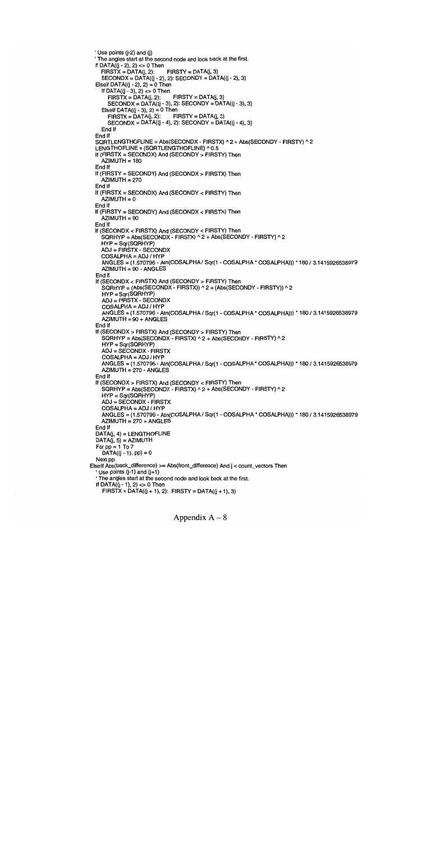```
Use points (j-2) and (j)
 The angles start at the second node and look back at the first.
 If DATA((j - 2), 2) <> 0 Then<br>FIRSTX = DATA(i, 2): FIRSTY = DATA(i, 3)
   FIRSTX = DATA(j, 2):
    SECONDX = DATA((j - 2), 2): SECONDY = DATA((j - 2), 3)ElseIf DATA((j - 2), 2) = 0 Then
    If DATA((j - 3), 2) <> 0 Then<br>FIRSTX = DATA(j, 2): FIRSTY = DATA(j, 3)
      FIRSTX = DATA(j, 2):
      SECONDX = DATA((j - 3), 2): SECONDY = DATA((j - 3), 3)Elself DATA((j - 3), 2) = 0 Then<br>FIRSTX = DATA(j, 2): FIRSTY = DATA(j, 3)
      FIRSTX = DATA(j, 2):
      SECONDX = DATA((j - 4), 2): SECONDY = DATA((j - 4), 3)End If
 End If
 SQRTLENGTHOFLINE = Abs(SECONDX- FIRSTX) A 2 + Abs(SECONDY - FIRSTY) A 2
 LENGTHOFLINE = (SQRTLENGTHOFLINE) ^ 0.5
 If (FIRSTX = SECONDX) And (SECONDY> FIRSTY) Then
    \DeltaZIMUTH = 180
 End If
 If (FIRSTY = SECONDY) And (SECONDX> FIRSTX) Then
    AZIMUTH = 270
 End If
 If (FIRSTX = SECONDX) And (SECONDY < FIRSTY) Then
    AZIMUTH = 0End If
 If (FIRSTY = SECONDY) And (SECONDX < FIRSTX) Then
    AZIMUTH = 90
 End If
 If (SECONDX < FIRSTX) And (SECONDY < FIRSTY) Then
    SGRHYP = Abs(SECONDX - FIRSTX) <math>2 + Abs(SECONDY - FIRSTY) <math>2</math>HYP = Sqr(SQRHYP)
    ADJ = FIRSTX - SECONDX
    COSALPHA=ADJ/HYP
    ANGLES = (1.570796 - Atn(COSALPHA / Sqr(1 - COSALPHA * COSALPHA))) * 180/3.1415926538979
    AZIMUTH = 90-ANGLES
  End If
 If (SECONDX < FIRSTX) And (SECONDY> FIRSTY) Then
    \text{SQRHYP} = \text{(Abs}(\text{SECONDX} \cdot \text{FIRSTX)}) \wedge 2 + \text{(Abs}(\text{SECONDY} \cdot \text{FIRSTY})) \wedge 2HYP = Sqr(SQRHYP)
    ADJ = FIRSTX - SECONDX
    COSALPHA = ADJ / HYP
    ANGLES = (1.570796 - Atn(COSALPHA / Sqr(1 - COSALPHA * COSALPHA))) * 180/3.1415926538979
    AZIMUTH = 90 + ANGLESEnd If
 If (SECONDX> FIRSTX) And (SECONDY> FIRSTY) Then
    SGRHYP = Abs(SECONDX - FIRSTX) <sub>2</sub> + Abs(SECONDY - FIRSTY) <sub>2</sub>HYP = Sqr(SQRHYP)ADJ = SECONDX - FIRSTX
    COSALPHA = ADJ / HYP
    ANGLES = (1.570796 - Atn(COSALPHA / Sqr(1 - COSALPHA * COSALPHA))) * 180 / 3.1415926538979
    AZIMUTH = 270 - ANGLES
  End If
  If (SECONDX> FIRSTX) And (SECONDY < FIRSTY) Then
    SQRHYP = Abs(SECONDX - FIRSTX) <sub>2</sub> + Abs(SECONDY - FIRSTY) <sub>2</sub>HYP = Sqr(SQRHYP)
    ADJ = SECONDX - FIRSTX
    COSALPHA = ADJ / HYP
    ANGLES = (1.570796 - Atn(COSALPHA / Sqr(1 - COSALPHA * COSALPHA))) * 180 / 3.1415926538979
    AZIMUTH = 270 + ANGLESEnd If
  DATA(j, 4) = LENGTHOFLINEDATA(j, 5) = AZIMUTHFor pp = 1 To 7DATA((j - 1), pp) = 0Next pp
ElseIf Abs(back_difference) >= Abs(front_difference) And j < count_vectors Then
  Use points (j-1) and (j+1)The angles start at the second node and look back at the first.
  If DATA((i - 1), 2) < > 0 Then
    FIRSTX = DATA((i + 1), 2): FIRSTY = DATA((i + 1), 3)
```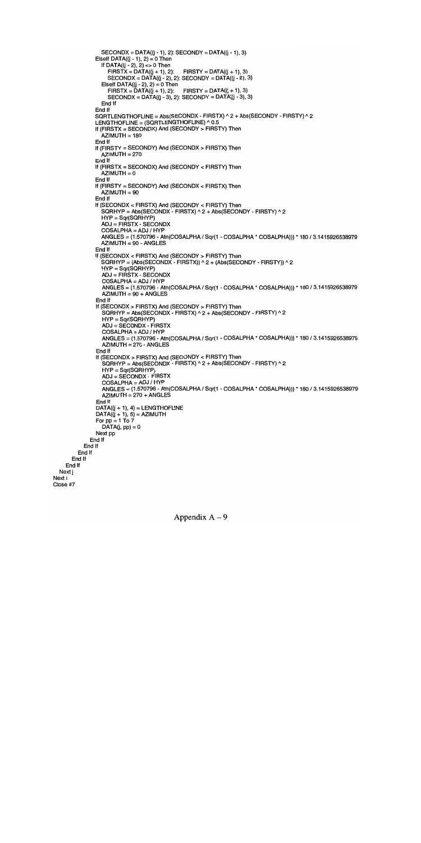```
SECONDX = DATA((j - 1), 2): SECONDY = DATA((j - 1), 3)Elself DATA((i - 1), 2) = 0 Then
          If DATA((j - 2), 2) <> 0 Then<br>FIRSTX = DATA((j + 1), 2); FIRSTY = DATA((j + 1), 3)
             FIRSTX = DATA((j + 1), 2):
             SECONDX = DATA((j - 2), 2): SECONDY = DATA((j - 2), 3)Elself DATA((i - 2), 2) = 0 Then
             FIRSTX = DATA((j + 1), 2): FIRSTY = DATA((j + 1), 3)SECONDX = DATA((j - 3), 2): SECONDY = DATA((j - 3), 3)End If
        End If
        SQRTLENGTHOFLINE = Abs(SECONDX - FIRSTX) ^ 2 + Abs(SECONDY - FIRSTY) ^ 2
        LENGTHOFLINE = (SQRTLENGTHOFLINE) ^ 0.5
        If (FIRSTX = SECONDX) And (SECONDY> FIRSTY) Then
          AZIMUTH = 180End If
        If (FIRSTY = SECONDY) And (SECONDX> FIRSTX) Then
          AZIMUTH = 270End If
        If (FIRSTX = SECONDX) And (SECONDY < FIRSTY) Then
          \overline{AZIMUTH} = 0End If
        If (FIRSTY = SECONDY) And (SECONDX < FIRSTX) Then
          AZIMUTH = 90End If
        If (SECONDX < FIRSTX) And (SECONDY < FIRSTY) Then
          SGRHYP = Abs(SECONDX - FIRSTX) \wedge 2 + Abs(SECONDY - FIRSTY) \wedge 2HYP = Sqr(SQRHYP)
          ADJ = FIRSTX - SECONDX
          COSALPHA = ADJ / HYP
          ANGLES = (1.570796 - Atn(COSALPHA / Sqr(1 - COSALPHA COSALPHA))) * 180/3.1415926538979
          AZIMUTH = 90-ANGLES
        End If
        If (SECONDX < FIRSTX) And (SECONDY > FIRSTY) Then
          \overrightarrow{SQRHYP} = (Abs(SECONDX - FIRSTX)) \wedge 2 + (Abs(SECONDY - FIRSTY)) \wedge 2HYP = Sqr(SQRHYP)ADJ = FIRSTX - SECONDX
          COSALPHA = ADJ / HYP
          ANGLES = (1.570796 - Atn(COSALPHA / Sqr(1 - COSALPHA COSALPHA))) * 180 / 3.1415926538979
          AZIMUTH = 90 + ANGLESEnd If
        If (SECONDX> FIRSTX) And (SECONDY> FIRSTY) Then
          SORHYP = Abs(SECONDX - FIRSTX) \cdot 2 + Abs(SECONDY - FIRSTY) \cdot 2HYP = Sqr(SQRHYP)ADJ = SECONDX - FIRSTX
          COSALPHA = ADJ / HYP
          ANGLES = (1.570796 - Atn(COSALPHA / Sqr(1 - COSALPHA * COSALPHA))) * 180 / 3.1415926538979
          AZIMUTH = 270 - ANGLESEnd If
        If (SECONDX> FIRSTX) And (SECONDY < FIRSTY) Then
          SORHYP = Abs(SECONDX - FIRSTX) \land 2 + Abs(SECONDY - FIRSTY) \land 2HYP = Sar(SQRHYP)
          ADJ = SECONDX - FIRSTX
          COSALPHA = ADJ / HYP
          ANGLES = (1.570796 - Atn(COSALPHA / Sqr(1 - COSALPHA * COSALPHA))) * 180 / 3.1415926538979
          AZIMUTH = 270 + ANGLESEnd If
        DATA((j + 1), 4) = LENGTHOFLINEDATA((j + 1), 5) = AZIMUTHFor pp = 1 To 7DATA(j, pp) = 0Next pp
      End If
    End If
  End If
End If
```
End If Next j Next i Close #7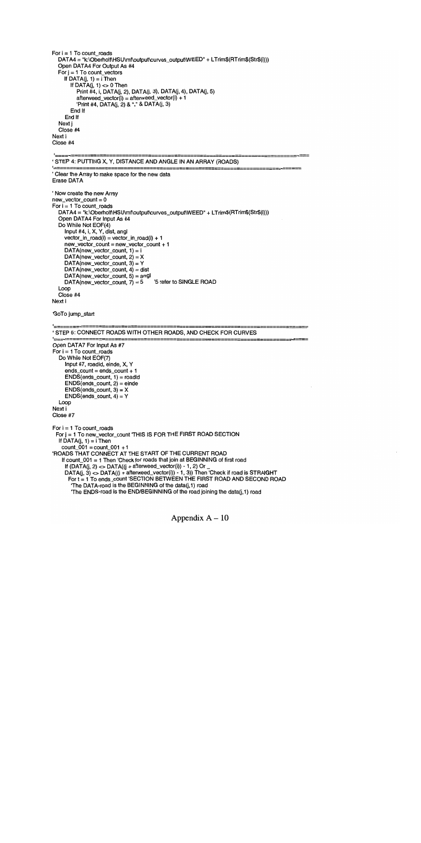For  $i = 1$  To count\_roads DATA4 = "k:\Oberholf\HSU\mf\output\curves\_output\WEED" + LTrim\$(RTrim\$(Str\$(i))) Open DATA4 For Output As #4 For  $j = 1$  To count vectors If  $DATA(j, 1) = i$  Then If DATA $(i, 1) \leq 0$  Then Print #4, i, DATA(j, 2), DATA(j, 3), DATA(j, 4), DATA(j, 5)  $afterweed\_vector(i) = afterweed\_vector(i) + 1$ 'Print #4, DATA( $j$ , 2) & "," & DATA( $j$ , 3) End If End If Next j Close #4 Next i Close #4 ' STEP 4: PUTTING X, Y, DISTANCE AND ANGLE IN AN ARRAY (ROADS) Clear the Array to make space for the new data Erase DATA Now create the new Array  $new\_vector\_count = 0$ For  $i = 1$  To count\_roads DATA4 = "k:\Oberholf\HSU\mf\output\curves\_output\WEED" + LTrim\$(RTrim\$(Str\$(i))) Open DATA4 For Input As #4 Do While Not EOF(4) Input #4, I, X, Y, dist, angi vector\_in\_road(i) = vector\_in\_road(i) + 1 new vector count = new vector\_count + 1  $DATA(new\_vector\_count, 1) = i$ DATA(new\_vector\_count,  $2$ ) = X DATA(new\_vector\_count, 3) = Y  $DATA(new\_vector\_count, 4) = dist$ DATA(new\_vector\_count, 5) = angl DATA(new\_vector\_count,  $7$ ) = 5 Loop Close #4 Next i GoTo jump\_start '=-'STEP 5: CONNECT ROADS WITH OTHER ROADS, AND CHECK FOR CURVES Open DATA7 For Input As #7 For  $i = 1$  To count\_roads Do While Not EOF(7) Input #7, roadid, einde, X, Y  $ends\_count = ends\_count + 1$  $ENDS$ (ends\_count, 1) = roadid  $ENDS(ends_count, 2) = einde$  $ENDS(ends_count, 3) = X$  $ENDS(ends\_count, 4) = Y$ Loop Next i Close #7 For  $i = 1$  To count\_roads Forj = 1 To new\_vector\_count THIS IS FOR THE FIRST ROAD SECTION If  $DATA(j, 1) = i$  Then count\_001 = count\_001 + 1 ROADS THAT CONNECT AT THE START OF THE CURRENT ROAD If count  $001 = 1$  Then 'Check for roads that join at BEGINNING of first road If (DATA(j, 2) <> DATA((j + afterweed\_vector(i)) - 1, 2) Or  $\_$ DATA(j, 3) <> DATA((j + afterweed\_vector(i)) - 1, 3)) Then 'Check if road is STRAIGHT Fort = 1 To ends\_count SECTION BET\NEEN THE FIRST ROAD AND SECOND ROAD The DATA-road is the BEGINNING of the data(j,1) road 'The ENDS-road is the END/BEGINNING of the road joining the data(j,1) road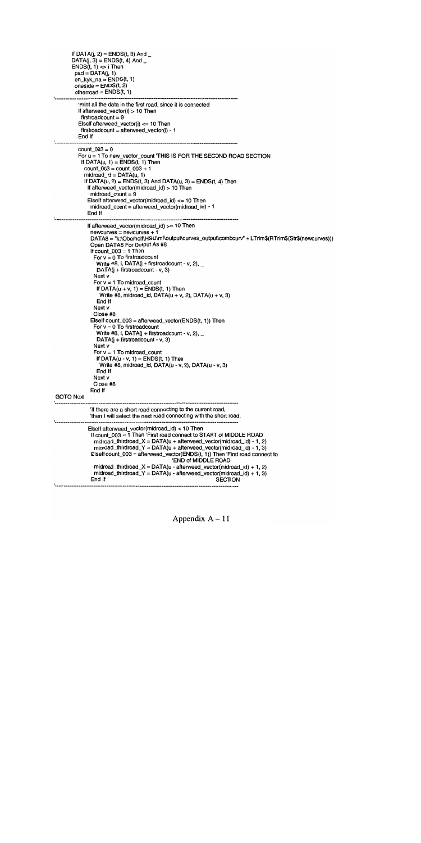```
If DATA(j, 2) = ENDS(t, 3) And _DATA(j, 3) = ENDS(t, 4) And _
       ENDS(t, 1) \Leftrightarrow i Then
        pad = DATA(j, 1)en_kyk_na = ENDS(t, 1)oneside = ENDS(t, 2)otherroad = ENDS(t, 1)Print all the data in the first road, since it is connected
         If afterweed_vector(i) > 10 Then
          firstroadcount = 9
         Elseif afterweed_vector(i) <= 10 Then
          first roadcount = afterweed\_vector(i) - 1End If
'-----------
                          count 003 = 0For u = 1 To new_vector_count 'THIS IS FOR THE SECOND ROAD SECTION
          If DATA(u, 1) = ENDS(t, 1) Then
           count\_003 = count\_003 + 1mid\_id = DATA(u, 1)If DATA(u, 2) = ENDS(t, 3) And DATA(u, 3) = ENDS(t, 4) Then
            If afterweed_vector(midroad_id) > 10 Then
             midroad_count = 9
            ElseIf afterweed_vector(midroad_id) \leq 10 Then
             midroad_count = afterweed_vector(midroad_id) - 1
            End If
'--------------
                              If afterweed_vector(midroad_id) >= 10 Then
             newcurves = newcurves + 1DATA8 = "k:\Oberholf\HSU\mf\output\curves_output\combcurv" + LTrim$(RTrim$(Str$(newcurves)))
             Open DATA8 For Output As #8
             If count_003 = 1 Then
               For v = 0 To firstroadcount
                Write #8, i, DATA(j + firstroadcount - v, 2), \overline{\phantom{a}}DATA(i + firstroadcount - v, 3)Next v
               For v = 1 To midroad_count
                If DATA(u + v, 1) = ENDS(t, 1) Then
                 Write #8, midroad_id, DATA(u + v, 2), DATA(u + v, 3)End If
               Next v
               Close #8
              ElseIf count_003 = afterweed_vector(ENDS(t, 1)) Then
               For v = 0 To firstroadcount
                Write #8, i, DATA(j + firstroadcount - v, 2), -DATA(j + firstroadcount - v, 3)
               Next v
               For v = 1 To midroad_count
                If DATA(u - v, 1) = ENDS(t, 1) Then
                 Write #8, midroad_id, DATA(u - v, 2), DATA(u - v, 3)
                End If
               Next v
               Close #8
             End If
GOTO Next
             'If there are a short road connecting to the current road,
             'then I will select the next road connecting with the short road.
            Elseif afterweed_vector(midroad_id) < 10 Then
             If count_003 = 1 Then 'First road connect to START of MIDDLE ROAD
               midroad_thirdroad_X = DATA(u + afterweed_vector(midroad_id) - 1, 2)
              midrad_{1} thirdroad_Y = DATA(u + afterweed_vector(midroad_id) - 1, 3)
              Elself count_003 = afterweed_vector(ENDS(t, 1)) Then 'First road connect to
                                             END of MIDDLE ROAD
               midroad\_thirdroad\_X = DATA(u - afterweed\_vector(midroad_id) + 1, 2)midroad_thirdroad_Y = DATA(u - afterweed_vector(midroad_id) + 1, 3)<br>End If SECTION
                                                              SECTION
```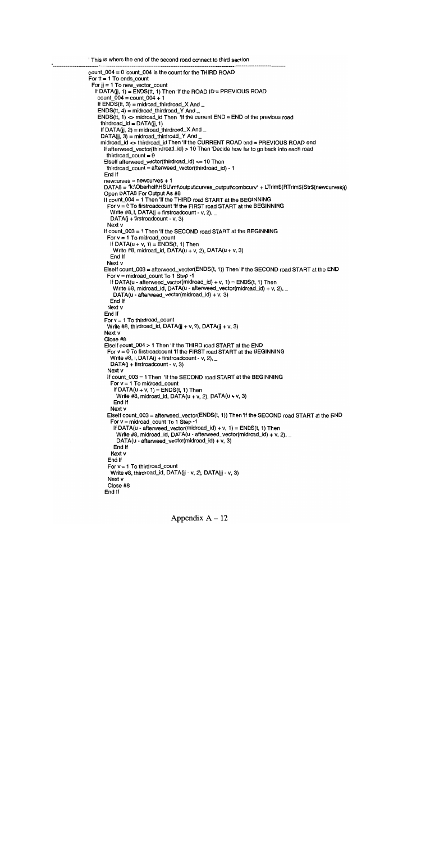```
This is where the end of the second road connect to third section
count\_004 = 0 'count_004 is the count for the THIRD ROAD
For t = 1 To ends count
 For ji = 1 To new vector count
  If DATA(jj, 1) = ENDS(tt, 1) Then 'If the ROAD ID = PREVIOUS ROAD
   count_004 = count_004 + 1If ENDS(t, 3) = midroad thirdroad X AndENDS(t, 4) = midroad\_thirdroad_Y AndENDS(t, 1) \sim midroad_id Then 'If the current END = END of the previous road
    thirdroad_id = DATA(ij, 1)If DATA(jj, 2) = midroad_thirdroad_X And \_DATA(ij, 3) = midroad\_thirdroad_Y Andmidroad id \ll thirdroad id Then If the CURRENT ROAD end = PREVIOUS ROAD end
      If afterweed_vector(thirdroad_id) > 10 Then 'Decide how far to go back into each road
       thirdroad count = 9Elseif afterweed_vector(third road_id) <= 10 Then
       thirdroad_count = afterweed_vector(thirdroad_id) - 1
      End If
      newcurves = newcurves + 1DATA8 = "k:\Oberholf\HSU\mf\output\curves_output\combcurv" + LTrim$(RTrim$(Str$(newcurves)))
      Open DATA8 For Output As #8
      If count_004 = 1 Then 'If the THIRD road START at the BEGINNING
       For v = 0 To firstroadcount 'If the FIRST road START at the BEGINNING
        Write #8, i, DATA(j + firstroadcount - v, 2), -DATA(i + firstroadcount - v, 3)Next v
      If count_003 = 1 Then 'If the SECOND road START at the BEGINNING
       For v = 1 To midroad_count
        If DATA(u + v, 1) = ENDS(t, 1) Then
         Write #8, midroad_id, DATA(u + v, 2), DATA(u + v, 3)
        End If
       Next v
      Elself count_003 = afterweed_vector(ENDS(t, 1)) Then 'If the SECOND road START at the END
       For v = midroad_count To 1 Step -1
        If DATA(u - afterweed_vector(midroad_id) + v, 1) = ENDS(t, 1) Then
         Write #8, midroad_id, DATA(u - afterweed_vector(midroad_id) + v, 2), _
         DATA(u - afterweed_vector(midroad_id) + v, 3)
        End If
       Next v
      End If
      For v = 1 To thirdroad_count
       Write #8, thirdroad_id, DATA(jj + v, 2), DATA(jj + v, 3)
      Next v
      Close #8
      Elself count_004 > 1 Then 'If the THIRD road START at the END
       For v = 0 To firstroadcount 'If the FIRST road START at the BEGINNING
        Write #8, i, DATA(j + firstroadcount - v, 2), -DATA(j + firstroadcount - v, 3)Next v
       If count_003 = 1 Then 'If the SECOND road START at the BEGINNING
        For v = 1 To midroad_count
         If DATA(u + v, 1) = ENDS(t, 1) Then
           Write #8, midroad_id, DATA(u + v, 2), DATA(u + v, 3)
         End If
        Next v
       EseIf count_003 = afterweed_vector(ENDS(t, 1)) Then If the SECOND road START at the END
        For v = midroad_count To 1 Step -1
         If DATA(u - afterweed_vector(midroad_id) + v, 1) = ENDS(t, 1) Then
           Write #8, midroad_id, DATA(u - afterweed_vector(midroad_id) + v, 2), _
           DATA(u - afterweed_vector(midroad_id) + v, 3)
          End If
        Next v
       End If
       For v = 1 To thirdroad_count
        Write #8, thirdroad_id, DATA(jj - v, 2), DATA(jj - v, 3)
       Next v
       Close #8
      End If
```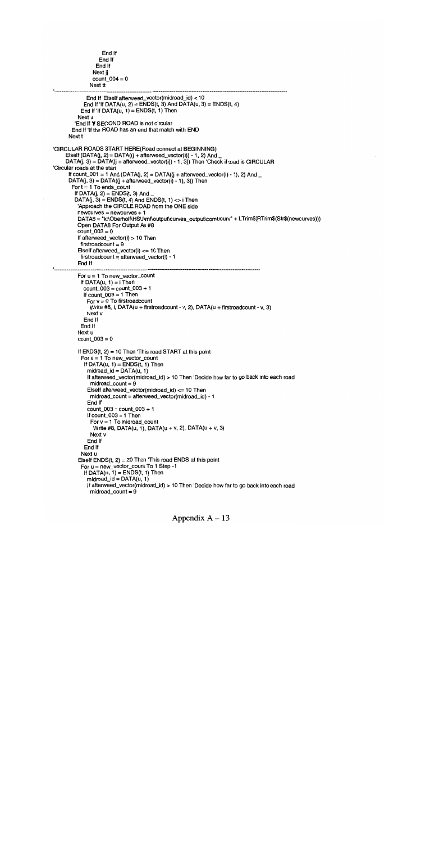```
End If
                 End If
                End If
               Next jj
               count 004 = 0Next ft
            End If Elseif afterweed_vector(midroad_id) < 10
           End If If DATA(u, 2) = ENDS(t, 3) And DATA(u, 3) = ENDS(t, 4)
          End If 'If DATA(u, 1) = ENDS(t, 1) Then
         Next u
        'End If 'If SECOND ROAD is not circular
      End If If the ROAD has an end that match with END
     Next t
CIRCULAR ROADS START HERE(Road connect at BEGINNING)
    Elself (DATA(j, 2) = DATA((j + afterweed_vector(i)) -1, 2) And
    DATA(j, 3) = DATA((j + affected\_vector(i)) - 1, 3) Then 'Check if road is CIRCULAR
Circular roads at the start
     If count_001 = 1 And (DATA(j, 2) = DATA((j + afterweed_vector(i) - 1), 2) And _
     DATA(j, 3) = DATA((j + afterweed\_vector(i) - 1), 3)) Then
       For t = 1 To ends_count
        If DATA(j, 2) = ENDS(t, 3) And
        DATA(j, 3) = ENDS(t, 4) And ENDS(t, 1) <> i Then
         Approach the CIRCLE ROAD from the ONE side
         newcurves = newcurves + 1DATA8 = "k:\Oberholf\HSU\mf\output\curves_output\combcurv" + LTrim$(RTrim$(Str$(newcurves)))
         Open DATA8 For Output As #8
         \text{count}_003 = 0If afterweed_vector(i) > 10 Then
          first roadcount = 9ElseIf afterweed_vector(i) <= 10 Then
          first roadcount = afterweed\_vector(i) - 1End If
         For u = 1 To new_vector_count
          If DATA(u, 1) = i Then
           count\_003 = count\_003 + 1If count_003 = 1 Then
             For v = 0 To firstroadcount
              Write #8, i, DATA(u + firstroadcount - v, 2), DATA(u + firstroadcount - v, 3)
            Next v
           End If
          End If
         Next u
         count 003 = 0If ENDS(t, 2) = 10 Then 'This road START at this point
          For u = 1 To new_vector_count
           If DATA(u, 1) = ENDS(t, 1) Then
             midrad_id = DATA(u, 1)If afterweed_vector(midroad_id) > 10 Then Decide how far to go back into each road
              mid\_count = 9Elseif afterweed_vector(midroad_id) <= 10 Then
              midroad_count = afterweed_vector(midroad_id) - 1
             End If
             count\_003 = count\_003 + 1If count 003 = 1 Then
              For v = 1 To midroad_count
               Write #8, DATA(u, 1), DATA(u + v, 2), DATA(u + v, 3)
              Next v
             End If
            End If
          Next u
         Elself ENDS(t, 2) = 20 Then 'This road ENDS at this point
          For u = new_vector_count To 1 Step -1
           If DATA(u, 1) = ENDS(t, 1) Then
             mid\_id = DATA(u, 1)
             If afterweed_vector(midroad_id) > 10 Then 'Decide how far to go back into each road
              mid count = 9
```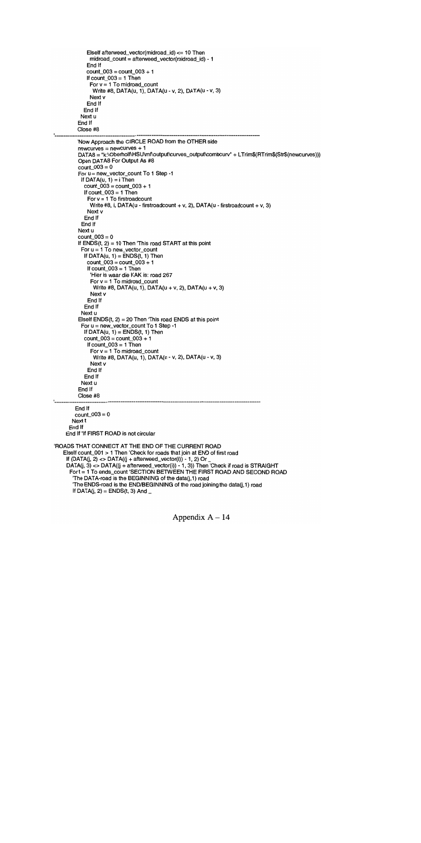```
Elself afterweed_vector(midroad_id) <= 10 Then
              midroad_count = afterweed_vector(midroad_id) - 1
             End If
             count 003 = count 003 + 1If count_003 = 1 Then
              For v = 1 To midroad_count
               Write #8, DATA(u, 1), DATA(u - v, 2), DATA(u - v, 3)
              Next v
             End If
           End If
          Next u
         End If
         Close #8
         Now Approach the CIRCLE ROAD from the OTHER side
         newcurves = newcurves + 1DATA8 = "k:\Oberholf\HSU\mf\output\curves_output\combcurv" + LTrim$(RTrim$(Str$(newcurves)))
         Open DATA8 For Output As #8
         count\_003 = 0For u = new_vector_count To 1 Step -1
          If DATA(u, 1) = i Then
           count 003 = count 003 + 1If count_003 = 1 Then
             For v = 1 To firstroadcount
              Write #8, i, DATA(u - firstroadcount + v, 2), DATA(u - firstroadcount + v, 3)
             Next v
           End If
          End If
         Next u
         count003 = 0If ENDS(t, 2) = 10 Then 'This road START at this point
          For u = 1 To new_vector_count
           If DATA(u, 1) = ENDS(t, 1) Then
             count_003 = count_003 + 1If count\_003 = 1 Then
              Hier is waar die KAK is: road 267
              For v = 1 To midroad count
               Write #8, DATA(u, 1), DATA(u + v, 2), DATA(u + v, 3)
              Next v
             End If
           End If
          Next u
         Elself ENDS(t, 2) = 20 Then 'This road ENDS at this point
          For u = new_vector_count To 1 Step -1
           If DATA(u, 1) = ENDS(t, 1) Then
           count 003 = count 003 + 1If count_003 = 1 Then
              For v = 1 To midroad_count
               Write #8, DATA(u, 1), DATA(u - v, 2), DATA(u - v, 3)
              Next v
             End If
           End If
          Next u
         End If
         Close #8
        End If
        count 003 = 0Next t
     End If
    End If 'If FIRST ROAD is not circular
ROADS THAT CONNECT AT THE END OF THE CURRENT ROAD
   Elself count 001 > 1 Then 'Check for roads that join at END of first road
    If (DATA(j, 2) \ll DATA((j + afterweed\_vector(i)) - 1, 2) Or
    DATA(j, 3) \ll DATA((j + \text{afterweed\_vector}(i)) - 1, 3)) Then Check if road is STRAIGHT
      For t = 1 To ends_count 'SECTION BETWEEN THE FIRST ROAD AND SECOND ROAD
       The DATA-road is the BEGINNING of the data(j,1) road
       The ENDS-road is the END/BEGINNING of the road joining the data(j,1) road
       If DATA(j, 2) = ENDS(t, 3) And _
```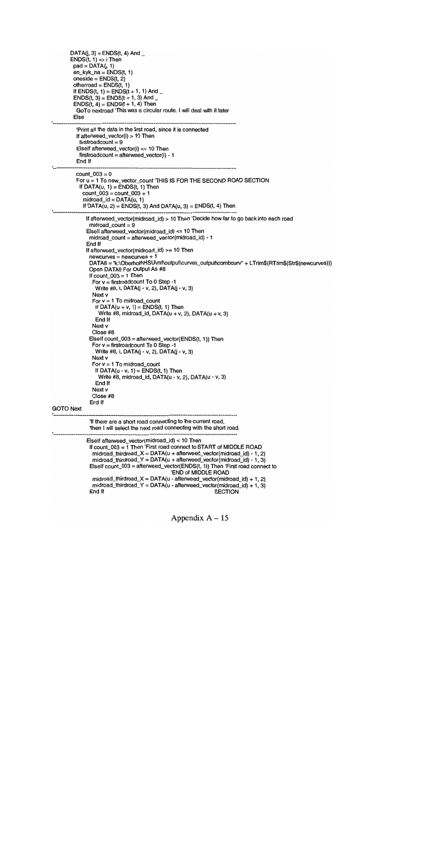```
DATA(i, 3) = ENDS(t, 4) And
      ENDS(t, 1) \Leftrightarrow i Then
        pad = DATA(i, 1)en_kyk_na = ENDS(t, 1)
        oneside = ENDS(t, 2)otherroad = ENDS(t, 1)If ENDS(t, 1) = ENDS(t + 1, 1) And _
        ENDS(t, 3) = ENDS(t + 1, 3) And _
        ENDS(t, 4) = ENDS(t + 1, 4) Then
         GoTo nextroad This was a circular route. I will deal with it later
        Else
'------------
         Print all the data in the first road, since it is connected
         If afterweed_vector(i) > 10 Then
          first roadcount = 9Elself afterweed_vector(i) <= 10 Then
          first roadcount = afterweed\_vector(i) - 1End If
         count_003 = 0For u = 1 To new_vector count 'THIS IS FOR THE SECOND ROAD SECTION
          If DATA(u, 1) = ENDS(t, 1) Then
           count 003 = count 003 + 1mid\_id = DATA(u, 1)If DATA(u, 2) = ENDS(t, 3) And DATA(u, 3) = ENDS(t, 4) Then
             If afterweed_vector(midroad_id) > 10 Then 'Decide how far to go back into each road
              mid\_count = 9Else If afterweed_vector(midroad_id) <= 10 Then
              midroad_count = afterweed_vector(midroad_id) - 1
             End If
             If afterweed_vector(midroad_id) >= 10 Then
              newcurves = newcurves + 1DATA8 = "k:\Oberholf\HSU\mf\output\curves_output\combcurv" + LTrim$(RTrim$(Str$(newcurves)))
              Open DATA8 For Output As #8
              If count_003 = 1 Then
               For v = firstroadcount To 0 Step -1
                Write #8, i, DATA(j - v, 2), DATA(j - v, 3)
               Next v
               For v = 1 To midroad_count
                If DATA(u + v, 1) = ENDS(t, 1) Then
                 Write #8, midroad_id, DATA(u + v, 2), DATA(u + v, 3)
                End If
               Next v
               Close #8
              ElseIf count_003 = afterweed_vector(ENDS(t, 1)) Then
               For v = firstroadcount To 0 Step -1
                Write #8, i, DATA(j - v, 2), DATA(j - v, 3)Next v
               For v = 1 To midroad_count
                If DATA(u - v, 1) = ENDS(t, 1) Then
                  Write #8, midroad_id, DATA(u - v, 2), DATA(u - v, 3)
                End If
               Next v
               Close #8
              End If
GOTO Next
              'If there are a short road connecting to the current road,
              'then I will select the next road connecting with the short road.
             Elseif afterweed_vector(midroad_id) < 10 Then
              If count_003 = 1 Then 'First road connect to START of MIDDLE ROAD
               midroad_thirdroad_X = DATA(u + afterweed_vector(midroad_id) - 1, 2)
               midroad_thirdroad_Y = DATA(u + afterweed\_vector(midroad_id) - 1, 3)Elseif count_003 = afterweed_vector(ENDS(t, 1)) Then 'First road connect to
                                              END of MIDDLE ROAD
               midroad_thirdroad_X = DATA(u - afterweed_vector(midroad_id) + 1, 2)
              midroad_thirdroad_Y = DATA(u - afterweed_vector(midroad_id) + 1, 3)<br>End If SECTION
               End If SECTION
```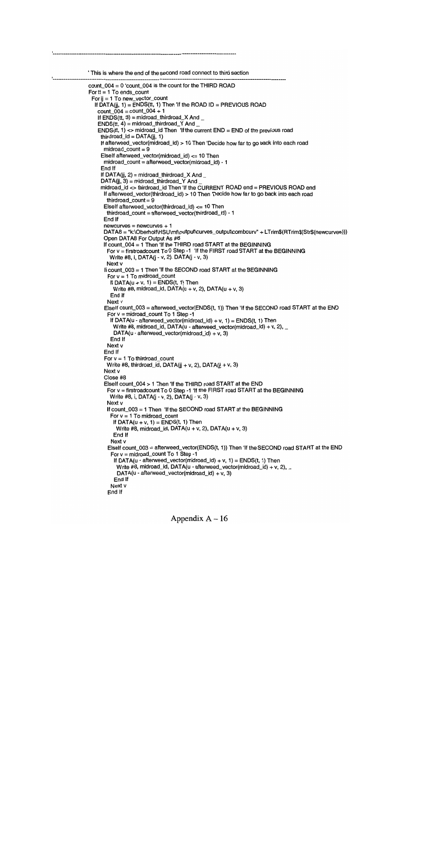```
This is where the end of the second road connect to third section
count 004 = 0 count 004 is the count for the THIRD ROAD
For t = 1 To ends_count
 For jj = 1 To new_vector_count
  If \overline{DATA(ii, 1)} = \overline{ENDS(t, 1)} Then If the ROAD ID = PREVIOUS ROAD
   count_004 = count_004 + 1If ENDS(t, 3) = midroad\_thirdroad_X AndENDS(t, 4) = midroad\_thirdroad_Y AndENDS(t, 1) <> midroad_id Then 'If the current END = END of the previous road
    thirdroad_id = DATA(ij, 1)If afterweed_vector(midroad_id) > 10 Then 'Decide how far to go back into each road
      mid\_count = 9ElseIf afterweed_vector(midroad_id) <= 10 Then
     midroad_count = afterweed_vector(midroad_id) - 1
     End If
     If DATA(jj, 2) = midroad_thirdroad_X And \_DATA(ij, 3) = midroad\_thirdroad_Y Andmidroad_id <> thirdroad_id Then 'If the CURRENT ROAD end = PREVIOUS ROAD end
      If afterweed_vector(thirdroad_id) > 10 Then 'Decide how far to go back into each road
       thirdroad count = 9ElseIf afterweed_vector(thirdroad_id) <= 10 Then
       thirdroad_count = afterweed_vector(thirdroad_id) - 1
      End If
      newcurves = newcurves + 1DATA8 = "k:\Oberholf\HSU\mf\output\curves_output\combcurv" + LTrim$(RTrim$(Str$(newcurves)))
      Open DATA8 For Output As #8
      If count_004 = 1 Then 'If the THIRD road START at the BEGINNING
       For v = firstroadcount To 0 Step -1 'If the FIRST road START at the BEGINNING
        Write #8, i, DATA(i - v, 2), DATA(i - v, 3)Next v
      If count_003 = 1 Then 'If the SECOND road START at the BEGINNING
       For v = 1 To midroad_count
        If DATA(u + v, 1) = ENDS(t, 1) Then
         Write #8, midroad_id, DATA(u + v, 2), DATA(u + v, 3)
        End If
       Next v
      ElseIf count_003 = afterweed_vector(ENDS(t, 1)) Then 'If the SECOND road START at the END
       For v = midroad\_count To 1 Step -1
        If DATA(u - afterweed vector(midroad_id) + v, 1) = ENDS(t, 1) Then
         Write #8, midroad_id, DATA(u - afterweed_vector(midroad_id) + v, 2), \_DATA(u - afterweed_vector(midroad_id) + v, 3)
        End If
       Next v
      End If
      For v = 1 To thirdroad_count
       Write #8, thirdroad_id, DATA(ij + v, 2), DATA(ij + v, 3)
      Next v
      Close #8
      ElseIf count_004 > 1 Then 'If the THIRD road START at the END
       For v = firstroadcount To 0 Step -1 'If the FIRST road START at the BEGINNING
        Write #8, i, DATA(j - v, 2), DATA(j - v, 3)
       Next v
       If count_003 = 1 Then 'If the SECOND road START at the BEGINNING
        For v = 1 To midroad_count
         If DATA(u + v, 1) = ENDS(t, 1) Then
           Write #8, midroad_id, DATA(u + v, 2), DATA(u + v, 3)
          End If
        Next v
       ElseIf count_003 = afterweed_vector(ENDS(t, 1)) Then 'If the SECOND road START at the END
        For v = midroad\_count To 1 Step -1
         If DATA(u - afterweed_vector(midroad_id) + v, 1) = ENDS(t, 1) Then
           Write #8, midroad_id, DATA(u - afterweed_vector(midroad_id) + v, 2), \_DATA(u - afterweed_vector(midroad_id) + v, 3)
          End If
        Next v
       End If
```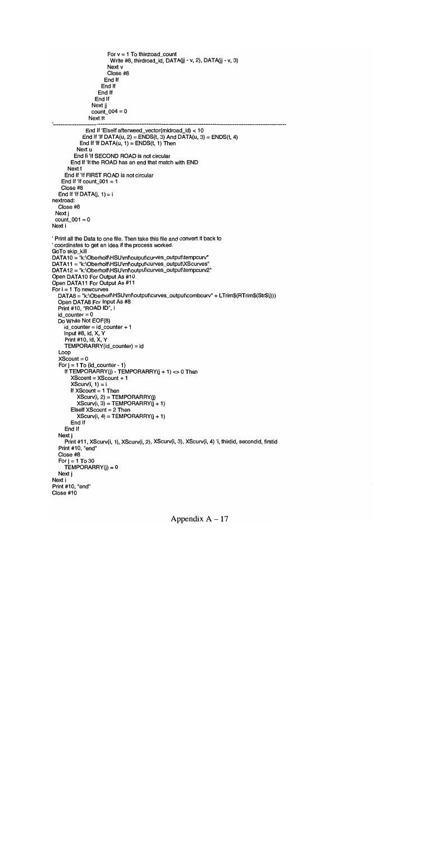```
For v = 1 To thirdroad_count
                      Write #8, thirdroad_id, DATA(jj - v, 2), DATA(jj - v, 3)
                      Next v
                     Close #8
                    End If
                   End If
                  End If
                End If
               Next jj
               count_004 = 0Next tt
             End If ElseIf afterweed_vector(midroad_id) < 10
            End If 'If DATA(u, 2) = ENDS(t, 3) And DATA(u, 3) = ENDS(t, 4)End If If DATA(u, 1) = ENDS(t, 1) Then
         Next u
        End If 'If SECOND ROAD is not circular
       End If If the ROAD has an end that match with END
     Next t
    End If 'If FIRST ROAD is not circular
   End If 'If count_001 = 1Close #8
  End If If DATA(j, 1) = i
nextroad:
  Close #8
 Next i
 count\_001 = 0Next i
Print all the Data to one file. Then take this file and convert it back to
coordinates to get an idea if the process worked.
GoTo skip_kill
DATA10 = "k:\Oberholf\HSU\mf\output\curves_output\tempcurv"
DATA11 = "k:\Oberholf\HSU\mf\output\curves_output\XScurves"
DATA12 = "k:\Oberholf\HSU\mf\output\curves_output\tempcurv2"
Open DATA10 For Output As #10
Open DATA11 For Output As #11
For i = 1 To newcurves
  DATA8 = "k:\Oberholf\HSU\mf\output\curves_output\combcurv" + LTrim$(RTrim$(Str$(i)))
  Open DATA8 For Input As #8
  Print #10, "ROAD ID", i
  id_counter = 0
  Do While Not EOF(8)
    id<sub>counter</sub> = id<sub>counter</sub> + 1
    Input #8, id, X, V
    Print #10, Id, X, V
     TEMPORARRV(id_counter) = Id
  Loop
  XScount = 0For j = 1 To (id_counter - 1)
    If TEMPORARRY(j) - TEMPORARRY(j + 1) <> 0 Then
       XScount = XScount + 1
       XScurv(i, 1) = iIf XScount = 1 Then
          XScurv(i, 2) = TEMPORARRY(i)XScurv(i, 3) = TEMPORARRY(j + 1)Elseif XScount =2 Then
         XScurv(i, 4) = TEMPORARRY(j + 1)End If
    End If
  Next j
    Print #11, XScurv(i, 1), XScurv(i, 2), XScurv(i, 3), XScurv(i, 4) 'i, thirdid, secondid, firstid
  Print #10, "end"
  Close #8
  For j = 1 To 30
     TEMPORARY(j) = 0Next j
Next i
Print #10, "end"
Close #10
```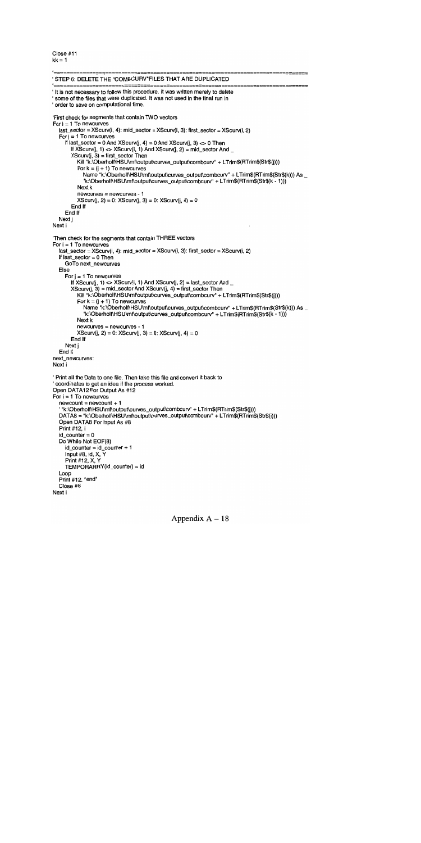Close #11  $kk = 1$ 

```
STEP 6: DELETE THE COMBCURVFILES THAT ARE DUPLICATED
It is not necessary to follow this procedure. it was written merely to delete
 some of the files that were duplicated. It was not used in the final run in
order to save on computational time.
First check for segments that contain TWO vectors
For i = 1 To newcurves
  last_sector = XScurv(i, 4): mid_sector = XScurv(i, 3): first_sector = XScurv(i, 2)
  For j = 1 To newcurves
     If last_sector = 0 And XScurv(j, 4) = 0 And XScurv(j, 3) <> 0 Then
       If XScurv(j, 1) \leq XScurv(i, 1) And XScurv(j, 2) = mid_sector And _
       XScurv(j, 3) = first\_sector Then
          Kill "k:\Oberholf\HSU\mf\output\curves_output\combcurv" + LTrim$(RTrim$(Str$(j)))
         For k = (j + 1) To newcurves
            Name "k:\Oberholf\HSU\mf\output\curves_output\combcurv" + LTrim$(RTrim$(Str$(k))) As _
            k:\Oberholf\HSU\mt\output\curves_output\combcurv + LTrim$(RTrim$(Str$(k - 1)))
         Next k
         newcurves = newcurves - 1
         XScurv(j, 2) = 0: XScurv(j, 3) = 0: XScurv(j, 4) = 0End If
     End If
  Next j
Next i
Then check for the segments that contain THREE vectors
For i = 1 To newcurves
  last_sector = XScurv(i, 4): mid_sector = XScurv(i, 3): first_sector = XScurv(i, 2)
  If last sector = 0 Then
     GoTo next_newcurves
  Else
     For j = 1 To newcurves
       If XScurv(j, 1) \iff XScurv(i, 1) And XScurv(j, 2) = last_sector And _
       XScurv(j, 3) = mid\_sector And XScurv(j, 4) = first\_sector ThenKill "k:\Oberholf\HSU\mf\output\curves_output\combcurv" + LTrim$(RTrim$(Str$(j)))
          For k = (j + 1) To newcurves
            Name "k:\Oberholf\HSU\mf\output\curves_output\combcurv" + LTrim$(RTrim$(Str$(k))) As _
            k:\Oberholt\HSU\mt\output\curves_output\combcurv" + LTrim$(RTrim$(Str$(k - 1)))
          Next k
         newcurves = newcurves - 1
         XScurv(j, 2) = 0: XScurv(j, 3) = 0: XScurv(j, 4) = 0End If
     Next j
  End If
next_newcurves:
Next i
Print all the Data to one file. Then take this file and convert it back to
coordinates to get an idea if the process worked.
Open DATA12 For Output As #12
For i = 1 To newcurves
  newcount = newcount + 1k:\Oberholf\HSU\mt\output\curves_output\combcurv" + LTrim$(RTrim$(Str$(j)))
  DATA8 = "k:\Oberholf\HSU\mf\output\curves_output\combcurv" + LTrim$(RTrim$(Str$(i)))
  Open DATA8 For Input As #8
  Print #12, i
  id<sub>counter</sub> = 0Do While Not EOF(8)
     id_counter = id_counter + 1
     Input #8, id, X, Y
     Print #12, X, V
     TEMPORARRV(id_counter) = id
  Loop
  Print #12, "end"
  Close #8
Next i
```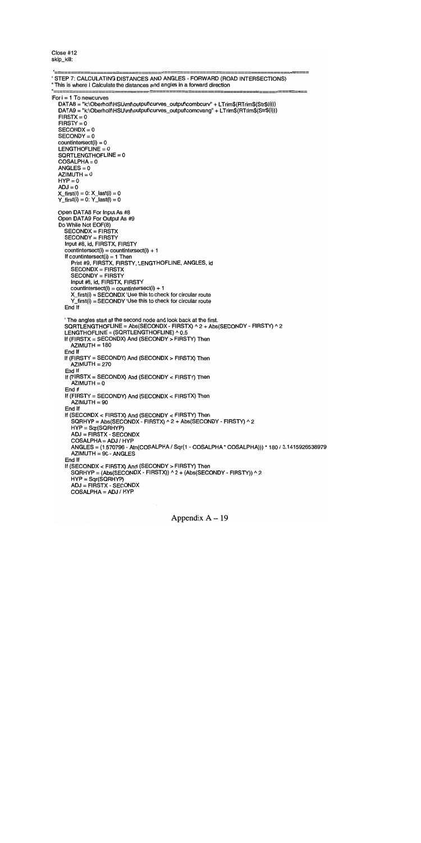Close #12 skip\_kill:

```
STEP 7: CALCULATING DISTANCES AND ANGLES - FORWARD (ROAD INTERSECTIONS)
This is where I Calculate the distances and angles in a forward direction
For i = 1 To newcurves
  DATA8 = "k:\Oberholf\HSU\mf\output\curves_output\combcurv" + LTrim$(RTrim$(Str$(i)))
  DATA9 = "k:\Oberholf\HSU\mf\output\curves_output\comcvang" + LTrim$(RTrim$(Str$(i)))
  FIRST = 0FIRST = 0SECONDX = 0SECONDY = 0countintersect(i) = 0LENGTHOFLINE = 0SQRTLENGTHOFLINE = 0COSALPHA = 0ANGLES = 0AZIMUTH = 0HYP = 0ADJ = 0X_ffirst(i) = 0: X_flast(i) = 0
  Y_f \text{first}(i) = 0: Y_f \text{last}(i) = 0Open DATA8 For Input As #8
  Open DATA9 For Output As #9
  Do While Not EOF(8)
    SECONDX = FIRSTX
    SECONDY = FIRSTY
    Input #8, Id, FIRSTX, FIRSTY
    countintersect(i) = countintersect(i) + 1If countintersect(i) = 1 Then
      Print #9, FIRSTX, FIRSTY, LENGTHOFLINE, ANGLES, id
       SECONDX = FIRSTX
      SECONDY = FIRSTY
      Input #8, id, FIRSTX, FIRSTY
      countintersect(i) = countintersect(i) + 1X_first(i) = SECONDX 'Use this to check for circular route
       Y_first(i) = SECONDY Use this to check for circular route
    End If
    The angles start at the second node and look back at the first.
    SQRTLENGTHOFLINE = Abs(SECONDX - FIRSTX) ^ 2 + Abs(SECONDY - FIRSTY) ^ 2
    LENGTHOFLINE = (SQRTLENGTHOFLINE) ^ 0.5
    If (FIRSTX = SECONDX) And (SECONDY> FIRSTY) Then
       AZIMUTH = 180
    End If
    If (FIRSTY = SECONDY) And (SECONDX > FIRSTX) Then
      AZIMUTH = 270End If
    If (FIRSTX = SECONDX) And (SECONDY < FIRSTY) Then
       AZIMUTH = 0End If
    If (FIRSTY = SECONDY) And (SECONDX < FIRSTX) Then
      AZIMUTH = 90End If
    If (SECONDX < FIRSTX) And (SECONDY <FIRSTY) Then
       SQRHYP = Abs(SECONDX - FIRSTX) \land 2 + Abs(SECONDY - FIRSTY) \land 2HYP = Sqr(SQRHYP)
       ADJ = FIRSTX - SECONDX
       COSALPHA = ADJ / HYP
       ANGLES = (1.570796 - Atn(COSALPHA / Sqr(1 - COSALPHA * COSALPHA))) * 180 / 3.1415926538979
       AZIMUTH = 90-ANGLES
     End If
    If (SECONDX < FIRSTX) And (SECONDY> FIRSTY) Then
       SQRHYP = (Abs(SECONDX - FIRSTX)) A 2 + (Abs(SECONDY - FIRSTY)) A 2
       HYP = Sqr(SQRHYP)
       ADJ = FIRSTX - SECONDX
       COSALPHA=ADJ/HYP
```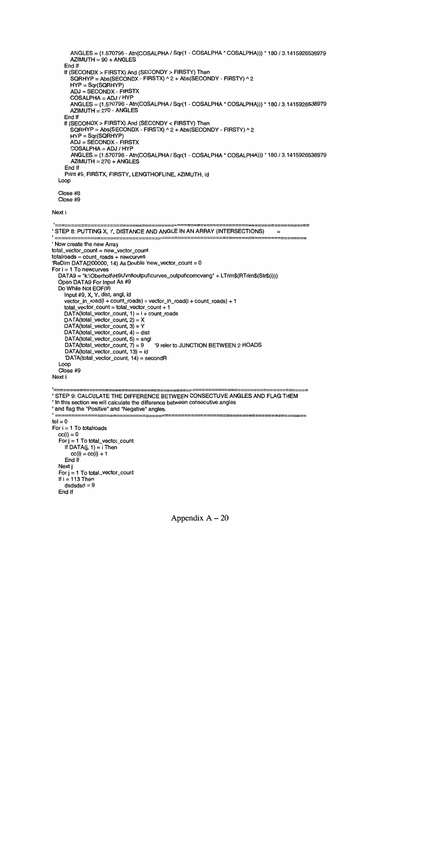```
ANGLES = (1.570796 - Atn(COSALPHA / Sqr(1 - COSALPHA * COSALPHA))) * 180 / 3.1415926538979
      AZIMUTH = 90 + ANGLESEnd If
    If (SECONDX> FIRSTX) And (SECONDY> FIRSTY) Then
      SQRHYP = Abs(SECONDX - FIRSTX) \land 2 + Abs(SECONDY - FIRSTY) \land 2HYP = Sqr(SQRHYP)
      ADJ = SECONDX - FIRSTX
      COSALPHA = ADJ / HYP
      ANGLES = (1.570796 - Atn(COSALPHA / Sqr(1 - COSALPHA * COSALPHA))) * 180 / 3.1415926538979
      AZIMUTH = 270 - ANGLESEnd If
    If (SECONDX> FIRSTX) And (SECONDY < FIRSTY) Then
      SGRHYP = Abs(SECONDX - FIRSTX) \land 2 + Abs(SECONDY - FIRSTY) \land 2HYP = Sqr(SQRHYP)
      ADJ = SECONDX - FIRSTX
      COSALPHA = ADJ / HYP
      ANGLES = (1.570796 - Atn(COSALPHA / Sqr(1 - COSALPHA * COSALPHA))) * 180 / 3.1415926538979
      AZIMUTH = 270 + ANGLESEnd If
    Print #9, FIRSTX, FIRSTY, LENGTHOFLINE, AZIMUTH, id
 Loop
 Close #8
 Close #9
Next i
---
```

```
STEP 8: PUT11NG X, Y, DISTANCE AND ANGLE IN AN ARRAY (INTERSECTIONS) = =======================
Now create the new Array
total_vector_count = new_vector_count
totalroads = count_roads + newcurves
'ReDim DATA(200000, 14) As Double 'new_vector_count = 0For i = 1 To newcurves
  DATA9 = "k:\Oberholf\HSU\mf\output\curves_output\comcvang" + LTrim$(RTrim$(Str$(i)))
  Open DATA9 For Input As #9
  Do While Not EOF(9)
    Input #9, X, Y, dist, angl, id
    vector_in_road(i + count_roads) = vector_in_road(i + count_roads) + 1
    total_vector_count = total_vector_count + 1
    DATA(total_vector_count, 1) = i + count_roads
    DATA(total_vector_count, 2) = X
    DATA(total\_vector\_count, 3) = YDATA(total_vector_count, 4) = dist
    DATA(total_vector_count, 5) = angl<br>DATA(total_vector_count, 7) = 9
                                        '9 refer to JUNCTION BETWEEN 2 ROADS
    DATA(total\_vector\_count, 13) = id'DATA(total_vector_count, 14) = secondR
  Loop
  Close #9
Next i
```

```
<u>'=======</u>
                                    ==================
'STEP 9: CALCULATE THE DIFFERENCE BETWEEN CONSECTUVE ANGLES AND FLAG THEM
'In this section we will calculate the difference between consecutive angles
' and flag the "Positive" and "Negative" angles.
 ==tel = 0For i = 1 To total roads
  cc(i) = 0For j = 1 To total_vector_count
     If DATA(j, 1) = i Then
       cc(i) = cc(i) + 1End If
  Next j
  For j = 1 To total_vector_count
  If i = 113 Then
     dsdsds = 9End If
```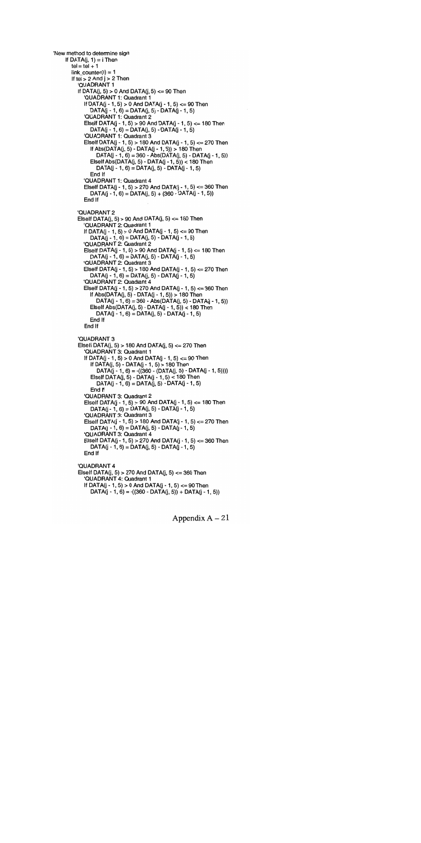```
New method to determine sign
    If DATA(i, 1) = i Then
       tel = tel + 1link\_counter(i) = 1If tel > 2 And i > 2 Then
         'QUADRANT 1
         If DATA(j, 5) > 0 And DATA(j, 5) <= 90 Then
            'QUADRANT 1: Quadrant 1
            If DATA(i - 1, 5) > 0 And DATA(i - 1, 5) <= 90 Then
              DATA(j - 1, 6) = DATA(j, 5) - DATA(j - 1, 5)'QUADRANT 1: Quadrant 2
            Elself DATA(j - 1, 5) > 90 And DATA(j - 1, 5) <= 180 Then
              DATA(j - 1, 6) = DATA(j, 5) - DATA(j - 1, 5)QUADRANT 1: Quadrant 3
            Eiself DATA(j - 1, 5) > 180 And DATA(j - 1, 5) <= 270 Then
              If Abs(DATA(i, 5) - DATA(i - 1, 5)) > 180 Then
                 DATA(j - 1, 6) = 360 - Abs(DATA(j, 5) - DATA(j - 1, 5))Elself Abs(DATA(i, 5) - DATA(i - 1, 5)) < 180 Then
                 DATA(j - 1, 6) = DATA(j, 5) - DATA(j - 1, 5)End If
            QUADRANT 1: Quadrant 4
            Elself DATA(j - 1, 5) > 270 And DATA(j - 1, 5) <= 360 Then
              DATA(j - 1, 6) = DATA(j, 5) + (360 - DATA(j - 1, 5))End If
         QUADRANT 2
         Elseif DATA(i, 5) > 90 And DATA(i, 5) <= 180 Then
            QUADRANT 2: Quadrant 1
            If DATA(j - 1, 5) > 0 And DATA(j - 1, 5) <= 90 Then
              DATA(j - 1, 6) = DATA(j, 5) - DATA(j - 1, 5)QUADRANT 2: Quadrant 2
            Eiself DATA(j - 1, 5) > 90 And DATA(j - 1, 5) <= 180 Then
              DATA(j - 1, 6) = DATA(j, 5) - DATA(j - 1, 5)QUADRANT 2: Quadrant 3
            Elself DATA(j - 1, 5) > 180 And DATA(j - 1, 5) <= 270 Then
              DATA(j - 1, 6) = DATA(j, 5) - DATA(j - 1, 5)QUADRANT 2: Quadrant 4
            Elself DATA(j - 1, 5) > 270 And DATA(j - 1, 5) <= 360 Then
              If Abs(DATA(j, 5) - DATA(J - 1, 5))> 180 Then
                 DATA(J - 1, 6) = 360 - Abs(DATA(j, 5) - DATA(j - 1,5))
              Elseif Abs(DATA(j, 5) - DATA(J - 1, 5)) < 180 Then
                 DATA(j - 1, 6) = DATA(j, 5) - DATA(j - 1, 5)End If
            End If
          'QUADRANT 3
         Elseif DATA(j, 5) > 180 And DATA(j, 5) < 270 Then
            QUADRANT 3: Quadrant 1
            If DATA(j - 1, 5) > 0 And DATA(j - 1, 5) <= 90 Then
              If DATA(J, 5) - DATA(J - 1, 5) > 180 Then
                 DATA(j - 1, 6) = ((360 - (DATA(j, 5) - DATA(j - 1, 5))))Elseif DATA(J, 5) - DATA(J - 1, 5) < 180 Then
                 DATA(j - 1, 6) = DATA(j, 5) - DATA(j - 1, 5)End If
            'QUADRANT 3: Quadrant 2
            Elself DATA(j - 1, 5) > 90 And DATA(j - 1, 5) <= 180 Then
              DATA(j - 1, 6) = DATA(j, 5) - DATA(j - 1, 5)'QUADRANT 3: Quadrant 3
            Elself DATA(j - 1, 5) > 180 And DATA(j - 1, 5) <= 270 Then
              DATA(j - 1, 6) = DATA(j, 5) - DATA(j - 1, 5)'QUADRANT 3: Quadrant 4
            Elself DATA(j - 1, 5) > 270 And DATA(j - 1, 5) <= 360 Then
               DATA(j - 1, 6) = DATA(j, 5) - DATA(j - 1, 5)End If
          'QUADRANT 4
          Elself DATA(i, 5) > 270 And DATA(i, 5) <= 360 Then
            QUADRANT 4: Quadrant 1
            If DATA(j - 1, 5) > 0 And DATA(j - 1, 5) <= 90 Then
               DATA(j - 1, 6) = ((360 - DATA(j, 5)) + DATA(j - 1, 5))
```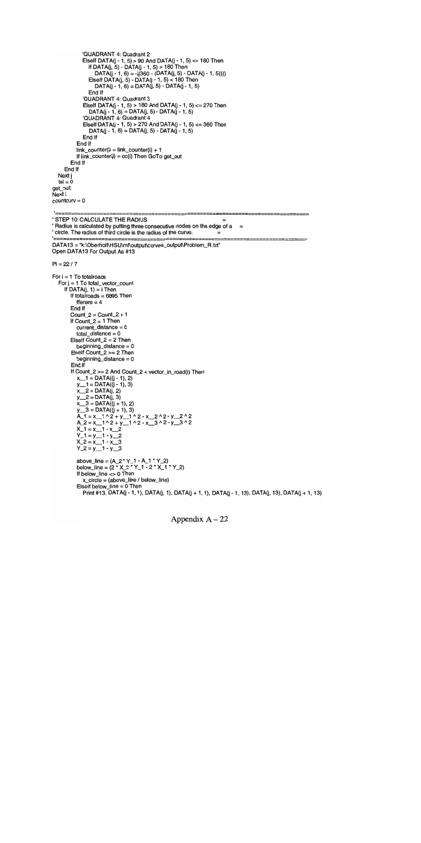```
QUADRANT 4: Quadrant 2
             Elself DATA(j - 1, 5) > 90 And DATA(j - 1, 5) <= 180 Then
                If DATA(j, 5) - DATA(j - 1, 5) > 180 Then
                  DATA(j - 1, 6) = ((360 - (DATA(j, 5) - DATA(j - 1, 5))))Elseif DATA(j, 5) - DATA(J - 1, 5) < 180 Then
                  DATA(J - 1, 6) = DATA(j, 5) - DATA(j - 1, 5)
                End If
             QUADRANT 4: Quadrant 3
             Elself DATA(j - 1, 5) > 180 And DATA(j - 1, 5) <= 270 Then
                DATA(j - 1, 6) = DATA(j, 5) - DATA(j - 1, 5)QUADRANT 4: Quadrant 4
             Elself DATA(j - 1, 5) > 270 And DATA(j - 1, 5) <= 360 Then
                DATA(j - 1, 6) = DATA(j, 5) - DATA(j - 1, 5)End If
          End If
          link\_counter(i) = link\_counter(i) + 1If link\_counter(i) = cc(i) Then GoTo get_out
        End If
     End If
  Next j
  tel = 0get_out:
Next i
counter = 0'==========
' STEP 10: CALCULATE THE RADIUS
' Radius is calculated by putting three consecutive nodes on the edge of a ='circle. The radius of third circle is the radius of the curve. = DATA13 = "k:\Oberholf\HSU\mf\output\curves_output\Problem_R.txt"
Open DATA13 For Output As #13
Pi = 22 / 7For i = 1 To total roads
  For j = 1 To total_vector_count
     If DATA(j, 1) = i Then
        If totairoads = 6895 Then
          fferere = 4End If
        Count_2 = Count_2 + 1If Count_2 = 1 Then
          current_distance = 0
          total_distance = 0
        ElseIf Count_2 = 2 Then
          beginning_distance = 0
        Elseif Count_2 \approx 2 Then
          beginning_distance = 0
        End If
        If Count_2 >= 2 And Count_2 < vector_in_road(i) Then
          x_{-1}1 = DATA((j - 1), 2)
          y_1 = DATA((y - 1), 3)
          x_2 = DATA(i, 2)y_2 = \text{DATA}(j, 3)x_3 = DATA((j + 1), 2)<br>y_3 = DATA((j + 1), 3)
          A_1 = x_1 \wedge 2 + y_1 \wedge 2 \cdot x_2 \wedge 2 \cdot y_2 \wedge 2<br>
A_2 = x_1 \wedge 2 + y_1 \wedge 2 \cdot x_3 \wedge 2 \cdot y_3 \wedge 2X_1 = x_1 - x_2<br>
Y_1 = y_1 - y_2<br>
X_2 = x_1 - x_3
          Y_2 = y_1 - y_3above_line = (A_2 * Y_1 - A_1 * Y_2)below_line = (2 * X_2 * Y_1 - 2 * X_1 * Y_2)If below_line <> 0 Then
             x_ccircle = (above_line / below_line)
           Elself below_line = 0 Then
             Print #13, DATA(j - 1, 1), DATA(j, 1), DATA(j + 1, 1), DATA(j - 1, 13), DATA(j, 13), DATA(j + 1, 13)
```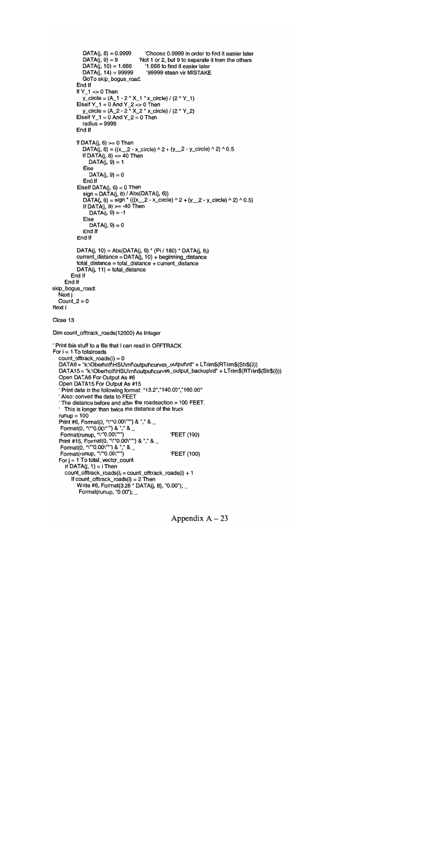```
DATA(j, 8) = 0.9999 Choose 0.9999 in order to find it easier later<br>DATA(j, 9) = 9 Yot 1 or 2, but 9 to separate it from the others
             DATA(j, 9) = 9 Wot 1 or 2, but 9 to separate it from the others<br>DATA(j, 10) = 1.666 '1.666 to find it easier later
             DATA(j, 10) = 1.666 11.666 to find it easier later<br>DATA(j, 14) = 99999 1.99999 staan vir MISTAKE
                                         '99999 staan vir MISTAKE
             GoTo skip_bogus_road:
          End If
          If Y_1 \rightleftharpoons 0 Then
             y\_circle = (A_1 - 2 \cdot X_1 \cdot x\_circle) / (2 \cdot Y_1)Elself Y_1 = 0 And Y_2 < 0 Then
             y_circle = (A_2 - 2 * X_2 * x_circle) / (2 * Y_2)
          Elself Y_1 = 0 And Y_2 = 0 Then
             radius = 9999
          End If
          If DATA(j, 6) >= 0 Then
             DATA(j, 8) = ((x_2 - x_circle) ^ 2 + (y_2 - y_circle) ^ 2) ^ 0.5
             If DATA(j, 8) \leq 40 Then
                DATA(j, 9) = 1Else
                DATA(j, 9) = 0End If
          Elself DATA(i, 6) < 0 Then
             sign = DATA(j, 6) / Abs(DATA(j, 6))
             DATA(j, 8) = sign * (((x_2 - x_circle) ^ 2 + (y_2 - y_circle) ^ 2) ^ 0.5)
             If DATA(i, 8) >= -40 Then
                DATA(j, 9) = -1Else
                DATA(j, 9) = 0End If
          End If
          DATA(J, 10) = Abs(DATA(j, 6) * (Pi / 180) * DATA(J, 8))
          current\_distance = DATA(j, 10) + beginning\_distancetotal_distance = total_distance + currentdatance
          DATA(j, 11) = total\_distanceEnd If
     End If
skip_bogus_road:
  Next j
  Count 2 = 0Next i
Close 13
Dim count_offtrack_roads(12000) As Integer
Print this stuff to a file that I can read in OFFTRACK
For i = 1 To total roads
  count\_offtrack\_roads(i) = 0DATA6 = "k:\Oberholf\HSU\mf\output\curves_output\rd" + LTrim$(RTrim$(Str$(i)))
  DATA15 = "k:\Oberholf\HSU\mf\output\curves_output_backup\rd" + LTrim$(RTrim$(Str$(i)))
  Open DATA6 For Output As #6
  Open DATA15 For Output As #15
   "Print data in the following format: "13.2","140.00","160.00"
   Also: convert the data to FEET
   The distance before and after the roadsection = 100 FEET.
   This is longer than twice the distance of the truck
   runun = 100Print #6, Format(0, "\""0.00\""") & "," &
   Format(0, "\""0.00\""") & "," & _
   Format(runup, "\""0.00\""") FEET (100)
   Print #15, Format(0, "\""0.00\""") & "," & _
    _ Format(0, '/\''"0.00\''<sup>"</sup>") & '','' &  & D
    Forrnat(runup, "V0.00V) FEET (100)
   For i = 1 To total_vector_count
     If DATA(j, 1) = i Then
     count\_offset\_roads(i) = count\_offset\_roads(i) + 1If count_offtrack_roads(i) = 2 Then
           Write #6, Format(3.28 * DATA(j, 8), "0.00");
           Format(runup, "0.00"); _
```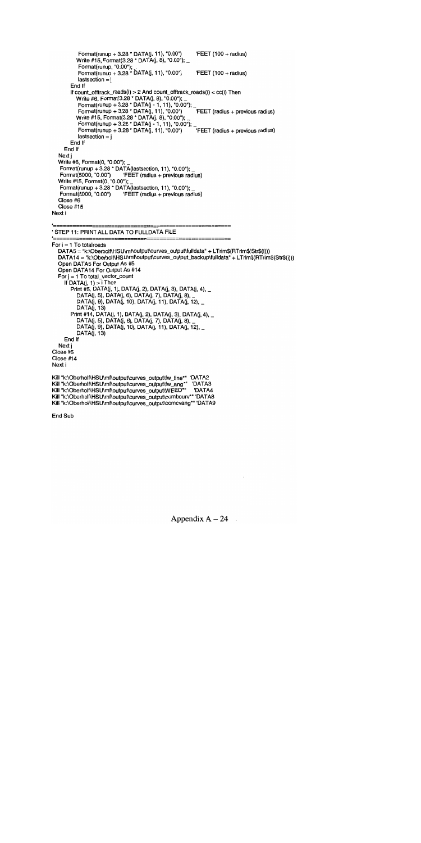Format(runup + 3.28 \* DATA(j, 11), "0.00") FEET (100 + radius) Write #15, Format(3.28 \* DATA(j, 8), "0.00"); \_ Format(runup, "0.00);\_  $Fomat(runup + 3.28 * DATA(j, 11), "0.00")$  FEET (100 + radius)  $lastsection = i$ End If<br>If count\_offtrack\_roads(i) > 2 And count\_offtrack\_roads(i) < cc(i) Then If count\_offtrack\_roads(i) > 2 And count\_offtrack\_roads(i) <cc(i) Then Write #6, Format(3.28 \* DATA(j, 8), "0.00"); \_ Format(runup + 3.28 \* DATA(J -1, 11), 0.00"):\_ Format(runup + 3.28 \* DATA(j, 11), "0.00") 'FEET (radius + previous radius) Write #15, Format(3.28 \* DATA(j, 8), "0.00"); Format(runup + 3.28 \* DATA(j - 1, 11), "0.00"); \_ Format(runup + 3.28 \* DATA(j, 11), "0.00") 'FEET (radius + previous radius)  $lastsection = i$ End If End If Next j Write #6, Format(0,  $"0.00"$ ); Format(runup +  $3.28$  \* DATA(lastsection, 11), "0.00");<br>Format(5000, "0.00") FEET (radius + previous radi  $FEET$  (radius + previous radius) Write #15, Format(0,  $"0.00"$ ); Format(runup + 3.28 \* DATA(Iastsection, 11), "0.00); 'FEET (radius + previous radius) Close #6 Close #15 Next i

'STEP 11: PRINT ALL DATA TO FULLDATA FILE

For  $i = 1$  To total roads DATA5 = "k:\Oberholf\HSU\mf\output\curves\_output\fulldata" + LTrim\$(RTrim\$(Str\$(i))) DATA14 = "k:\Oberholf\HSU\mf\output\curves\_output\_backup\fulldata" + LTrim\$(RTrim\$(Str\$(i))) Open DATA5 For Output As #5 Open DATA14 For Output As #14 For  $j = 1$  To total\_vector\_count If  $DATA(j, 1) = i$  Then Print #5, DATA(j, 1), DATA(j, 2), DATA(j, 3), DATA(j, 4), DATA(j, 5), DATA(j, 6), DATA(j, 7), DATA(j, 8), DATA(j, 9), DATA(j, 10), DATA(j, 11), DATA(j, 12), \_ DATA(j, 13) Print #14, DATA(j, 1), DATA(j, 2), DATA(j, 3), DATA(j, 4), \_ DATA(j, 5), DATA(j, 6), DATA(j, 7), DATA(j, 8), DATA(j, 9), DATA(j, 10), DATA(J, 11), DATA(j, 12), DATA(j, 13) End If Next j Close #5 Close #14 Next i

Kill "k:\Oberholf\HSU\mf\output\curves\_output\fw\_line\*" 'DATA2 Kill "k:\Oberholf\HSU\mf\output\curves\_output\fw\_ang\*" DATA3<br>Kill "k:\Oberholf\HSU\mf\output\curves\_output\WEED\*" DATA4 Kill "k:\Oberholf\HSU\mf\output\curves\_output\WEED\*" Kill "k:\Oberholf\HSU\mf\output\curves\_output\combcurv\*" 'DATA8 Kill "k:\Oberholf\HSU\mf\output\curves\_output\comcvang\*" 'DATA9

End Sub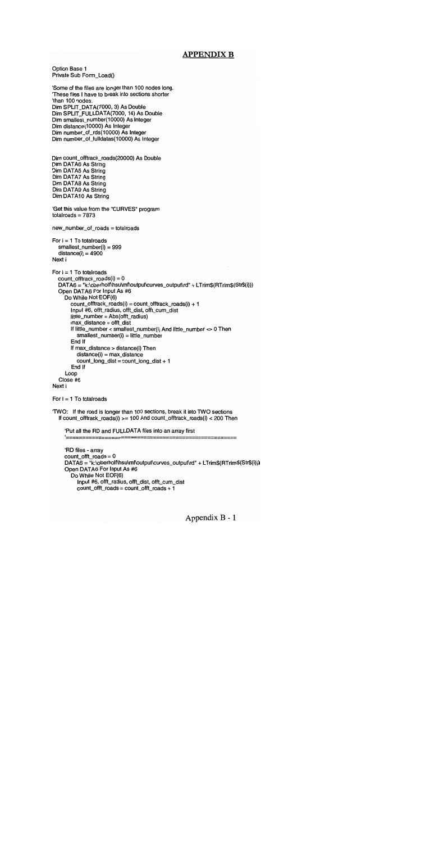### APPENDIX B

```
Option Base 1
Private Sub Form Load()
```
Some of the files are longer than 100 nodes long. These files I have to break into sections shorter than 100 nodes. Dim SPLIT\_DATA(7000, 3) As Double Dim SPLIT\_FULLDATA(7000, 14) As Double Dim smallest\_number(10000) As Integer Dim distance(10000) As Integer Dim number\_of\_rds(10000) As Integer Dim number\_of\_fulldatas(10000) As Integer

```
Dim count_offtrack_roads(20000) As Double
Dim DATA6 As String
Dim DATA5 As String
Dim DATA7 As String
Dim DATA8 As String
Dim DATA9 As String
Dim DATA1O As String
```

```
'Get this value from the "CURVES" program
total roads = 7873
```
new\_number\_of\_roads = totairoads

```
For i = 1 To total roads
  smallest_number(i) = 999
  distance(i) = 4900Next i
```

```
For i = 1 To total roads
  count_offtrack_roads(i) = 0DATA6 = "k:\oberholf\hsu\mf\output\curves_output\rd" + LTrim$(RTrim$(Str$(i)))
  Open DATA6 For Input As #6
    Do While Not EOF(6)
       count_offtrack_roads(i) = count_offirack_roads(i) + 1
       Input #6, offt_radius, offt_dist, offi_cum_dist
       little_number = Abs(offi_radius)
       max_distance = offi_dist
       If little_number < smallest_number(i) And little_number <> 0 Then
         smallest_number(i) = little_number
       End If
       If max_distance > distance(i) Then
         distance(i) = max_dcount_long_dist = count_long_dist + 1
       End If
    Loop
  Close #6
Next i
```

```
For i = 1 To total roads
```
TvVO: If the road is longer than 100 sections, break it into TWO sections If count\_offirack\_roads(i) >= 100 And count\_offtrack\_roads(i) <200 Then

:Put all the RD and FULLDATA files into an array first

```
RD files - array
count_offt_roads = 0
DATA6 = "k:\oberholf\hsu\mf\output\curves_output\rd" + LTrim$(RTrim$(Str$(i)))
Open DATA6 For Input As #6
  Do While Not EOF(6)
    Input #6, offt_radius, offt_dist, offt_cum_dist
    count\_offt\_roads = count\_offt\_roads + 1
```
==========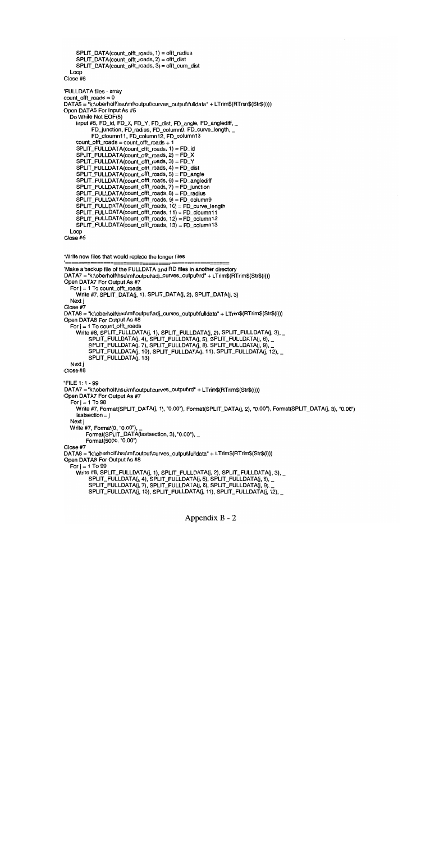```
SPLIT_DATA(count_offi_roads, 1) = offi_radius
    SPLIT_DATA(count_offt_roads, 2) = offt_dist
    SPLIT_DATA(count_offi_roads, 3) = offi_cum_dist
  Loop
Close #6
FULLDATA files - array
count\_off\_roads = 0DATA5 = "k:\oberholf\hsu\mf\output\curves_output\fulldata" + LTrim$(RTrim$(Str$(i)))
Open DATA5 For Input As #5
  Do While Not EOF(5)
    Input #5, FD_id, FD_X, FD_Y, FD_dist, FD_angle, FD_anglediff,
          FD_junction, FD_radius, FD_column9, FD_curve_length,
          FD_cloumn11, FD_column12, FD_column13
    count_offt_roads = count_offt_roads + 1
    SPLIT_FULLDATA(count_offt_roads, 1) = FD_id
    SPLIT_FULLDATA(count_offt_roads, 2) = FD_X
    SPLIT_FULLDATA(count_offi_roads, 3) = FD_Y
    SPLIT_FULLDATA(count_offi_roads, 4) = FD_dist
    SPLIT_FULLDATA(count_offi_roads, 5) = FD_angle
    SPLIT_FULLDATA(count_offt_roads, 6) = FD_anglediff
    SPLIT_FULLDATA(count_offi_roads, 7) = FD.junction
    SPLIT_FULLDATA(count_offi_roads, 8) = FD_radius
    SPLIT_FULLDATA(count_offt_roads, 9) = FD_columng
    SPLIT_FULLDATA(count_offt_roads, 10) = FD_curve_length
    SPLIT_FULLDATA(count_offt_roads, 11) = FD_cloumn11
    SPLIT_FULLDATA(count_offt_roads, 12) = FD_column12
    SPLIT_FULLDATA(count_offi_roads, 13) = FD_columnl 3
  Loop
Close #5
'Write new files that would replace the longer files
Make a backup file of the FULLDATA and RD files in another directory
DATA7 = "k:\oberholf\hsu\mf\output\adj_curves_output\rd" + LTrim$(RTrim$(Str$(i)))
Open DATA7 For Output As #7
  For j = 1 To count_offt_roads
    Write #7, SPLIT_DATA(j, 1), SPLIT_DATA(j, 2), SPLIT_DATA(j, 3)
  Next i
Close #7
DATA8 = "k:\oberholf\hsu\mf\output\adj_curves_output\fulldata" + LTrim$(RTrim$(Str$(i)))
Open DATA8 For Output As #8
  For j = 1 To count_offt_roads
    Write #8, SPLIT_FULLDATA(j, 1), SPLIT_FULLDATA(j, 2), SPLIT_FULLDATA(j, 3), _
         SPLIT_FULLDATA(J, 4), SPLIT_FULLDATA(J, 5), SPLIT_FULLDATA(J, 6),
         SPLIT_FULLDATA(J, 7), SPLIT_FULLDATA(j, 8), SPLIT_FULLDATA(j, 9),
         SPLIT_FULLDATA(j, 10), SPLIT_FULLDATA(J, 11), SPLIT_FULLDATA(j, 12),
         SPLIT_FULLDATA(J, 13)
  Next i
Close #8
'FILE 1: 1 -99
DATA7 = "k:\oberholf\hsu\mf\output\curves_output\rd" + LTrim$(RTrim$(Str$(i)))
Open DATA7 For Output As #7
  For j = 1 To 98
    Write #7, Format(SPLIT_DATA(j, 1), "0.00"), Format(SPLIT_DATA(j, 2), "0.00"), Format(SPLIT_DATA(j, 3), "0.00")
    lastsection = iNext j
  Write #7, Format(0, "0.00"),
        Format(SPLIT_DATA(lastsection, 3), "0.00"), _
        Format(5000, "0.00")
Close #7
DATA8 = "k:\oberholf\hsu\mf\output\curves_output\fulldata" + LTrim$(RTrim$(Str$(i)))
Open DATA8 For Output As #8
  For j = 1 To 99
    Write #8, SPLIT_FULLDATA(j, 1), SPLIT_FULLDATA(j, 2), SPLIT_FULLDATA(j, 3), _
         SPLIT_FULLDATA(J, 4), SPLIT_FULLDATA(J, 5), SPLIT_FULLDATA(J, 6),
         SPLIT_FULLDATA(J, 7), SPLIT_FULLDATA(j, 8), SPLIT_FULLDATA(j, 9),
         SPLIT_FULLDATA(j, 10), SPLIT_FULLDATA(j, 11), SPLIT_FULLDATA(j, 12),_
```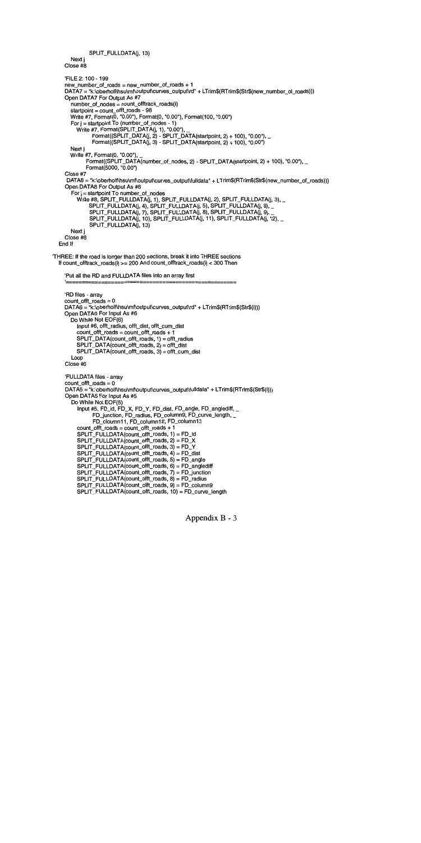```
SPLIT_FULLDATA(j, 13)
```

```
Next j
Close #8
```

```
FILE 2: 100- 199
    new_number_of_roads = new_number_of_roads + 1
    DATA7 = "k:\oberholf\hsu\mf\output\curves_output\rd" + LTrim$(RTrim$(Str$(new_number_of_roads)))
    Open DATA7 For Output As #7
       number of nodes = count offtrack_roads(i)
       startpoint = count_offt_roads - 98
       Write #7, Format(0, "0.00"), Format(0, "0.00"), Format(100, "0.00")
       For j = startpoint To (number_of_nodes - 1)
         Write #7, Fomat(SPLIT_DATA(j, 1), "0.00"),Format((SPLIT_DATA(j, 2) - SPLIT_DATA(startpoint, 2) + 100), "0.00"), _
               Format((SPLIT_DATA(j, 3) - SPLIT_DATA(startpoint, 2) + 100), '0.00)
       Next j
       Write#7, Format(0, "0.00"),
             Format((SPLIT_DATA(number_of_nodes, 2) - SPLIT_DATA(startpoint, 2) + 100), "0.00"), -Format(5000, "0.00")
    Close #7
     DATA8 = "k:\oberholf\hsu\mf\output\curves_output\fulldata" + LTrim$(RTrim$(Str$(new_number_of_roads)))
    Open DATA8 For Output As #8
       For j = startpoint To number_of_nodes
         Write #8, SPLIT_FULLDATA\overline{I}(j, 1), SPLIT_FULLDATA(j, 2), SPLIT_FULLDATA(j, 3), _
              SPLIT_FULLDATA(j, 4), SPLIT_FULLDATA(j, 5), SPLIT_FULLDATA(j, 6), _
              SPLIT_FULLDATA(j, 7), SPLIT_FULLDATA(j, 8), SPLIT_FULLDATA(j, 9),
              SPLIT_FULLDATA(j, 10), SPLIT_FULLDATA(j, 11), SPLIT_FULLDATA(j, 12), _
              SPLIT_FULLDATA(j, 13)
      Next j
    Close #8
  End If
THREE: If the road is longer than 200 sections, break it into THREE sections
  If count\_offset\_roads(i) \ge 200 And count\_offset\_roads(i) < 300 Then
    :Put all the RD and FULLDATA files into an array first
    'RD files - array
    count_offt_roads = 0
    DATA6 = "k:\oberholf\hsu\mf\output\curves_output\rd" + LTrim$(RTrim$(Str$(i)))
    Open DATA6 For Input As #6
       Do While Not EOF(6)
         Input #6, otft_radius, offi_dist, otft_cum_dist
         count_offi_roads = count_offi_roads + 1
         SPLIT_DATA(count_otft_roads, 1) = offt_radius
         SPLIT_DATA(count_offi_roads, 2) = otft_dist
         SPLIT_DATA(count_offi_roads, 3) = offi_cum_dist
       Loop
    Close #6
    FULLDATA files - array
    count_otft_roads = 0
    DATA5 = "k:\oberholf\hsu\mf\output\curves_output\fulldata" + LTrim$(RTrim$(Str$(i)))
    Open DATA5 For Input As #5
       Do While Not EOF(5)
         Input #5, FD_id, FD_X, FD_Y, FD_dist, FD_angle, FD_anglediff,
               FD_junction, FD_radius, FD_column9, FD_curve_length, _
               FD_cloumnl 1, FD_columnl2, FD_columnl3
         count_otft_roads = count_offi_roads + 1
         SPLIT_FULLDATA(count_otft_roads, 1) = FD_id
         SPLIT_FULLDATA(count_otft_roads, 2) = FD_X
         SPLIT_FULLDATA(count_otft_roads, 3) = FD_Y
         SPIJT_FULLDATA(count_offt_roads, 4) = FD_dist
         SPLIT_FULLDATA(count_otft_roads, 5) = FD_angte
         SPLIT_FULLDATA(count_otft_roads, 6) = FD_anglediff
         SPLIT_FULLDATA(count_offt_roads, 7) = FD_junction
         SPLIT_FULLDATA(count_offi_roads, 8) = FD_radius
         SPLIT_FULLDATA(count_offi_roads, 9) = FD_column9
         SPLIT_FULLDATA(count_offi_roads, 10) = FD_curve_Iength
```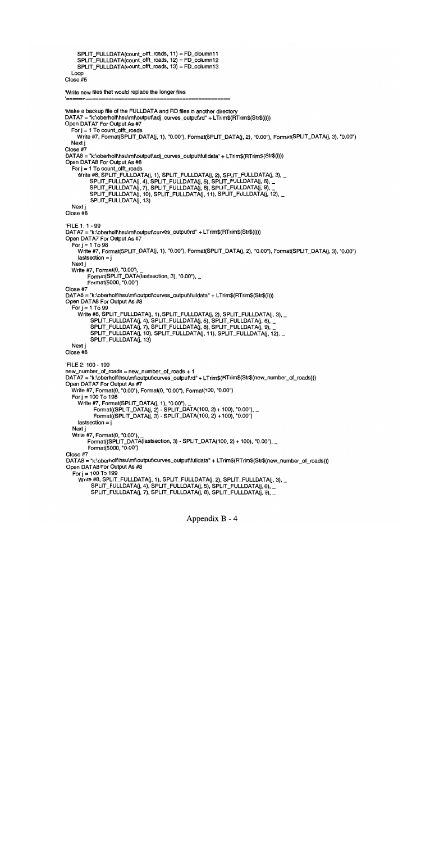```
SPLIT_FULLDATA(count_offi_roads, 11) = FD_cloumnl 1
    SPLIT_FULLDATA(count_offi_roads, 12) = FD_columnl2
    SPLIT_FULLDATA(count_offi_roads, 13) = FD_columnl3
  Loop
Close #5
Write new files that would replace the longer files
Make a backup file of the FULLDATA and RD files in another directory
DATA7 = "k:\oberholf\hsu\mf\output\adj_curves_output\rd" + LTrim$(RTrim$(Str$(i)))
Open DATA7 For Output As #7
  For j = 1 To count_offt_roads
    Write #7, Format(SPLIT_DATA(j, 1), "0.00"), Format(SPLIT_DATA(j, 2), "0.00"), Format(SPLIT_DATA(j, 3), "0.00")
  Next j
Close #7
DATA8 = "k:\oberholf\hsu\mf\output\adj_curves_output\fulldata" + LTrim$(RTrim$(Str$(i)))
Open DATA8 For Output As #8
  For j = 1 To count_offt_roads
    Write #8, SPLIT_FULLDATA(j, 1), SPLIT_FULLDATA(j, 2), SPLIT_FULLDATA(j, 3), _
         SPLIT_FULLDATA(j, 4), SPLIT_FULLDATA(j, 5), SPLIT_FULLDATA(j, 6), _
         SPLIT_FULLDATA(J, 7), SPLIT_FULLDATA(J, 8), SPLIT_FULLDATA(J, 9),
         SPLIT_FULLDATA(j, 10), SPLIT_FULLDATA(J, 11), SPLIT_FULLDATAU, 12),
         SPLIT_FULLDATA(j, 13)
  Next j
Close #8
FILE 1:1 -99
DATA7 = "k:\oberholf\hsu\mf\output\curves_output\rd" + LTrim$(RTrim$(Str$(i)))
Open DATA7 For Output As #7
  For j = 1 To 98
    Write #7, Format(SPLIT_DATA(j, 1), "0.00"), Format(SPLIT_DATA(j, 2), "0.00"), Format(SPLIT_DATA(j, 3), "0.00")
    lastsection = jNext j
  Write #7, Format(0, "0.00"), _
        Format(SPLIT_DATA(lastsection, 3), "0.00"), _
        Format(5000, "0.00")
Close #7
DATA8 = "k:\oberholf\hsu\mf\output\curves_output\fulldata" + LTrim$(RTrim$(Str$(i)))
Open DATA8 For Output As #8
  For i = 1 To 99
    Write #8, SPLIT_FULLDATA(j, 1), SPLIT_FULLDATA(j, 2), SPLIT_FULLDATA(j, 3), _
         SPLIT_FULLDATA(J, 4), SPLIT_FULLDATA(J, 5), SPLIT_FULLDATA(J, 6),
         SPLIT_FULLDATA(J, 7), SPLIT_FULLDATA(J, 8), SPLIT_FULLDATA(J, 9),
         SPLIT_FULLDATA(j, 10), SPLIT_FULLDATA(j, 11), SPLIT_FULLDATA(j, 12), _
         SPLIT_FULLDATA(J, 13)
  Next j
Close #8
FILE 2:100-199
new_number_of_roads = new_number_of_roads + 1
DATA7 = "k:\oberholf\hsu\mf\output\curves_output\rd" + LTrim$(RTrim$(Str$(new_number_of_roads)))
Open DATA7 For Output As #7
  Write #7, Format(0, "0.00"), Format(0, "0.00"), Format(100, "0.00")
  For i = 100 To 198
     Write #7, Format(SPLIT_DATA(j, 1), "0.00"),
           Format((SPLIT_DATA(j, 2) - SPLIT_DATA(100, 2) + 100), "0.00"), _
           Fomat((SPLIT_DATA(j, 3) - SPLIT_DATA(100, 2) + 100), "0.00")lastsection = jNext j
  Write #7, Format(0, "0.00"),
        Format((SPLIT_DATA(lastsection, 3) - SPLIT_DATA(100, 2) + 100), "0.00"), _
         Format(5000, "0.00")
Close #7
DATA8 = "k:\oberholf\hsu\mf\output\curves_output\fulldata" + LTrim$(RTrim$(Str$(new_number_of_roads)))
Open DATA8 For Output As #8
   For i = 100 To 199
     Write #8, SPLIT_FULLDATA(j, 1), SPLIT_FULLDATA(j, 2), SPLIT_FULLDATA(j, 3), _
          SPLIT_FULLDATA(j, 4), SPLIT_FULLDATA(j, 5), SPLIT_FULLDATA(j, 6),
          SPLIT_FULLDATA(j, 7), SPLIT_FULLDATA(j, 8), SPLIT_FULLDATA(j, 9), _
```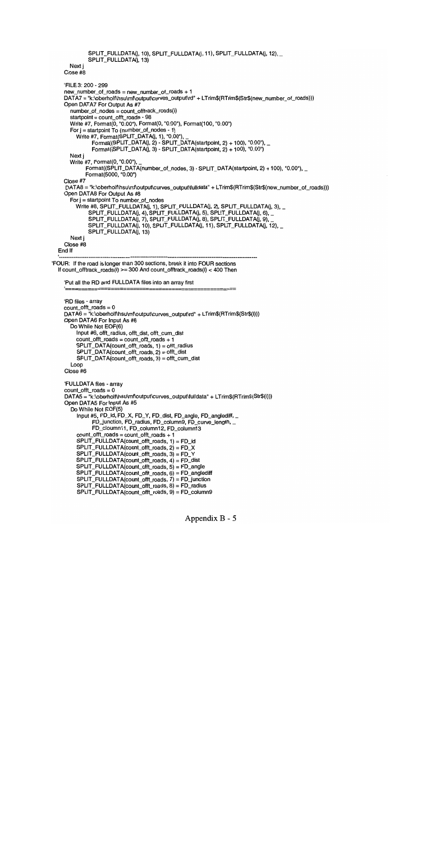```
SPLIT_FULLDATA(j, 10), SPLIT_FULLDATA(j, 11), SPLIT_FULLDATA(j, 12), _
              SPLIT_FULLDATA(], 13)
      Next j
    Close #8
    FILE 3: 200 - 299
    new_number_of_roads = new_number_of_roads + 1
    DATA7 = "k:\oberholf\hsu\mf\output\curves_output\rd" + LTrim$(RTrim$(Str$(new_number_of_roads)))
    Open DATA7 For Output As #7
      number_of_nodes = count_offirack_roads(i)
      startpoint = count_offi_roads - 98
      Write #7, Format(0, "0.00"), Format(0, "0.00"), Format(100, "0.00")
      For j = startpoint To (number_of_nodes - 1)
         Write #7, Format(SPLIT_DATA(j, 1), "0.00"),
               Format((SPLIT_DATA(j, 2) - SPLIT_DATA(startpoint, 2) + 100), "0.00"), \_Fomat((SPLIT_DATA(i, 3) - SPLIT_DATA(startpoint, 2) + 100), "0.00")Next j
      Write #7, Format(0, "0.00"),
            Format((SPLIT_DATA(number_of_nodes, 3) - SPLIT_DATA(startpoint, 2) + 100), "0.00"), _
            Format(5000, "0.00")
    Close #7
     DATA8 = "k:\oberholf\hsu\rnf\output\curves_output\fulldata" + LTrim$(RTrim$(Str$(new_number_of_roads)))
    Open DATA8 For Output As #8
       For j = startpoint To number_of_nodes
         Write #8, SPLIT_FULLDATA(j, 1), SPLIT_FULLDATA(j, 2), SPLIT_FULLDATA(j, 3), _
              SPLIT_FULLDATA(j, 4), SPLIT_FULLDATA(j, 5), SPLIT_FULLDATA(j, 6), _
              SPLIT_FULLDATA(j, 7), SPLILFULLDATA(j, 8), SPLIT_FULLDATA(j, 9),
              SPLIT_FULLDATA(j, 10), SPLIT_FULLDATA(j, 11), SPLIT_FULLDATA(j, 12), _
              SPLIT_FULLDATA(j, 13)
      Next
    Close #8
  End If
'FOUR: If the road is longer than 300 sections, break it into FOUR sections
  If count_offirack_roads(i) >= 300 And count_offirack_roads(i) <400 Then
    :Put all the RD and FULLDATA ffles into an array first
    RD files - array
    count_offi_roads = 0
    DATA6 = "k:\oberholf\hsu\mf\output\curves_output\rd" + LTrim$(RTrim$(Str$(i)))
    Open DATA6 For Input As #6
      Do While Not EOF(6)
         Input #6, offi_radius, offi_dist, offi_cum_dist
         count_offi_roads = count_offi_roads + 1
         SPLIT_DATA(count_offi_roads, 1) = offi_radius
         SPLIT\_DATA(count_of_t\ncoant_of_t\ncoads, 2) = offt_distSPLIT_DATA(count_offi_roads, 3) = offi_cum_dist
      Loop
    Close #6
    FULLDATA files - array
    count_offi_roads = 0
    DATA5 = "k:\oberholf\hsu\mf\output\curves_output\fulldata" + LTrim$(RTrim$(Str$(i)))
    Open DATA5 For Input As #5
       Do While Not EOF(5)
         Input #5, FD_id, FD_X, FD_Y, FD_dist, FD_angle, FD_anglediff, _
               FD_junction, FD_radius, FD_column9, FD_curve_length,
               FD_cloumn11, FD_column12, FD_column13
         count\_offt\_roads = count\_offt\_roads + 1SPLIT_FULLDATA(count_offt_roads, 1) = FD_id
         SPLIT_FULLDATA(count_offt_roads, 2) = FD_X
         SPLIT_FULLDATA(count_offt_roads, 3) = FD_Y
         SPLIT_FULLDATA(count_offt_roads, 4) = FD_dist
         SPLIT_FULLDATA(count_offt_roads, 5) = FD_angle
         SPLIT_FULLDATA(count_offi_roads, 6) = FD_anglediff
         SPLIT_FULLDATA(count_offt_roads, 7) = FD_junction
         SPLIT_FULLDATA(count_offi_roads, 8) = FD_radius
         SPLIT_FULLDATA(count_offi_roads, 9) = FD_columng
```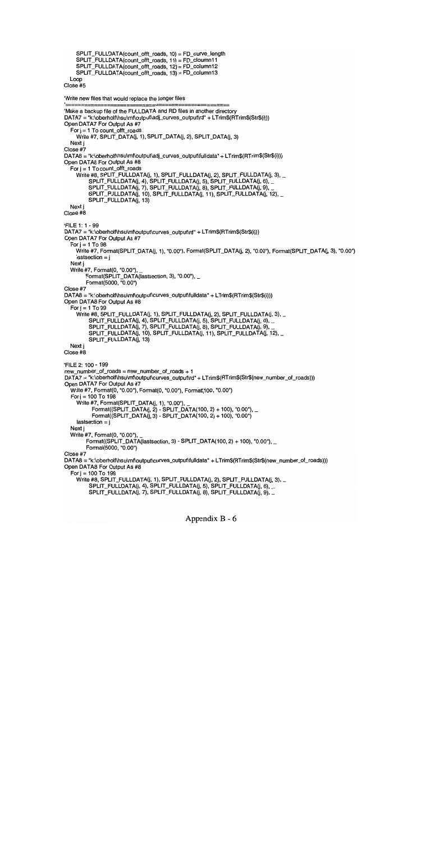```
SPLIT_FULLDATA(count_offt_roads, 10) = FD_curve_length
    SPLIT_FULLDATA(count_offt_roads, 11) = FD_cloumn11
    SPLIT_FULLDATA(count_offi_roads, 12) = FD_columnl 2
    SPLIT_FULLDATA(count_offi_roads, 13) = FD_columnl 3
  Loop
Close #5
Write new files that would replace the longer files
Make a backup file of the FULLDATA and RD files in another directory
DATA7 = "k:\oberholf\hsu\mf\output\adj_curves_output\rd" + LTrim$(RTrim$(Str$(i)))
Open DATA7 For Output As #7
  For j = 1 To count of ft roads
    Write #7, SPLIT_DATA(j, 1), SPLIT_DATA(j, 2), SPLIT_DATA(j, 3)
  Next i
Close #7
DATA8 = "k:\oberholf\hsu\mf\output\adj_curves_output\fulldata" + LTrim$(RTrim$(Str$(i)))
Open DATA8 For Output As #8
  For j = 1 To count_offt_roads
    Write #8, SPLIT_FULLDATA(j, 1), SPLIT_FULLDATA(j, 2), SPLIT_FULLDATA(j, 3), _
         SPLIT_FULLDATA(j, 4), SPLIT_FULLDATA(j, 5), SPLIT_FULLDATA(J, 6),
         SPLIT_FULLDATA(j, 7), SPLIT_FULLDATA(j, 8), SPLIT_FULLDATA(j, 9),
         SPLIT_FULLDATA(j, 10), SPLIT_FULLDATA(j, 11), SPLIT_FULLDATA(j, 12), _
         SPLIT_FULLDATA(j, 13)
  Next j
Close #8
FILE 1:1 -99
DATA7 = "k:\oberholf\hsu\mf\output\curves_output\rd" + LTrim$(RTrim$(Str$(i)))
Open DATA7 For Output As #7
  For j = 1 To 98
    Write #7, Format(SPLIT_DATA(j, 1), "0.00"), Format(SPLIT_DATA(j, 2), "0.00"), Format(SPLIT_DATA(j, 3), "0.00")
    lastsection = jNext j
  Write #7, Format(0, "0.00"),
        Format(SPLIT_DATA(lastsection, 3), "0.00"), -Format(5000, "0.00")
Close #7
DATA8 = "k:\oberholf\hsu\mf\output\curves_output\fulldata" + LTrim$(RTrim$(Str$(i)))
Open DATA8 For Output As #8
  For j = 1 To 99
    Write #8, SPLIT_FULLDATA(j, 1), SPLIT_FULLDATA(j, 2), SPLIT_FULLDATA(j, 3), _
         SPLIT_FULLDATA(j, 4), SPLIT FULLDATA(j, 5), SPLIT_FULLDATA(j, 6),
         SPLIT_FULLDATA(j, 7), SPLIT_FULLDATA(J, 8), SPLIT_FULLDATA(j, 9),
         SPLIT_FULLDATA(j, 10), SPLIT_FULLDATA(J, 11), SPLIT_FULLDATA(J, 12),
         SPLIT_FULLDATA(j, 13)
  Next j
Close #8
FILE 2:100-199
new_number_of_roads = new_number_of_roads + 1
DATA7 = "k:\oberholf\hsu\mf\output\curves_output\rd" + LTrim$(RTrim$(Str$(new_number_of_roads)))
Open DATA7 For Output As #7
  Write #7, Format(0, "0.00"), Format(0, "0.00"), Format(100, "0.00")
  For j = 100 To 198
    Write #7, Format(SPLIT_DATA(j, 1), "0.00"),
          Format((SPLIT_DATA(j, 2) - SPLIT_DATA(100, 2) + 100), "0.00"), _
          Fomat((SPLIT_DATA(j, 3) - SPLIT_DATA(100, 2) + 100), "0.00")lastsection = iNext
  Write #7, Format(0, '0.00),
        Format((SPLIT_DATA(lastsection, 3) - SPLIT_DATA(100, 2) + 100), "0.00"), \_Format(5000, "0.00")
Close #7
DATA8 = "k:\oberholf\hsu\mf\output\curves_output\fulldata" + LTrim$(RTrim$(Str$(new_number_of_roads)))
Open DATA8 For Output As #8
  For j = 100 To 199
    Write #8, SPLIT_FULLDATA(j, 1), SPLIT_FULLDATA(j, 2), SPLIT_FULLDATA(j, 3), _
         SPLIT_FULLDATA(j, 4), SPLIT_FULLDATA(j, 5), SPLIT_FULLDATA(j, 6), _
         SPLIT_FULLDATA(j, 7), SPLIT_FULLDATA(j, 8), SPLIT_FULLDATA(j, 9), _
```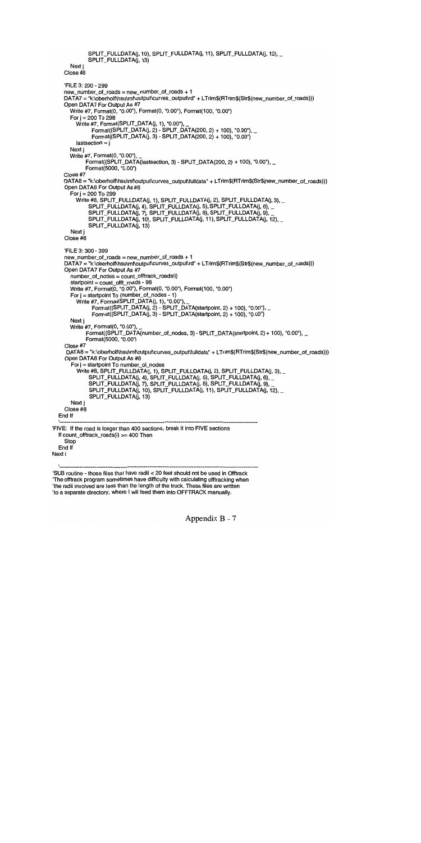```
SPLIT_FULLDATA(j, 10), SPLIT_FULLDATA(j, 11), SPLIT_FULLDATA(j, 12), _
              SPLIT_FULLDATA(j, 13)
      Next i
    Close #8
    FILE 3: 200 -299
    new_number_of_roads = new_number_of_roads + 1
    DATA7 = "k:\oberholf\hsu\mf\output\curves_output\rd" + LTrim$(RTrim$(Str$(new_number_of_roads)))
    Open DATA7 For Output As #7
      Write #7, Format(0, "0.00"), Format(0, "0.00"), Format(100, "0.00")
      For j = 200 To 298
        Write #7, Format (SPLIT_DATA(i, 1), "0.00")
              Fomat((SPLIT_DATA(j, 2) - SPLIT_DATA(200, 2) + 100), "0.00"),Fomat((SPLIT_DATA(j, 3) - SPLIT_DATA(200, 2) + 100), "0.00")lastsection = jNext i
      Write #7, Format(0, "0.00"),
            Fomat((SPLIT_DATA(lastsection, 3) - SPLIT_DATA(200, 2) + 100), "0.00"),Format(5000, "0.00")
    Close #7
    DATA8 = "k:\oberholf\hsu\mf\output\curves_output\fulldata" + LTrim$(RTrim$(Str$(new_number_of_roads)))
    Open DATA8 For Output As #8
      For j = 200 To 299
         Write #8, SPLIT_FULLDATA(j, 1), SPLIT_FULLDATA(j, 2), SPLIT_FULLDATA(j, 3), _
              SPLIT_FULLDATA(j, 4), SPLIT_FULLDATA(j, 5), SPLIT_FULLDATA(J, 6),
              SPLIT_FULLDATA(J, 7), SPLIT_FULLDATA(J, 8), SPLIT_FULLDATA(j, 9),
              SPLIT_FULLDATA(J, 10), SPLIT_FULLDATA(J, 11), SPLIT_FULLDATA(J, 12),
              SPLIT_FULLDATA(j, 13)
      Next j
    Close #8
    FILE 3: 300 - 399
    new_number_of_roads = new_number_of_roads + 1
    DATA7 = "k:\oberholf\hsu\mf\output\curves_output\rd" + LTrim$(RTrim$(Str$(new_number_of_roads)))
    Open DATA7 For Output As #7
      number_of_nodes = count_offtrack_roads(i)
      startpoint = count_offt_roads - 98
      Write #7, Format(0, "0.00"), Format(0, "0.00"), Format(100, "0.00")
       For j = startpoint To (number_of_nodes - 1)
         Write #7, Fomat(SPLIT_DATA(j, 1), "0.00")Format((SPLIT_DATA(j, 2) - SPLIT_DATA(startpoint, 2) + 100), "0.00'),_
               Fomat((SPLIT_DATA(j, 3) - SPLIT_DATA(startpoint, 2) + 100), "0.00")Next i
      Write #7, Format(0, '0.00),
             Format((SPLIT_DATA(number_of_nodes, 3) - SPLIT_DATA(startpoint, 2) + 100), "0.00"), _
            Format(5000, "0.00")
    Close #7
     DATA8 = "k:\oberholf\hsu\mf\output\curves_output\fulldata" + LTrim$(RTrim$(Str$(new_number_of_roads)))
    Open DATA8 For Output As #8
       For j = startpoint To number_of_nodes
         Write #8, SPLIT_FULLDATA(j, 1), SPLIT_FULLDATA(j, 2), SPLIT_FULLDATA(j, 3), _
              SPLIT_FULLDATA(j, 4), SPLIT_FULLDATA(j, 5), SPLIT_FULLDATA(j, 6),
              SPLIT_FULLDATA(J, 7), SPLIT_FULLDATA(j, 8), SPLIT_FULLDATA(j, 9),
              SPLIT_FULLDATA(j, 10), SPLIT_FULLDATA(j, 11), SPLIT_FULLDATA(j, 12), _
              SPLIT_FULLDATA(j, 13)
       Next j
    Close #8
  End If
FIVE: If the road is longer than 400 sections, break it into FIVE sections
  If count_offirack_roads(i) >= 400 Then
    Stop
  End If
Next i
SUB routine - those files that have radii <20 feet should not be used in Offtrack
The offirack program sometimes have difficulty with calculating offiracking when
'the radii involved are less than the length of the truck. These files are written
to a separate directory, where I will feed them into OFFTRACK manually.
```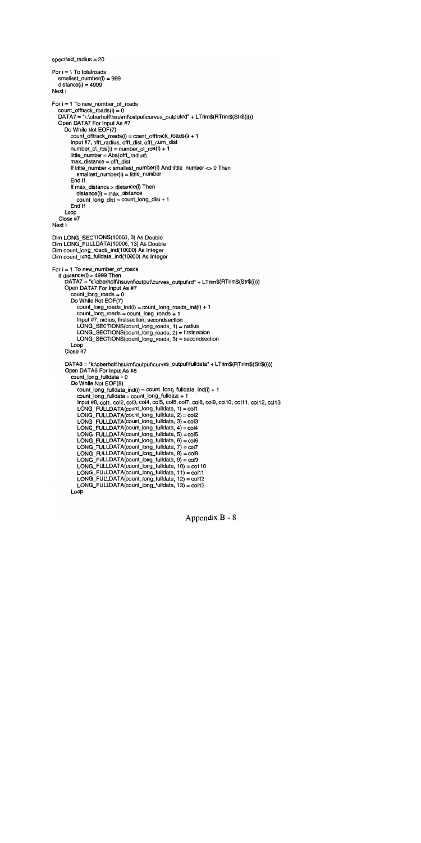```
specified_radius = 20
For i = 1 To total roads
  smallest_number(i) = 999
  distance(i) = 4999Next i
For i = 1 To new number of roads
  count\_offset\_roads(i) = 0DATA7 = "k:\oberholf\hsu\mf\output\curves_output\rd" + LTrim$(RTrim$(Str$(i)))
  Open DATA7 For Input As #7
     Do While Not EOF(7)
       count_offtrack_roads(i) = count_offtrack_roads(i) + 1
       Input #7, offt_radius, offt_dist, offt_cum_dist
       number\_of\_rds(i) = number\_of\_rds(i) + 1little number = Abs(offt radius)max_distance = offt_dist
       If little_number < smallest_number(i) And little_number <> 0 Then
          smallest_number(i) = little_number
       End If
       If max_distance > distance(i) Then
          distance(i) = max_distance
          count\_long\_dist = count\_long\_dist + 1End If
     Loop
  Close #7
Next i
Dim LONG_SECTIONS(10000, 3) As Double
Dim LONG_FULLDATA(10000, 13) As Double
Dim count_long_roads_ind(10000) As Integer
Dim count_long_fulldata_ind(10000) As Integer
For i = 1 To new_number_of_roads
  If distance(i) > 4999 Then
     DATA7 = "k:\olearrowright\sh{subsub} = "k:\oberholf\hsu\mf\output\curves_output\rd" + LTrim$(RTrim$(Str$(i)))
     Open DATA7 For Input As #7
       count\_long\_roads = 0Do While Not EOF(7)
          count_Iong_roads_ind(i) = count_Iong_roads_ind(i) + 1
          count\_long\_roads = count\_long\_roads + 1Input #7, radius, firstsection, secondsection
          LONG_SECTIONS(count_long_roads, 1) = radius
          LONG_SECTIONS(count_long_roads, 2) = firstsection
          LONG_SECTIONS(count_Iong_roads, 3) = secondsection
       Loop
     Close #7
     DATA8 = "k:\oberholf\hsu\mf\output\curves_output\fulldata" + LTrim$(RTrim$(Str$(i)))
     Open DATA8 For Input As #8
       count\_long\_fulldata = 0Do While Not EOF(8)
          count\_long\_fulldata\_ind(i) = count\_long\_fulldata\_ind(i) + 1count_long_fulidata = count_long_fulidata + 1
          Input #8, col1, col2, col3, col4, col5, col6, col7, col8, col9, col10, col11, col12, col13
          LONG_FULLDATA(count_long_fulldata, 1) = col1
          LONG_FULLDATA(count_long_fulldata, 2) = col2
          LONG_FULLDATA(count_long_fulldata, 3) = col3
          LONG_FULLDATA(count_long_fulldata, 4) = col4
          LONG_FULLDATA(count_long_fulldata, 5) = col5
          LONG_FULLDATA(count_long_fulldata, 6) = col6
          LONG_FULLDATA(count_long_fulldata, 7) = col7
          LONG_FULLDATA(count_long_fulldata, 8) = col8
          LONG_FULLDATA(count_long_fulldata, 9) = col9
          LONG_FULLDATA(count_long_fulldata, 10) = co110LONG_FULLDATA(count_long_fulldata, 11) = col11
          LONG FULLDATA(count_long_fulldata, 12) = col 12
          LONG_FULLDATA(count_long_fulldata, 13) = col13
       Loop
```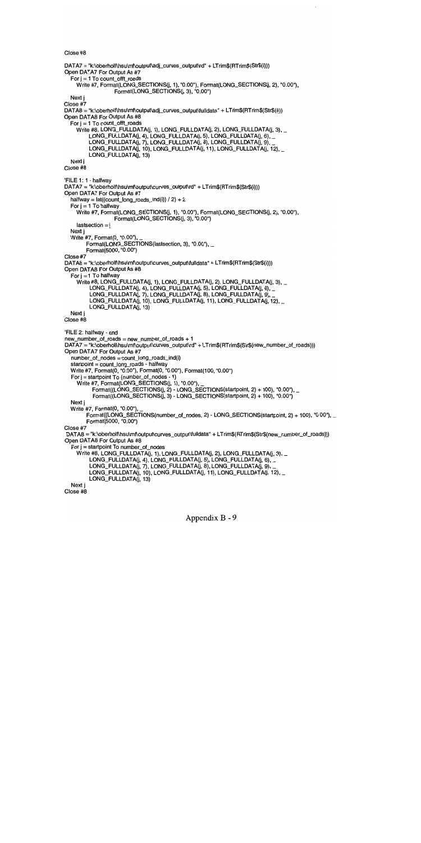Close #8

DATA7 = "k:\oberholf\hsu\mf\output\adj\_curves\_output\rd" + LTrim\$(RTrim\$(Str\$(i))) Open DATA7 For Output As #7 For  $i = 1$  To count offt roads Write #7, Format(LONG\_SECTIONS(j, 1), "0.00"), Format(LONG\_SECTIONS(j, 2), "0.00"),  $Format(LONG\_SECTIONS(j, 3), "0.00")$ Next j Close #7 DATA8 = "k:\oberholf\hsu\mf\output\adj\_curves\_output\fulldata" + LTrim\$(RTrim\$(Str\$(i))) Open DATA8 For Output As #8 For  $j = 1$  To count\_offt\_roads Write #8, LONG\_FULLDATA(j, 1), LONG\_FULLDATA(j, 2), LONG\_FULLDATA(j, 3), \_ LONG\_FULLDATA(j, 4), LONG\_FULLDATA(j, 5), LONG\_FULLDATA(j, 6), \_ LONG\_FULLDATA(j, 7), LONG\_FULLDATA(J, 8), LONG\_FULLDATA(J, 9), LONG\_FULLDATA(j, 10), LONG\_FULLDATA(j, 11), LONG\_FULLDATA(j, 12), \_ LONG\_FULLDATA(j, 13) Next i Close #8 FILE 1:1 - halfway DATA7 = "k:\oberholf\hsu\mf\output\curves\_output\rd" + LTrim\$(RTrim\$(Str\$(i))) Open DATA7 For Output As #7 halfway =  $Int((count\_long\_roads\_ind(i)) / 2) + 2$ For  $i = 1$  To halfway Write #7, Format(LONG\_SECTIONS(j, 1), "0.00"), Format(LONG\_SECTIONS(j, 2), "0.00"), Format(LONG\_SECTIONS(j, 3), '0.00")  $lastsection = i$ Next j Write #7, Format(0, "0.00"), Format(LONG\_SECTIONS(lastsection, 3), "0.00"), Format(5000, "0.00") Close #7 DATA8 = "k:\oberholf\hsu\mf\output\curves\_output\fulldata" + LTrim\$(RTrim\$(Str\$(i))) Open DATA8 For Output As #8 For  $j = 1$  To halfway Write #8, LONG\_FULLDATA(j, 1), LONG\_FULLDATA(j, 2), LONG\_FULLDATA(j, 3), \_ LONG\_FULLDATA(j, 4), LONG\_FULLDATA(j, 5), LONG\_FULLDATA(j, 6), \_ LONG\_FULLDATA(j, 7), LONG\_FULLDATA(j, 8), LONG\_FULLDATA(j, 9), LONG\_FULLDATA(j, 10), LONG\_FULLDATA(j, 11), LONG\_FULLDATA(j, 12), \_ LONG\_FULLDATA(j, 13) Next i Close #8 'FILE 2: halfway - end new\_number\_of\_roads = new\_number\_of\_roads + 1 DATA7 = "k:\oberholf\hsu\mf\output\curves\_output\rd" + LTrim\$(RTrim\$(Str\$(new\_number\_of\_roads))) Open DATA7 For Output As #7 number\_of\_nodes = count\_long\_roads\_ind(i) startpoint = count\_long\_roads - halfway Write #7, Format(0, "0.00"), Format(0, "0.00"), Format(100, "0.00") For  $i =$  startpoint To (number\_of\_nodes - 1) Write #7, Format(LONG\_SECTIONS(j, 1), "0.00"),  $Fomat((LONG\_SECTIONS(j, 2) - LONG\_SECTIONS(statpoint, 2) + 100), "0.00"),$ Format((LONG\_SECTIONS(j, 3) - LONG\_SECTIONS(startpoint, 2) + 100), "0.00") Next j Write #7, Format(0, "0.00"), Format((LONG\_SECTIONS(number\_of\_nodes, 2) - LONG\_SECTIONS(startpoint, 2) + 100), "0.00"), Format(5000, "0.00") Close #7 DATA8 = "k:\oberholf\hsu\mf\output\curves\_output\fulldata" + LTrim\$(RTrim\$(Str\$(new\_number\_of\_roads))) Open DATA8 For Output As #8 For  $j =$  startpoint To number\_of\_nodes Write #8, LONG\_FULLDATA(j, 1), LONG\_FULLDATA(j, 2), LONG\_FULLDATA(j, 3), \_ LONG\_FULLDATA(j, 4), LONG\_FULLDATA(j, 5), LONG\_FULLDATA(j, 6), \_ LONG\_FULLDATA(j, 7), LONG\_FULLDATA(j, 8), LONG\_FULLDATA(j, 9), LONG\_FULLDATA(j, 10), LONG\_FULLDATA(j, 11), LONG\_FULLDATA(j, 12), \_ LONG\_FULLDATA(j, 13) Next j Close #8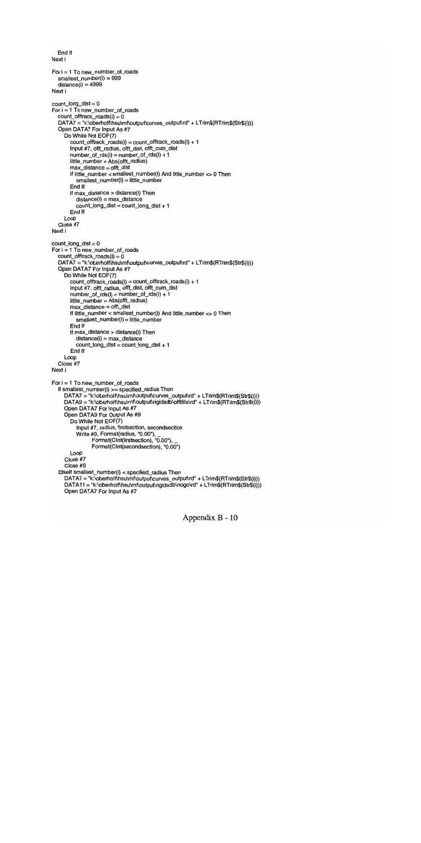```
End If
Next i
For i = 1 To new_number_of_roads
  smallest_number(i) = 999
  distance(i) = 4999Next i
count\_long\_dist = 0For i = 1 To new_number_of_roads
  count_offtrack_roads(i) = 0DATA7 = "k:\oberholf\hsu\mf\output\curves_output\rd" + LTrim$(RTrim$(Str$(i)))
  Open DATA7 For Input As #7
     Do While Not EOF(7)
       count_offtrack_roads(i) = count_offtrack_roads(i) + 1
       Input #7, offi_radius, offi_dist, offi_cum_dist
       number_of_rds(i) = number_of_rds(i) + 1
       little_number = Abs(offi_radius)
       max_distance = offi_dist
       If little_number < sma}lest_number(i) And little_number <> 0 Then
          smallest_number(i) = little_number
       End If
       If max_distance > distance(i) Then
          distance(i) = max_distance
          count_long_dist = count_long_dist + 1
       End If
     Loop
  Close #7
Next i
count_long_dist =0For i = 1 To new_number_of_roads
  count_offtrack_roads(i) = 0DATA7 = "k:\oberholf\hsu\mf\output\curves_output\rd" + LTrim$(RTrim$(Str$(i)))
  Open DATA7 For Input As #7
     Do While Not EOF(7)
       count\_offset\_roads(i) = count\_offset\_roads(i) + 1Input #7, offi radius, offi_dist, offi_cum_dist
       number\_of\_rds(i) = number\_of\_rds(i) + 1little_number = Abs(offi_radius)
       max\_distance = off\_distIf lithe_number < smallest_number(i) And little_number <> 0 Then
          smallest_number(i) = little_number
       End If
       If max_distance > distance(i) Then
          distance(i) = max_distance
          count_long_dist = count_long_dist + 1
       End If
     Loop
  Close #7
Next i
For i = 1 To new_number_of_roads
  If smallest_number(i) >= specified_radius Then
     DATA7 = "k:\oberholf\hsu\mf\output\curves_output\rd" + LTrim$(RTrim$(Str$(i)))
     DATA9 = "k:\oberholf\hsu\mf\output\rigidadb\offtfile\rd" + LTrim$(RTrim$(Str$(i)))
     Open DATA7 For Input As #7
     Open DATA9 For Output As #9
       Do While Not EOF(7)
          Input #7, radius, firstsection, secondsection
          Write #9, Format(radius, "0.00'),
                Format(CInt(firstsection), "0.00"),
                Format(CInt(secondsection), "0.00")
       Loop
     Close #7
     Close #9
  Elself smallest_number(i) < specified_radius Then
     DATA = "k:\overline{\delta}(X) \rightarrow \overline{\delta}(X) DATA7 = "k:\oberholf\hsu\mf\output\curves_output\rd" + LTrim$(RTrim$(Str$(i)))
     DATA11 = "k:\oberholf\hsu\mf\output\rigidadb\nogo\rd" + LTrim$(RTrim$(Str$(i)))
     Open DATA7 For Input As #7
```
Appendix B - 10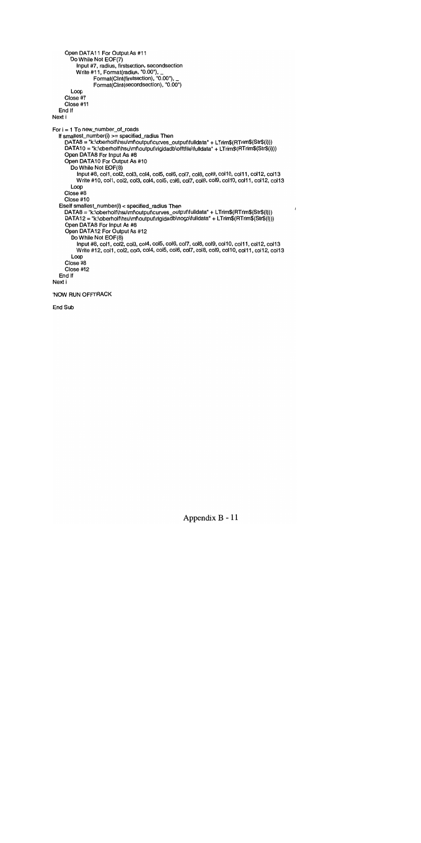```
Open DATA11 For Output As #11
       Do While Not EOF(7)
          Input #7, radius, firstsection, secondsection
          Write #11, Format(radius, "0.00"),
                Format(CInt(firstsection), "0.00"),
                Format(CInt(secondsection), "0.00")
       Loop
     Close #7
     Close #11
  End If
Next i
For i = 1 To new_number_of_roads
  If smallest_number(i) >= specified_radius Then
     DATA8 = "k:\oberholf\hsu\mf\output\curves_output\fulldata" + LTrim$(RTrim$(Str$(i)))
     DATA10 = "k:\oberholf\hsu\mf\output\rigidadb\offtfile\fulldata" + LTrim$(RTrim$(Str$(i)))
     Open DATA8 For Input As #8
     Open DATA1O For Output As #10
       Do While Not EOF(8)
          Input #8, col1, col2, col3, col4, col5, col6, col7, col8, col9, col10, col11, col12, col13
          Write #10, col1, col2, col3, col4, col5, col6, col7, col8, col9, col10, col11, col12, col13
       Loop
     Close #8
     Close #10
  Elself smallest_number(i) < specified_radius Then
                                                                                                   \overline{\phantom{a}}DATA8 = "k:\oberholf\hsu\mf\output\curves_output\fulldata" + LTrim$(RTrim$(Str$(i)))
     DATA12 = "k:\oberholf\hsu\mf\output\rigidadb\nogo\fulldata" + LTrim$(RTrim$(Str$(i)))
     Open DATA8 For Input As #8
     Open DATAl2 For Output As #12
       Do While Not EOF(8)
          Input #8, col1, col2, col3, col4, col5, col6, col7, col8, col9, col10, col11, col12, col13
          Write #12, col1, col2, col3, col4, col5, col6, col7, col8, col9, col10, col11, col12, col13
       Loop
     Close #8
     Ciose #12
  End if
Next i
'NOW RUN OFFTRACK
```
End Sub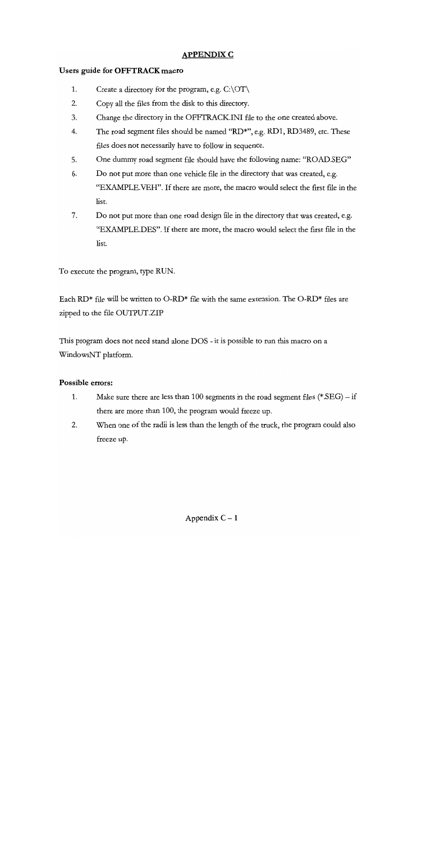## APPENDIX C

## Users guide for OFFTRACK macro

- 1. Create a directory for the program, e.g.  $C:\O{T}$
- 2. Copy all the files from the disk to this directory.
- 3. Change the directory in the OFFTRACKJNI file to the one created above.
- $4.$ The road segment files should be named "RD\*", e.g. RD1, RD3489, etc. These files does not necessarily have to follow in sequence.
- 5. One dummy road segment file should have the following name: "ROAD.SEG"
- 6. Do not put more than one vehicle file in the directory that was created, e.g. "EXAMPLE.VEH". If there are more, the macro would select the first file in the list.
- 7. Do not put more than one road design file in the directory that was created, e.g. "EXAMPLE.DES". If there are more, the macro would select the first file in the list.

To execute the program, type RUN.

Each RD<sup>\*</sup> file will be written to O-RD<sup>\*</sup> file with the same extension. The O-RD<sup>\*</sup> files are zipped to the file OUTPUT.ZIP

This program does not need stand alone DOS - it is possible to run this macro on a WindowsNT platform.

## Possible errors:

- 1. Make sure there are less than 100 segments in the road segment files  $(*.$ SEG) – if there are more than 100, the program would freeze up.
- 2. When one of the radii is less than the length of the truck, the program could also freeze up.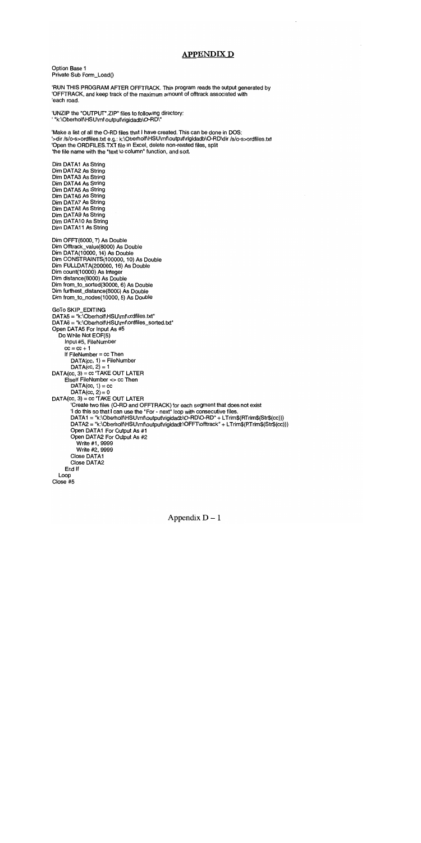## APPENDIX D

Option Base 1 Private Sub Form\_Load()

RUN THIS PROGRAM AFTER OFFTRACK. This program reads the output generated by 'OFFTRACK, and keep track of the maximum amount of offtrack associated with 'each road.

'UNZIP the "OUTPUT\*.ZIP" files to following directory: ' "k:\Oberholf\HSU\mf\output\rigidadb\O-RD\"

Make a list of all the 0-RD files that I have created. This can be done in DOS: >dir IsIo-s>ordfiles.txt e.g.: k:\Oberholf\HSU\mf\output\rigidadb\O-RD\dir /s/o-s>ordfiles.txt Open the ORDFILES.TXT file in Excel, delete non-related files, split the file name with the "text to column" function, and sort.

Dim DATA1 As String Dim DATA2 As String Dim DATA3 As String Dim DATA4 As String Dim DATA5 As String Dim DATA6 As String Dim DATA7 As String Dim DATA8 As String Dim DATA9 As String Dim DATA1O As String Dim DATA11 As String

Dim OFFT(6000, 7) As Double Dim Offirack\_value(8000) As Double Dim DATA(10000, 14) As Double Dim CONSTRAINTS(100000, 10) As Double Dim FULLDATA(200000, 16) As Double Dim count(10000) As Integer Dim distance(8000) As Double Dim from\_to\_sorted(30000, 6) As Double Dim furthest\_distance(8000) As Double Dim from\_to\_nodes(10000, 5) As Double

GoTo SKIP\_EDITING  $DATA5 = "k:\Omega\theta\wedge HSU\wedge\theta$  notatiles.txt" DATA6 = "k:\Oberholf\HSU\mf\ordfiles\_sorted.txt" Open DATA5 For Input As #5 Do While Not EOF(5) Input #5, FileNumber  $cc = cc + 1$ If  $FileNumber = cc$  Then  $DATA(cc, 1) = FileNumber$  $DATA(cc, 2) = 1$  $DATA(cc, 3) = cc$  TAKE OUT LATER Elself FileNumber <> cc Then  $DATA(cc, 1) = cc$ DATA $(cc, 2) = 0$ DATA(cc, 3) = cc TAKE OUT LATER Create two files (0-RD and OFFTRACK) for each segment that does not exist 1 do this so that I can use the For - next" loop with consecutive files. DATA1 = "k:\Oberholf\HSU\mf\output\rigidadb\O-RD\O-RD" + LTrim\$(RTrim\$(Str\$(cc))) DATA2 = "k:\Oberholf\HSU\mf\output\rigidadb\OFFT\offtrack" + LTrim\$(RTrim\$(Str\$(cc))) Open DATA1 For Output As #1 Open DATA2 For Output As #2 Write #1, 9999 Write #2, 9999 Close DATA1 Close DATA2 End If Loop Close #5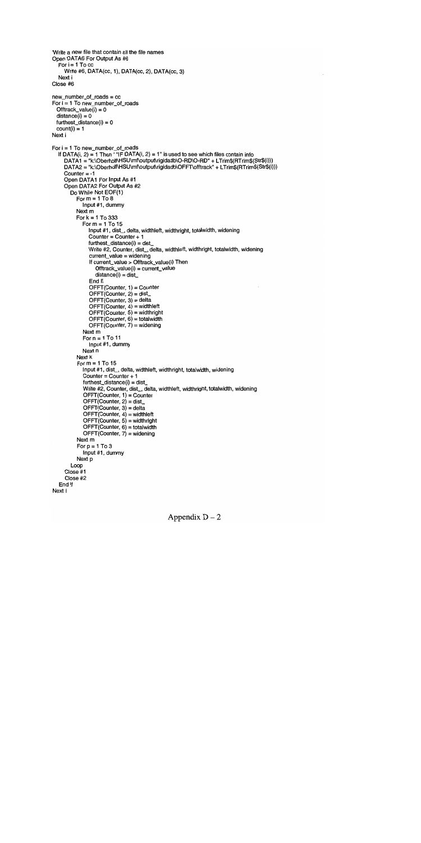```
Write a new file that contain all the file names
Open DATA6 For Output As #6
  For i = 1 To ccWrite #6, DATA(cc, 1), DATA(cc, 2), DATA(cc, 3)
  Next i
Close #6
new_number_of_roads = cc
For i = 1 To new_number_of_roads
 Offtrack_value(i) = 0distance(i) = 0furtheredistance(i) = 0count(i) = 1Next i
For i = 1 To new_number_of_roads
  If DATA(i, 2) = 1 Then ' "IF DATA(i, 2) = 1" is used to see which files contain info
    DATA1 = "k:\Oberholf\HSU\mf\output\rigidadb\O-RD\O-RD" + LTrim$(RTrim$(Str$(i)))
    DATA2 = "k:\Oberholf\HSU\mf\output\rigidadb\OFFT\offtrack" + LTrim$(RTrim$(Str$(i)))
    Counter = -1Open DATA1 For Input As #1
     Open DATA2 For Output As #2
       Do While Not EOF(1)
          For m = 1 To 8
            Input #1, dummy
          Next m
          For k = 1 To 333
            For m = 1 To 15
               Input #1, dist_, delta, widthleft, widthright, totalwidth, widening
               Counter = Counter + 1furthest_distance(i) = dist_
               Write #2, Counter, dist_, delta, widthleft, widthright, totalwidth, widening
               current_value = widening
               If current_value > Offtrack_value(i) Then
                 Offtrack_value(i) = current_value
                 distance(i) = distEnd If
               OFFT(Counter, 1) = Counter
               OFFCOunter, 2) = dist_
               OFFT(Counter, 3) = delta
               OFFT Counter, 4) = widthleft
               OFFT(Counter, 5) = widthrightOFFT(Counter, 6) = totalwidthOFF(Counter, 7) = widening
            Next m
            For n = 1 To 11
               Input #1, dummy
            Next n
          Next k
          For m = 1 To 15
            Input #1, dist_, delta, widthleft, widthright, totalwidth, widening
            Counter = Counter + 1
            furthest_distance(i) = dist_
            Write #2, Counter, dist_, delta, widthleft, widthright, totalwidth, widening
            OFFT(Counter, 1) = Counter
            OFFT(Counter, 2) = dist_
            OFFT(Counter, 3) = delta
            OFFT(Counter, 4) = widthleft
            OFFTCounter, 5) = widthright
            OFFT(Counter, 6) = totalwidthOFFTCounter, 7) = widening
          Next m
          For p = 1 To 3
            Input #1, dummy
          Next p
       Loop
     Close #1
     Close #2
  End If
Next i
```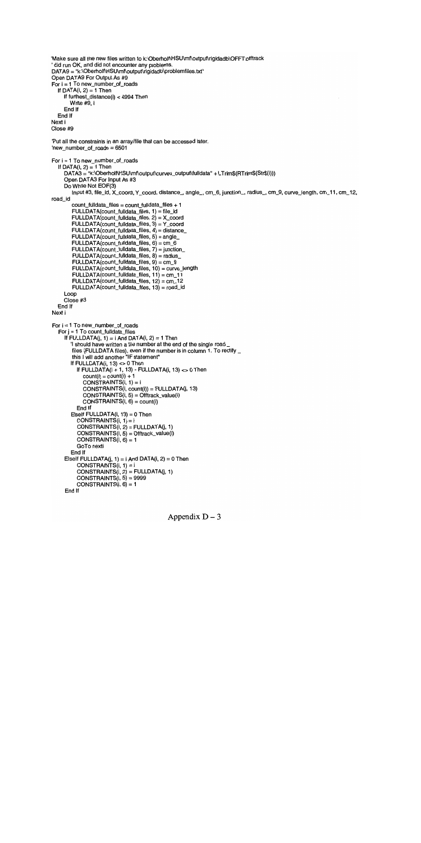```
'Make sure all the new files written to k:\Oberholf\HSU\mf\output\rigidadb\OFFT\offtrack
did run OK, and did not encounter any problems.
DATA9 = "k:\Oberholf\HSU\mf\output\rigidadb\problemfiles.txt"
Open DATA9 For Output As #9
For i = 1 To new_number_of_roads
  If DATA(i, 2) = 1 Then
    If furthest distance(i) < 4994 Then
       Write #9, i
     End If
  End If
Next i
Close #9
Put all the constraints in an array/file that can be accessed later.
'new_number_of_roads = 6501For i = 1 To new_number_of_roads
  If DATA(i, 2) = 1 Then
    DATA3 = "k:\Oberholf\HSU\mf\output\curves_output\fulldata" + LTrim$(RTrim$(Str$(i)))
     Open DATA3 For Input As #3
    Do While Not EOF(3)
Input #3, file_id, X_coord, Y_coord, distance_, angle_, cm_6, junction_, radius_, cm_9, curve_length, cm_11, cm_12, road id
        count_fuildata_files = count_fulidata_files + 1
        FULLDATA(count_fulldata_files, 1) = file_id
        FULLDATA(count_fulldata_files, 2) = X_coord
        FULLDATA(count_fulldata_files, 3) = Y_coord
        FLLLDATA(count_fulldata_files, 4) = distance_
        FULLDATA(count_fulldata_files, 5) = angle
        FULLDATA(count_fulldata_files, 6) = cm_6
        FLLLDATA(count_fulldata_files, 7) = junction_
        FLLLDATA(count_fulldata_files, 8) = radius_
        FLLLDATA(count_fulldata_files, 9) = cm_{-}9FULLDATA(count_fulldata_fjles, 10) = curve_length
        FULLDATA(count_fulldata_files, 11) = cm_11
        FLLLDATA(count_fulldata_files, 12) = cm_12
        FULLDATA(count_fulldata_files, 13) = road_id
     Loop
     Close #3
  End If
Next i
For i = 1 To new_number_of_roads
  For i = 1 To count_fulldata_files
     If FULLDATA(i, 1) = i And DATA(i, 2) = 1 Then
       1 should have written a file number at the end of the single road
        files (FULLDATA files), even if the number is in column 1. To rectify _
        this I will add another "IF statement"
       If FULLDATA(i, 13) <> 0 Then
          If FULLDATA(i + 1, 13) - FULLDATA(i, 13) < 0 Then
            count(i) = count(i) + 1CONSTRAINTS(i, 1) = iCONSTRAINTS(i, count(i)) = FULLDATA(j, 13)
            CONSTRAINTS(i, 5) = Offtrack_value(i)
            CONSTRAINTS(i, 6) = count(i)End If
       Elself FULLDATA(i, 13) = 0 Then
          CONSTRAINTS(i, 1) = iCONSTRAINTS(i, 2) = FULLDATA(i, 1)CONSTRAINTS(I, 5) = Offtrack_value(i)
          CONSTRAINTS(i, 6) = 1GoTo nexti
       End If
     Elself FULLDATA(i, 1) = i And DATA(i, 2) = 0 Then
          CONSTRAINTS(i, 1) = iCONSTRAINTS(i, 2) = FULLDATA(j, 1)CONSTRAINTS(i, 5) = 9999CONSTRAINTS(i, 6) = 1
     End If
```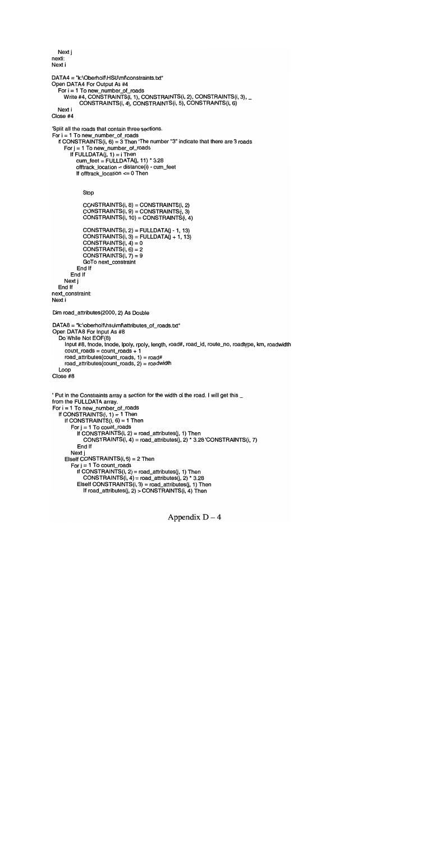```
Next j
nexti:
Next i
DATA4 = "k:\Oberholf\HSU\mf\constraints.txt"
Open DATA4 For Output As #4
  For i = 1 To new_number_of_roads
    Write #4, CONSTRAINTS(i, 1), CONSTRAINTS(i, 2), CONSTRAINTS(i, 3), _
          CONSTRAINTS(i, 4), CONSTRAINTS(i, 5), CONSTRAINTS(i, 6)
  Next i
Close #4
Split all the roads that contain three sections.
For i = 1 To new_number_of_roads
  If CONSTRAINTS(i, 6) = 3 Then 'The number "3" indicate that there are 3 roads
     For j = 1 To new_number_of_roads
       If FULLDATA(j, 1) = i Then
         cum_feet = FULLDATA(i, 11) * 3.28offtrack_Iocation = distance(i) - cum_feet
         If offtrack location \leq 0 Then
            Stop
            CONSTRAINTS(i, 8) =
CONSTRAINTS(i, 2)
            CONSTRAINTS(i, 9) =
CONSTRAINTS(i, 3)
            CONSTRAINTS(i, 10)
= CONSTRAINTS(i, 4)
            CONSTRAINTS(i, 2) = FULLDATA(j - 1, 13)CONSTRAINTS(i, 3) = FULLDATA(i + 1, 13)CONSTRAINTS(i, 4) = 0CONSTRAINTS(i, 6) = 2CONSTRAINTS(i, 7) = 9GoTo next_constraint
         End If
       End If
    Next j
  End If
next_constraint:
Next i
Dim road_attributes(2000, 2) As Double
DATA8 = "k:\oberholf\hsu\mf\attributes_of_roads.txt"
Open DATA8 For Input As #8
  Do While Not EOF(8)
     Input #8, fnode, tnode, Ipoly, rpoly, length, road#, road_id, route_no, roadtype, km, roadwidth
     count\_roads = count\_roads + 1road_attributes(count_roads, 1) = road#
    road_attributes(count_roads, 2) = roadwidth
  Loop
Close #8
' Put in the Constraints array a section for the width of the road. I will get this _
from the FULLDATA array.
For i = 1 To new_number_of_roads
  If CONSTRAINTS(i, 1) = 1 Then
     If CONSTRAINTS(i, 6) = 1 Then
       For j = 1 To count_roads
          If CONSTRAINTS(i, 2) = road_attributes(i, 1) Then
            CONSTRAINTS(i, 4) = road_attributes(j, 2) * 3.28 CONSTRAINTS(i, 7)
          End If
       Next i
     Elself CONSTRAINTS(i, 6) = 2 Then
       For j = 1 To count_roads
         If CONSTRAINTS(i, 2) = road_attributes(i, 1) Then
            CONSTRAINTS(i, 4) = road_attribute(i, 2) * 3.28Elself CONSTRAINTS(i, 3) = road_attributes(i, 1) Then
            If road_attributes(j, 2) > CONSTRAINTS(i, 4) Then
```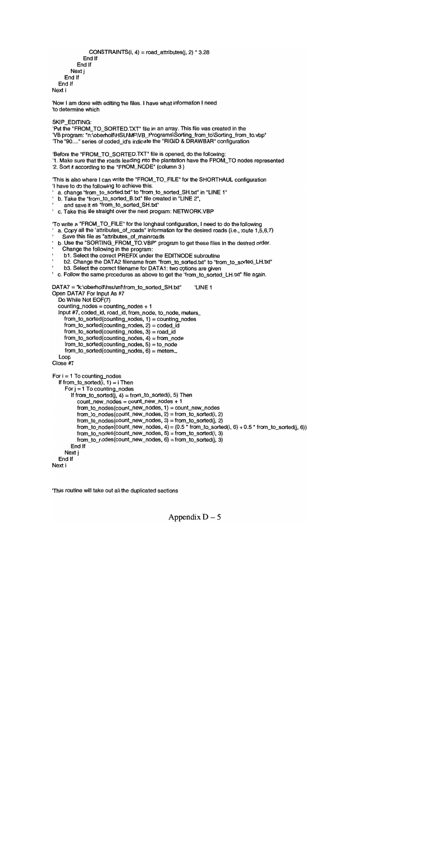```
CONSTRAINTS(i, 4) = road_attributes(i, 2) * 3.28
          End If
       End If
     Next j
  End If
End If
```
Now I am done with editing the files. I have what information I need 'to determine which

SKIP\_EDITING:

Next i

Put the "FROM\_TO\_SORTED.TXT" file in an array. This file was created in the VB program: "n:\oberholf\HSU\MF\VB\_Programs\Sorting\_from\_to\Sorting\_from\_to.vbp 'The "90...." series of coded\_id's indicate the "RIGID & DRAWBAR" configuration

'Before the "FROM\_TO\_SORTED.TXT" file is opened, do the following:

1. Make sure that the roads leading into the plantation have the FROM\_TO nodes represented '2. Sort it according to the "FROM\_NODE" (column 3)

'This is also where I can write the "FROM\_TO\_FILE" for the SHORTHAUL configuration 'I have to do the following to achieve this:

- a. change "from\_to\_sorted.txt" to "from\_to\_sorted\_SH.txt" in "LINE 1"
- b. Take the "from to sorted B.txt" file created in "LINE 2".
- and save it as "from\_to\_sorted\_SH.txt'
- Take this file straight over the next program: NETWORK.VBP

'To write a "FROM\_TO\_FILE" for the longhaul configuration, I need to do the following

- a. Copy all the "attributes\_of\_roads" information for the desired roads (i.e., route 1,5,6,7)
- Save this file as "attributes\_of\_mainroads
- b. Use the "SORTING\_FROM\_TO.VBP" program to get these files in the desired order.
- Change the following in the program:
- bl. Select the correct PREFIX under the EDITNODE subroutine
- b2. Change the DATA2 filename from "from\_to\_sorted.txt" to "from\_to\_sorted\_LH.txt"
- b3. Select the correct filename for DATA1: two options are given
- c. Follow the same procedures as above to get the "from\_to\_sorted\_LH.txt" file again.

DATA7 = "k:\oberholf\hsu\mf\from\_to\_sorted\_SH.txt" LINE 1

```
Open DATA7 For Input As #7
  Do While Not EOF(7)
  counting_nodes = counting_nodes + 1
  Input #7, coded_id, road_id, from_node, to_node, meters_
    from_to_sorted(counting_nodes, 1) = counting_nodes
    from_to_sorted(counting_nodes, 2) = coded_id
    from_to_sorted(counting_nodes, 3) = road_id
    from_to_sorted(counting_nodes, 4) = from_node
    from_to_sorted(counting_nodes, 5) = to_nodefrom_to_sorted(counting_nodes, 6) = meters_
  Loop
Close #7
For i = 1 To counting_nodes
  If from_to_sorted(i, 1) = i Then
    For j = 1 To counting nodes
       If from_to_sorted(j, 4) = from_
to_sorted(i, 5) Then
         count_new_nodes = count
_new_nodes + 1
         from_to_nodes(count_new
_nodes, 1) = count_new_nodes
         from_to_nodes(count_new
_nodes, 2) = from_to_sorted(i, 2)
         from_to_nodes(count_new
_nodes, 3) = from_to_sorted(j, 2)
         from_to_nodes(count_new
nodes, 4) = (0.5 * from_to_sorted(i, 6) + 0.5 * from_to_sorted(j, 6))
         from_to_nodes(count_new_nodes, 5) = from_to_sorted(i, 3)
         from_to_nodes(count_new
_nodes, 6) = from_to_sorted(j, 3)
      End If
    Next j
  End If
```
Next i

This routine will take out all the duplicated sections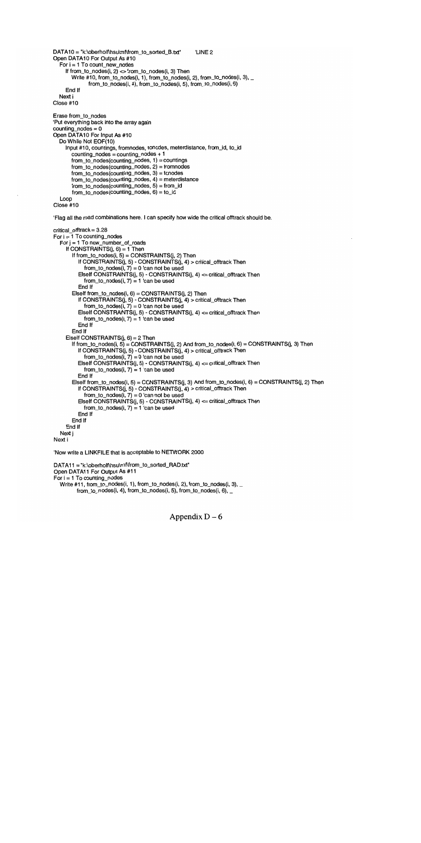```
DATA10 = "k:\oberholf\hsu\mf\from_to_sorted_B.txt" LINE 2
Open DATA1O For Output As #10
  For i = 1 To count_new_nodes
     If from_to_nodes(i, 2) \le from_to_nodes(i, 3) Then
       Write #10, from_to_nodes(i, 1), from_to_nodes(i, 2), from_to_nodes(i, 3), _
              from_to_nodes(i, 4), from_to_nodes(i, 5), from_to_nodes(i, 6)
     End If
  Next i
Close #10
Erase from_to_nodes
Put everything back into the array again
counting_nodes = 0
Open DATA1O For Input As #10
  Do While Not EOF(10)
     Input #10, countings, fromnodes, tonodes, meterdistance, from_id, to_id
       counting\_nodes = counting\_nodes + 1from_to\_nodes(counting\_nodes, 1) = countingfrom_to_nodes(counting_nodes, 2) = fromnodes
       from to nodes(counting nodes, 3) = tonodes
       from_to_nodes(counting_nodes, 4) = meterdistance
       from_to_nodes(counting_nodes, 5) = from_id
       from_to_nodes(counting_nodes, 6) = to_id
  Loop
Close #10
Flag all the road combinations here. I can specify how wide the critical offtrack should be.
critical offtrack = 3.28For i = 1 To counting nodes
  For j = 1 To new_number_of_roads
     If CONSTRAINTS(i, 6) = 1 Then
       If from_to_nodes(i, 5) = CONSTRAINTS(j, 2) Then
          If CONSTRAINTS(j, 5) - CONSTRAINTS(j, 4) > critical_offtrack Then
            from_to_nodes(i, 7) = 0 'can not be used
          Elseif CONSTRAINTS(j, 5) - CONSTRAINTS(j, 4) <= critical_offtrack Then
            from_to_nodes(i, 7) = 1 can be used
          End If
       Elself from_to_nodes(i, 6) = CONSTRAINTS(j, 2) Then
          If CONSTRAINTS(j, 5) - CONSTRAINTS(j, 4) > critical_offtrack Then
            from_to_nodes(i, 7) = 0 'can not be used
          Elself CONSTRAINTS(j, 5) - CONSTRAINTS(j, 4) <= critical_offtrack Then
            from_to_nodes(i, 7) = 1 'can be used
          End If
       End If
     Eiself CONSTRAINTS(i, 6) = 2 Then
       If from_to_nodes(i, 5) = CONSTRAINTS(j, 2) And from_to_nodes(i, 6) = CONSTRAINTS(j, 3) Then
         If CONSTRAINTS(j, 5) - CONSTRAINTS(j, 4) > critical_offtrack Then
            from_to_nodes(i, 7) = 0 'can not be used
          ElseIf CONSTRAINTS(j, 5) - CONSTRAINTS(j, 4) <= critical_offtrack Then
            from_to\_nodes(i, 7) = 1 'can be used
          End If
       Elself from_to_nodes(i, 5) = CONSTRAINTS(j, 3) And from_to_nodes(i, 6) = CONSTRAINTS(j, 2) Then
          If CONSTRAINTS(j, 5) - CONSTRAINTS(j, 4) > critical_offtrack Then
            from_to_nodes(i, 7) = 0 'can not be used
          Elself CONSTRAINTS(j, 5) - CONSTRAINTS(j, 4) <= critical_offtrack Then
            from_to_nodes(i, 7) = 1 'can be used
          End If
       End If
     End If
  Next j
Next i
Now write a LINKFILE that is acceptable to NETWORK 2000
DATA11 = "k:\oberholf\hsu\mf\from_to_sorted_RAD.txt"
Open DATA11 For Output As #11
For i = 1 To counting nodes
  Write #11, from_to_nodes(i, 1), from_to_nodes(i, 2), from_to_nodes(i, 3), _
```
from\_to\_nodes(i, 4), from\_to\_nodes(i, 5), from\_to\_nodes(i, 6),